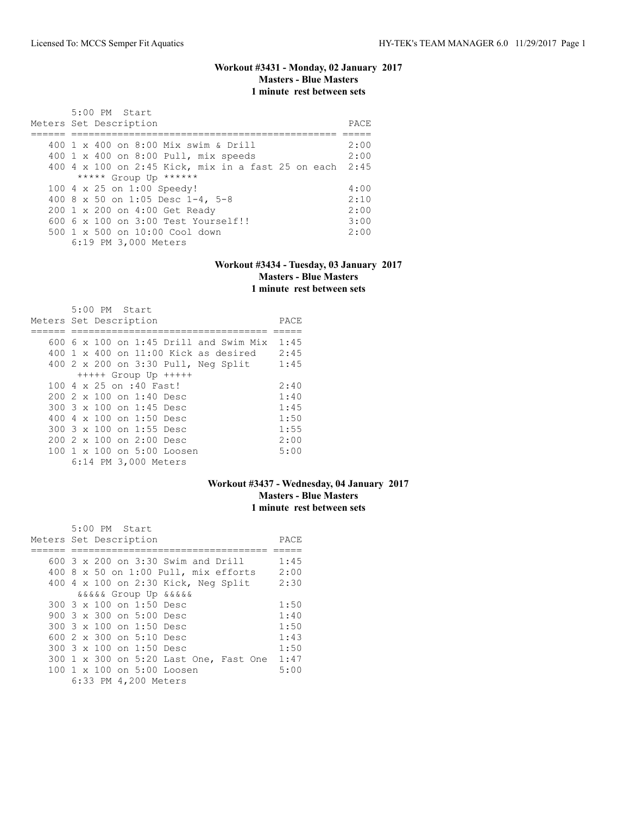# **Workout #3431 - Monday, 02 January 2017 Masters - Blue Masters 1 minute rest between sets**

| $5:00$ PM Start<br>Meters Set Description               | PACE. |
|---------------------------------------------------------|-------|
| 400 1 x 400 on 8:00 Mix swim & Drill                    | 2:00  |
| 400 1 x 400 on 8:00 Pull, mix speeds                    | 2:00  |
| 400 4 x 100 on 2:45 Kick, mix in a fast 25 on each 2:45 |       |
| ***** Group Up ******                                   |       |
| 100 4 x 25 on 1:00 Speedy!                              | 4:00  |
| 400 8 x 50 on 1:05 Desc 1-4, 5-8                        | 2:10  |
| 200 1 x 200 on 4:00 Get Ready                           | 2:00  |
| $6006 \times 100$ on $3:00$ Test Yourself!!             | 3:00  |
| $500 \t 1 \t x \t 500$ on $10:00$ Cool down             | 2:00  |
| 6:19 PM 3,000 Meters                                    |       |

#### **Workout #3434 - Tuesday, 03 January 2017 Masters - Blue Masters 1 minute rest between sets**

| $5:00$ PM Start<br>Meters Set Description         | PACE |
|---------------------------------------------------|------|
| 600 6 x 100 on 1:45 Drill and Swim Mix            | 1:45 |
|                                                   |      |
| $400 \text{ 1 x } 400$ on $11:00$ Kick as desired | 2:45 |
| 400 2 x 200 on 3:30 Pull, Neg Split               | 1:45 |
| $++++$ Group Up $++++$                            |      |
| 100 4 x 25 on :40 Fast!                           | 2:40 |
| 200 2 x 100 on 1:40 Desc                          | 1:40 |
| 300 3 x 100 on 1:45 Desc                          | 1:45 |
| 400 $4 \times 100$ on 1:50 Desc                   | 1:50 |
| 300 3 x 100 on 1:55 Desc                          | 1:55 |
| $2002 \times 100$ on $2:00$ Desc                  | 2:00 |
| 100 1 x 100 on 5:00 Loosen                        | 5:00 |
| 6:14 PM 3,000 Meters                              |      |

### **Workout #3437 - Wednesday, 04 January 2017 Masters - Blue Masters 1 minute rest between sets**

| 5:00 PM Start                                          |      |
|--------------------------------------------------------|------|
| Meters Set Description                                 | PACE |
|                                                        |      |
| $600$ 3 x 200 on 3:30 Swim and Drill                   | 1:45 |
| $400$ 8 x 50 on 1:00 Pull, mix efforts                 | 2:00 |
| 400 4 x 100 on 2:30 Kick, Neg Split                    | 2:30 |
| <i>aaaaa</i> Group Up aaaaa                            |      |
| $300.3 \times 100$ on 1:50 Desc                        | 1:50 |
| 900 3 x 300 on 5:00 Desc                               | 1:40 |
| 300 3 x 100 on 1:50 Desc                               | 1:50 |
| 600 $2 \times 300$ on $5:10$ Desc                      | 1:43 |
| $300.3 \times 100$ on 1:50 Desc                        | 1:50 |
| 300 1 x 300 on 5:20 Last One, Fast One                 | 1:47 |
| $100 \text{ 1 x } 100 \text{ on } 5:00 \text{ Loosen}$ | 5:00 |
| 6:33 PM 4,200 Meters                                   |      |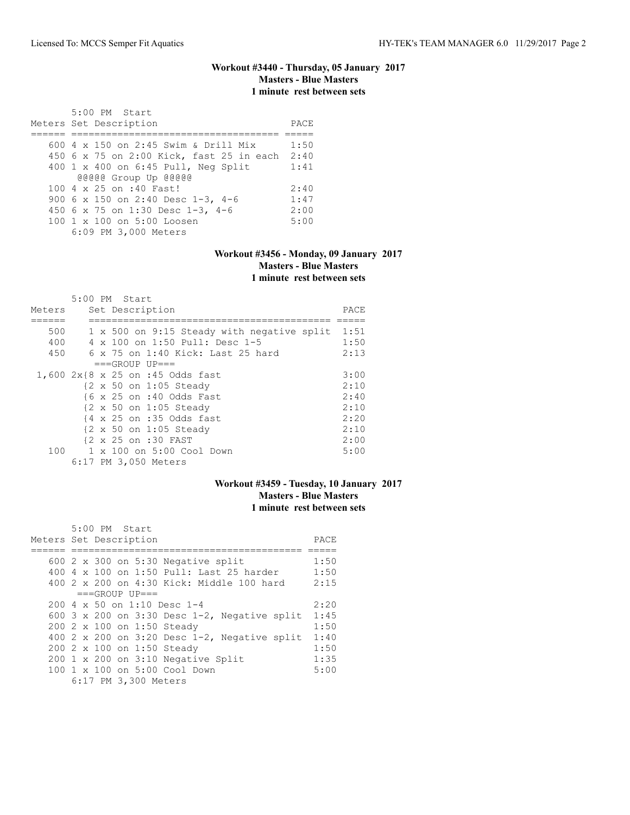# **Workout #3440 - Thursday, 05 January 2017 Masters - Blue Masters 1 minute rest between sets**

| 5:00 PM Start<br>Meters Set Description  | PACE |
|------------------------------------------|------|
|                                          |      |
| 600 4 x 150 on 2:45 Swim & Drill Mix     | 1:50 |
| 450 6 x 75 on 2:00 Kick, fast 25 in each | 2:40 |
| 400 1 x 400 on 6:45 Pull, Neg Split      | 1:41 |
| @@@@@ Group Up @@@@@                     |      |
| 100 4 x 25 on :40 Fast!                  | 2:40 |
| 900 6 x 150 on 2:40 Desc 1-3, 4-6        | 1:47 |
| 450 6 x 75 on 1:30 Desc 1-3, 4-6         | 2:00 |
| 100 1 x 100 on 5:00 Loosen               | 5:00 |
| 6:09 PM 3,000 Meters                     |      |

#### **Workout #3456 - Monday, 09 January 2017 Masters - Blue Masters 1 minute rest between sets**

|        | 5:00 PM Start                              |      |  |  |  |  |
|--------|--------------------------------------------|------|--|--|--|--|
| Meters | Set Description                            |      |  |  |  |  |
|        |                                            |      |  |  |  |  |
| 500    | 1 x 500 on 9:15 Steady with negative split | 1:51 |  |  |  |  |
| 400    | 4 x 100 on 1:50 Pull: Desc 1-5             | 1:50 |  |  |  |  |
| 450    | 6 x 75 on 1:40 Kick: Last 25 hard          | 2:13 |  |  |  |  |
|        | $===GROUP UP=-$                            |      |  |  |  |  |
|        | 1,600 2x{8 x 25 on :45 Odds fast           | 3:00 |  |  |  |  |
|        | {2 x 50 on 1:05 Steady                     | 2:10 |  |  |  |  |
|        | {6 x 25 on :40 Odds Fast                   | 2:40 |  |  |  |  |
|        | {2 x 50 on 1:05 Steady                     | 2:10 |  |  |  |  |
|        | {4 x 25 on :35 Odds fast                   | 2:20 |  |  |  |  |
|        | {2 x 50 on 1:05 Steady                     | 2:10 |  |  |  |  |
|        | {2 x 25 on :30 FAST                        | 2:00 |  |  |  |  |
| 100    | 1 x 100 on 5:00 Cool Down                  | 5:00 |  |  |  |  |
|        | 6:17 PM 3,050 Meters                       |      |  |  |  |  |

### **Workout #3459 - Tuesday, 10 January 2017 Masters - Blue Masters 1 minute rest between sets**

| 5:00 PM Start<br>Meters Set Description |  |                                    |                                                 |      |  |  |  |
|-----------------------------------------|--|------------------------------------|-------------------------------------------------|------|--|--|--|
|                                         |  |                                    |                                                 | PACE |  |  |  |
|                                         |  |                                    |                                                 |      |  |  |  |
|                                         |  |                                    | 600 $2 \times 300$ on 5:30 Negative split       | 1:50 |  |  |  |
|                                         |  |                                    | 400 4 x 100 on 1:50 Pull: Last 25 harder        | 1:50 |  |  |  |
|                                         |  |                                    | 400 2 x 200 on 4:30 Kick: Middle 100 hard       | 2:15 |  |  |  |
|                                         |  | $===GROUP UP=-$                    |                                                 |      |  |  |  |
|                                         |  | $200.4 \times 50$ on 1:10 Desc 1-4 |                                                 | 2:20 |  |  |  |
|                                         |  |                                    | 600 3 x 200 on 3:30 Desc 1-2, Negative split    | 1:45 |  |  |  |
|                                         |  | 200 2 x 100 on 1:50 Steady         |                                                 | 1:50 |  |  |  |
|                                         |  |                                    | 400 2 x 200 on 3:20 Desc $1-2$ , Negative split | 1:40 |  |  |  |
|                                         |  | 200 2 x 100 on 1:50 Steady         |                                                 | 1:50 |  |  |  |
|                                         |  |                                    | 200 1 x 200 on 3:10 Negative Split              | 1:35 |  |  |  |
|                                         |  |                                    | $100 \t1 x 100$ on $5:00$ Cool Down             | 5:00 |  |  |  |
|                                         |  | 6:17 PM 3,300 Meters               |                                                 |      |  |  |  |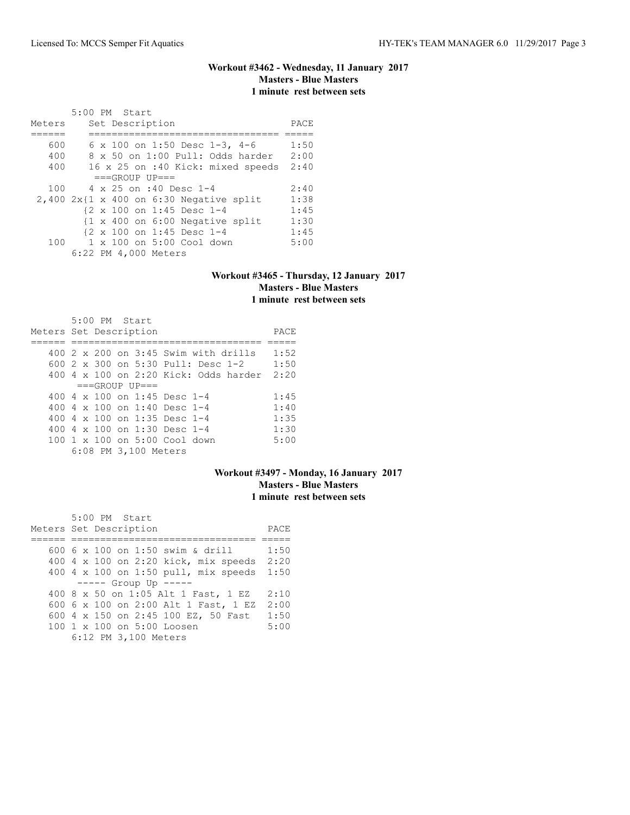# **Workout #3462 - Wednesday, 11 January 2017 Masters - Blue Masters 1 minute rest between sets**

| Meters | 5:00 PM Start<br>Set Description             | PACE |
|--------|----------------------------------------------|------|
|        |                                              |      |
| 600    | 6 x 100 on 1:50 Desc 1-3, 4-6                | 1:50 |
| 400    | 8 x 50 on 1:00 Pull: Odds harder             | 2:00 |
| 400    | 16 x 25 on :40 Kick: mixed speeds            | 2:40 |
|        | $===GROUP UP = =$                            |      |
| 100    | $4 \times 25$ on :40 Desc 1-4                | 2:40 |
|        | $2,400$ $2x$ {1 x 400 on 6:30 Negative split | 1:38 |
|        | {2 x 100 on 1:45 Desc 1-4                    | 1:45 |
|        | {1 x 400 on 6:00 Negative split              | 1:30 |
|        | {2 x 100 on 1:45 Desc 1-4                    | 1:45 |
| 100    | 1 x 100 on 5:00 Cool down                    | 5:00 |
|        | 6:22 PM 4,000 Meters                         |      |

### **Workout #3465 - Thursday, 12 January 2017 Masters - Blue Masters 1 minute rest between sets**

| Meters Set Description |  | $5:00$ PM Start |                      |                                                      | PACE |
|------------------------|--|-----------------|----------------------|------------------------------------------------------|------|
|                        |  |                 |                      |                                                      |      |
|                        |  |                 |                      | $400\,2\,\times\,200\,$ on $3:45\,$ Swim with drills | 1:52 |
|                        |  |                 |                      | 600 $2 \times 300$ on $5:30$ Pull: Desc 1-2          | 1:50 |
|                        |  |                 |                      | $400\,4\,$ x $100\,$ on 2:20 Kick: Odds harder       | 2:20 |
|                        |  |                 | $==GROUP UP = =$     |                                                      |      |
|                        |  |                 |                      | 400 4 $\times$ 100 on 1:45 Desc 1-4                  | 1:45 |
|                        |  |                 |                      | 400 4 $\times$ 100 on 1:40 Desc 1-4                  | 1:40 |
|                        |  |                 |                      | 400 4 $\times$ 100 on 1:35 Desc 1-4                  | 1:35 |
|                        |  |                 |                      | 400 4 $\times$ 100 on 1:30 Desc 1-4                  | 1:30 |
|                        |  |                 |                      | 100 1 x 100 on 5:00 Cool down                        | 5:00 |
|                        |  |                 | 6:08 PM 3,100 Meters |                                                      |      |

# **Workout #3497 - Monday, 16 January 2017 Masters - Blue Masters 1 minute rest between sets**

| 5:00 PM Start                        |      |
|--------------------------------------|------|
| Meters Set Description               | PACE |
|                                      |      |
| 600 6 x 100 on 1:50 swim & drill     | 1:50 |
| 400 4 x 100 on 2:20 kick, mix speeds | 2:20 |
| 400 4 x 100 on 1:50 pull, mix speeds | 1:50 |
| $--- -$ Group Up $---$               |      |
| 400 8 x 50 on 1:05 Alt 1 Fast, 1 EZ  | 2:10 |
| 600 6 x 100 on 2:00 Alt 1 Fast, 1 EZ | 2:00 |
| 600 4 x 150 on 2:45 100 EZ, 50 Fast  | 1:50 |
| 100 1 x 100 on 5:00 Loosen           | 5:00 |
| 6:12 PM 3,100 Meters                 |      |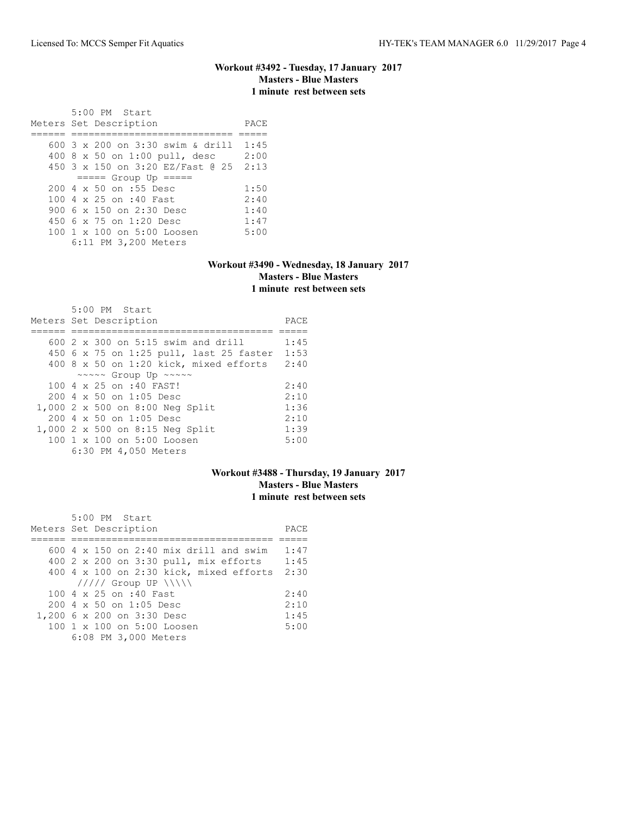### **Workout #3492 - Tuesday, 17 January 2017 Masters - Blue Masters 1 minute rest between sets**

 5:00 PM Start Meters Set Description PACE ====== ============================ ===== 600 3 x 200 on 3:30 swim & drill 1:45 400 8 x 50 on 1:00 pull, desc 2:00 450 3 x 150 on 3:20 EZ/Fast @ 25 2:13 ===== Group Up ===== 200 4 x 50 on :55 Desc 1:50<br>100 4 x 25 on :40 Fast 2:40 100 4 x 25 on :40 Fast 2:40<br>900 6 x 150 on 2:30 Desc 1:40 900 6 x 150 on 2:30 Desc 1:40<br>450 6 x 75 on 1:20 Desc 1:47 450 6 x 75 on 1:20 Desc 1:47<br>100 1 x 100 on 5:00 Loosen 5:00 100 1 x 100 on 5:00 Loosen 6:11 PM 3,200 Meters

#### **Workout #3490 - Wednesday, 18 January 2017 Masters - Blue Masters 1 minute rest between sets**

| $5:00$ PM Start                                      |      |
|------------------------------------------------------|------|
| Meters Set Description                               | PACE |
|                                                      |      |
| 600 $2 \times 300$ on 5:15 swim and drill            | 1:45 |
| 450 6 x 75 on 1:25 pull, last 25 faster              | 1:53 |
| $400$ 8 x 50 on 1:20 kick, mixed efforts             | 2:40 |
| $\sim \sim \sim \sim$ Group Up $\sim \sim \sim \sim$ |      |
| 100 4 x 25 on :40 FAST!                              | 2:40 |
| $200.4 \times 50$ on 1:05 Desc                       | 2:10 |
| 1,000 2 x 500 on 8:00 Neg Split                      | 1:36 |
| $200.4 \times 50$ on 1:05 Desc                       | 2:10 |
| 1,000 2 x 500 on 8:15 Neg Split                      | 1:39 |
| 100 1 x 100 on 5:00 Loosen                           | 5:00 |
| 6:30 PM 4,050 Meters                                 |      |

### **Workout #3488 - Thursday, 19 January 2017 Masters - Blue Masters 1 minute rest between sets**

| 5:00 PM Start                                 |      |
|-----------------------------------------------|------|
| Meters Set Description                        | PACE |
|                                               |      |
| 600 $4 \times 150$ on 2:40 mix drill and swim | 1:47 |
| 400 2 x 200 on 3:30 pull, mix efforts         | 1:45 |
| $400$ 4 x 100 on 2:30 kick, mixed efforts     | 2:30 |
| $11111$ Group UP $\{\{\}\}\$                  |      |
| 100 4 x 25 on :40 Fast                        | 2:40 |
| 200 4 x 50 on 1:05 Desc                       | 2:10 |
| 1,200 6 x 200 on 3:30 Desc                    | 1:45 |
| 100 1 x 100 on 5:00 Loosen                    | 5:00 |
| 6:08 PM 3,000 Meters                          |      |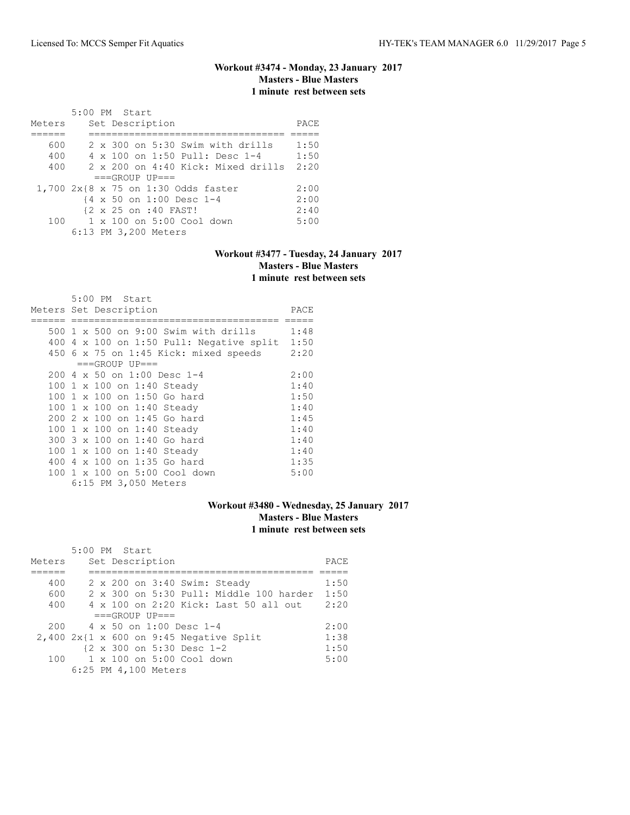# **Workout #3474 - Monday, 23 January 2017 Masters - Blue Masters 1 minute rest between sets**

|        | $5:00$ PM Start      |                                             |      |
|--------|----------------------|---------------------------------------------|------|
| Meters | Set Description      |                                             | PACE |
|        |                      |                                             |      |
| 600    |                      | 2 x 300 on 5:30 Swim with drills            | 1:50 |
| 400    |                      | 4 x 100 on 1:50 Pull: Desc 1-4              | 1:50 |
| 400    |                      | $2 \times 200$ on $4:40$ Kick: Mixed drills | 2:20 |
|        | $===GROUP UP = =$    |                                             |      |
|        |                      | 1,700 2x{8 x 75 on 1:30 Odds faster         | 2:00 |
|        |                      | {4 x 50 on 1:00 Desc 1-4                    | 2:00 |
|        | {2 x 25 on :40 FAST! |                                             | 2:40 |
| 100    |                      | 1 x 100 on 5:00 Cool down                   | 5:00 |
|        | 6:13 PM 3,200 Meters |                                             |      |

# **Workout #3477 - Tuesday, 24 January 2017 Masters - Blue Masters 1 minute rest between sets**

|                        |   | 5:00 PM Start |                             |                                       |                                          |      |
|------------------------|---|---------------|-----------------------------|---------------------------------------|------------------------------------------|------|
| Meters Set Description |   |               |                             |                                       |                                          | PACE |
|                        |   |               |                             |                                       |                                          |      |
|                        |   |               |                             |                                       | 500 1 x 500 on 9:00 Swim with drills     | 1:48 |
|                        |   |               |                             |                                       | 400 4 x 100 on 1:50 Pull: Negative split | 1:50 |
|                        |   |               |                             | 450 6 x 75 on 1:45 Kick: mixed speeds |                                          | 2:20 |
|                        |   |               | $===GROUP UP==$             |                                       |                                          |      |
|                        |   |               | 200 4 x 50 on 1:00 Desc 1-4 |                                       |                                          | 2:00 |
|                        |   |               | 100 1 x 100 on 1:40 Steady  |                                       |                                          | 1:40 |
|                        |   |               | 100 1 x 100 on 1:50 Go hard |                                       |                                          | 1:50 |
|                        |   |               | 100 1 x 100 on 1:40 Steady  |                                       |                                          | 1:40 |
|                        |   |               | 200 2 x 100 on 1:45 Go hard |                                       |                                          | 1:45 |
|                        |   |               | 100 1 x 100 on 1:40 Steady  |                                       |                                          | 1:40 |
|                        |   |               | 300 3 x 100 on 1:40 Go hard |                                       |                                          | 1:40 |
|                        |   |               | 100 1 x 100 on 1:40 Steady  |                                       |                                          | 1:40 |
| 400                    | 4 |               | x 100 on 1:35 Go hard       |                                       |                                          | 1:35 |
|                        |   |               |                             | 100 1 x 100 on 5:00 Cool down         |                                          | 5:00 |
|                        |   |               | 6:15 PM 3,050 Meters        |                                       |                                          |      |

# **Workout #3480 - Wednesday, 25 January 2017 Masters - Blue Masters 1 minute rest between sets**

|        | 5:00 PM Start |  |                      |                                    |                                           |      |
|--------|---------------|--|----------------------|------------------------------------|-------------------------------------------|------|
| Meters |               |  | Set Description      |                                    |                                           | PACE |
|        |               |  |                      |                                    |                                           |      |
| 400    |               |  |                      |                                    | 2 x 200 on 3:40 Swim: Steady              | 1:50 |
| 600    |               |  |                      |                                    | 2 x 300 on 5:30 Pull: Middle 100 harder   | 1:50 |
| 400    |               |  |                      |                                    | 4 x 100 on 2:20 Kick: Last 50 all out     | 2:20 |
|        |               |  | $===GROUP UP = =$    |                                    |                                           |      |
| 200    |               |  |                      | $4 \times 50$ on 1:00 Desc 1-4     |                                           | 2:00 |
|        |               |  |                      |                                    | $2,400$ 2x{1 x 600 on 9:45 Negative Split | 1:38 |
|        |               |  |                      | {2 x 300 on 5:30 Desc 1-2          |                                           | 1:50 |
| 100    |               |  |                      | $1 \times 100$ on $5:00$ Cool down |                                           | 5:00 |
|        |               |  | 6:25 PM 4,100 Meters |                                    |                                           |      |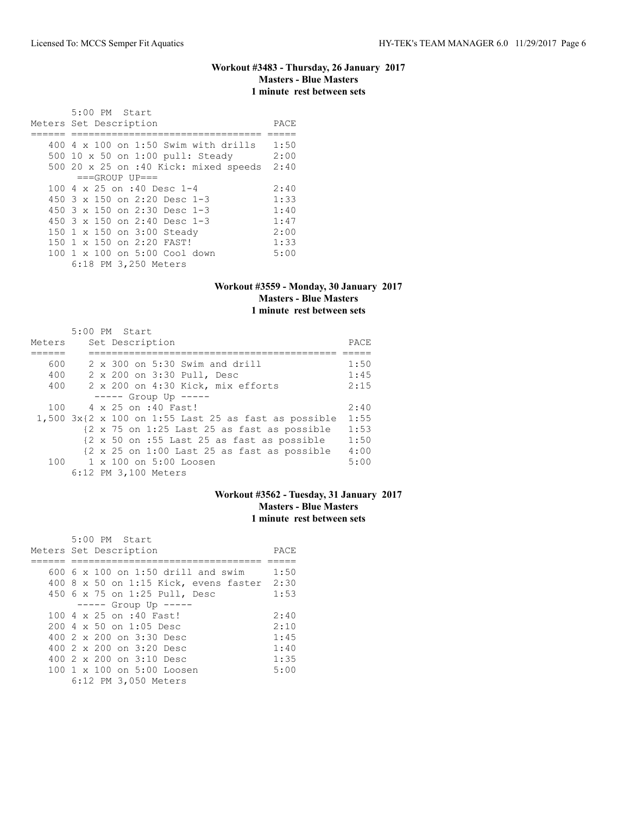#### **Workout #3483 - Thursday, 26 January 2017 Masters - Blue Masters 1 minute rest between sets**

 5:00 PM Start Meters Set Description PACE ====== ================================= ===== 400 4 x 100 on 1:50 Swim with drills 1:50 500 10 x 50 on 1:00 pull: Steady 2:00 500 20 x 25 on :40 Kick: mixed speeds 2:40  $===GROUP$   $UP==$ 100 4 x 25 on :40 Desc 1-4 2:40<br>450 3 x 150 on 2:20 Desc 1-3 1:33 450 3 x 150 on 2:20 Desc 1-3 1:33 450 3 x 150 on 2:30 Desc 1-3 1:40 450 3 x 150 on 2:40 Desc 1-3 1:47 150 1 x 150 on 3:00 Steady 2:00 150 1 x 150 on 2:20 FAST! 1:33 100 1 x 100 on 5:00 Cool down 5:00 6:18 PM 3,250 Meters

#### **Workout #3559 - Monday, 30 January 2017 Masters - Blue Masters 1 minute rest between sets**

|        | 5:00 PM Start                                                                   |      |
|--------|---------------------------------------------------------------------------------|------|
| Meters | Set Description                                                                 | PACE |
|        |                                                                                 |      |
| 600    | $2 \times 300$ on $5:30$ Swim and drill                                         | 1:50 |
| 400    | 2 x 200 on 3:30 Pull, Desc                                                      | 1:45 |
| 400    | 2 x 200 on 4:30 Kick, mix efforts                                               | 2:15 |
|        | $---$ Group Up $---$                                                            |      |
| 100    | 4 x 25 on :40 Fast!                                                             | 2:40 |
|        | $1,500$ 3x{2 x 100 on 1:55 Last 25 as fast as possible                          | 1:55 |
|        | $\{2 \times 75 \text{ on } 1:25 \text{ Last } 25 \text{ as fast as possible}\}$ | 1:53 |
|        | {2 x 50 on :55 Last 25 as fast as possible                                      | 1:50 |
|        | $\{2 \times 25 \text{ on } 1:00 \text{ Last } 25 \text{ as fast as possible}\}$ | 4:00 |
|        | 100 1 x 100 on 5:00 Loosen                                                      | 5:00 |
|        | 6:12 PM 3,100 Meters                                                            |      |

### **Workout #3562 - Tuesday, 31 January 2017 Masters - Blue Masters 1 minute rest between sets**

| 5:00 PM Start                              |      |
|--------------------------------------------|------|
| Meters Set Description                     | PACE |
|                                            |      |
| $600\,$ 6 x 100 on 1:50 drill and swim     | 1:50 |
| 400 8 x 50 on 1:15 Kick, evens faster 2:30 |      |
| 450 6 x 75 on 1:25 Pull, Desc              | 1:53 |
| $--- $ Group Up $---$                      |      |
| 100 4 x 25 on :40 Fast!                    | 2:40 |
| $200.4 \times 50$ on 1:05 Desc             | 2:10 |
| 400 2 x 200 on 3:30 Desc                   | 1:45 |
| 400 2 x 200 on 3:20 Desc                   | 1:40 |
| 400 2 x 200 on 3:10 Desc                   | 1:35 |
| $100 \t 1 \t x \t 100$ on $5:00$ Loosen    | 5:00 |
| 6:12 PM 3,050 Meters                       |      |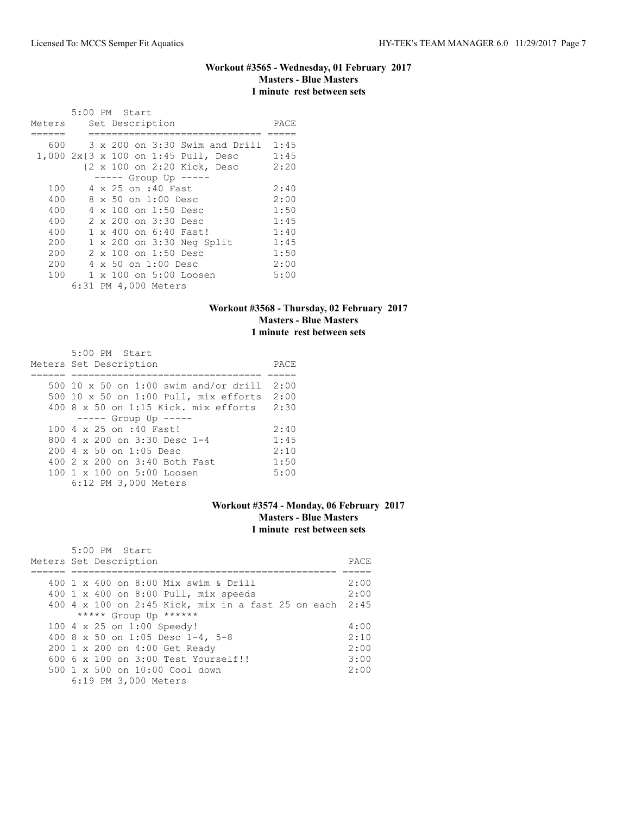# **Workout #3565 - Wednesday, 01 February 2017 Masters - Blue Masters 1 minute rest between sets**

|        | 5:00 PM Start                       |      |
|--------|-------------------------------------|------|
| Meters | Set Description                     | PACE |
|        |                                     |      |
| 600    | 3 x 200 on 3:30 Swim and Drill 1:45 |      |
|        | 1,000 2x{3 x 100 on 1:45 Pull, Desc | 1:45 |
|        | {2 x 100 on 2:20 Kick, Desc         | 2:20 |
|        | $--- $ Group Up $---$               |      |
| 100    | 4 x 25 on :40 Fast                  | 2:40 |
| 400    | 8 x 50 on 1:00 Desc                 | 2:00 |
| 400    | $4 \times 100$ on 1:50 Desc         | 1:50 |
| 400    | 2 x 200 on 3:30 Desc                | 1:45 |
| 400    | $1 \times 400$ on 6:40 Fast!        | 1:40 |
| 200    | 1 x 200 on 3:30 Neg Split           | 1:45 |
| 200    | 2 x 100 on 1:50 Desc                | 1:50 |
| 200    | 4 x 50 on 1:00 Desc                 | 2:00 |
| 100    | 1 x 100 on 5:00 Loosen              | 5:00 |
|        | 6:31 PM 4,000 Meters                |      |

# **Workout #3568 - Thursday, 02 February 2017 Masters - Blue Masters 1 minute rest between sets**

| 5:00 PM Start                              |      |
|--------------------------------------------|------|
| Meters Set Description                     | PACE |
|                                            |      |
| 500 10 x 50 on 1:00 swim and/or drill 2:00 |      |
| 500 10 x 50 on 1:00 Pull, mix efforts 2:00 |      |
| 400 8 x 50 on 1:15 Kick. mix efforts 2:30  |      |
| $--- $ Group Up $---$                      |      |
| 100 4 x 25 on :40 Fast!                    | 2:40 |
| 800 $4 \times 200$ on 3:30 Desc 1-4        | 1:45 |
| $200 \, 4 \times 50$ on $1:05$ Desc        | 2:10 |
| 400 2 x 200 on 3:40 Both Fast              | 1:50 |
| $100 \t 1 \t x \t 100$ on $5:00$ Loosen    | 5:00 |
| 6:12 PM 3,000 Meters                       |      |

# **Workout #3574 - Monday, 06 February 2017 Masters - Blue Masters 1 minute rest between sets**

| 5:00 PM Start<br>Meters Set Description                 | PACE. |
|---------------------------------------------------------|-------|
|                                                         |       |
| 400 1 x 400 on 8:00 Mix swim & Drill                    | 2:00  |
| 400 1 x 400 on 8:00 Pull, mix speeds                    | 2:00  |
| 400 4 x 100 on 2:45 Kick, mix in a fast 25 on each 2:45 |       |
| ***** Group Up ******                                   |       |
| 100 4 x 25 on 1:00 Speedy!                              | 4:00  |
| 400 8 x 50 on 1:05 Desc 1-4, 5-8                        | 2:10  |
| 200 1 x 200 on 4:00 Get Ready                           | 2:00  |
| $6006 \times 100$ on $3:00$ Test Yourself!!             | 3:00  |
| $500 \t 1 \t x \t 500$ on $10:00$ Cool down             | 2:00  |
| 6:19 PM 3,000 Meters                                    |       |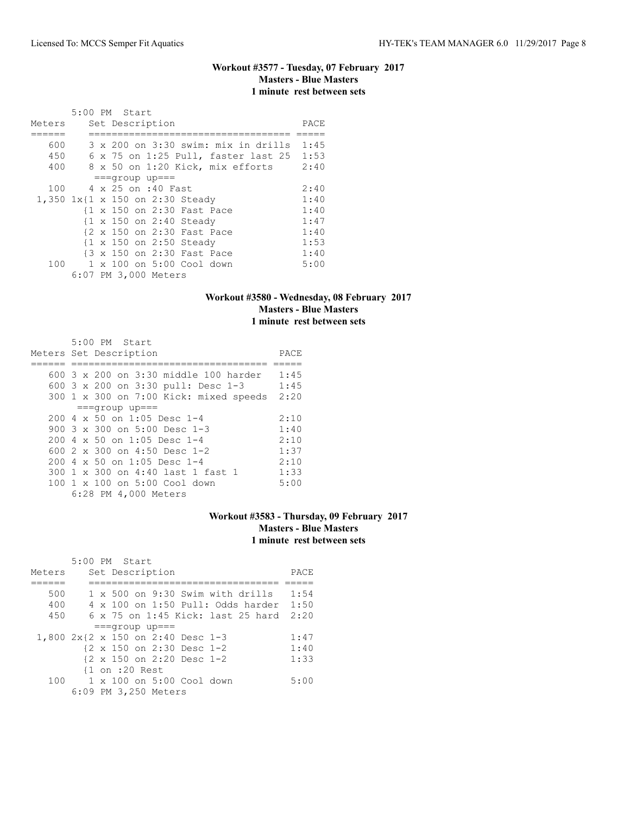# **Workout #3577 - Tuesday, 07 February 2017 Masters - Blue Masters 1 minute rest between sets**

|                                 | 5:00 PM Start |  |                      |                               |                                              |      |
|---------------------------------|---------------|--|----------------------|-------------------------------|----------------------------------------------|------|
| Meters                          |               |  | Set Description      |                               |                                              | PACE |
|                                 |               |  |                      |                               |                                              |      |
| 600                             |               |  |                      |                               | $3 \times 200$ on $3:30$ swim: mix in drills | 1:45 |
| 450                             |               |  |                      |                               | 6 x 75 on 1:25 Pull, faster last 25          | 1:53 |
| 400                             |               |  |                      |                               | 8 x 50 on 1:20 Kick, mix efforts             | 2:40 |
|                                 |               |  | $==qrow$ up===       |                               |                                              |      |
| 100                             |               |  | 4 x 25 on :40 Fast   |                               |                                              | 2:40 |
| 1,350 1x{1 x 150 on 2:30 Steady |               |  |                      |                               |                                              | 1:40 |
|                                 |               |  |                      | {1 x 150 on 2:30 Fast Pace    |                                              | 1:40 |
|                                 |               |  |                      | {1 x 150 on 2:40 Steady       |                                              | 1:47 |
|                                 |               |  |                      | {2 x 150 on 2:30 Fast Pace    |                                              | 1:40 |
|                                 |               |  |                      | {1 x 150 on 2:50 Steady       |                                              | 1:53 |
|                                 |               |  |                      | {3 x 150 on 2:30 Fast Pace    |                                              | 1:40 |
|                                 |               |  |                      | 100 1 x 100 on 5:00 Cool down |                                              | 5:00 |
|                                 |               |  | 6:07 PM 3,000 Meters |                               |                                              |      |

# **Workout #3580 - Wednesday, 08 February 2017 Masters - Blue Masters 1 minute rest between sets**

| $5:00$ PM Start                                |      |
|------------------------------------------------|------|
| Meters Set Description                         | PACE |
|                                                |      |
| 600 $3 \times 200$ on $3:30$ middle 100 harder | 1:45 |
| 600 3 x 200 on 3:30 pull: Desc 1-3             | 1:45 |
| 300 1 x 300 on 7:00 Kick: mixed speeds         | 2:20 |
| $==qroup$ up===                                |      |
| 200 4 x 50 on 1:05 Desc 1-4                    | 2:10 |
| 900 $3 \times 300$ on $5:00$ Desc 1-3          | 1:40 |
| $200.4 \times 50$ on 1:05 Desc 1-4             | 2:10 |
| 600 2 x 300 on 4:50 Desc 1-2                   | 1:37 |
| $200.4 \times 50$ on 1:05 Desc 1-4             | 2:10 |
| 300 1 x 300 on 4:40 last 1 fast 1              | 1:33 |
| 100 1 x 100 on 5:00 Cool down                  | 5:00 |
| 6:28 PM 4,000 Meters                           |      |

# **Workout #3583 - Thursday, 09 February 2017 Masters - Blue Masters 1 minute rest between sets**

|        | 5:00 PM Start                              |      |
|--------|--------------------------------------------|------|
| Meters | Set Description                            | PACE |
|        |                                            |      |
| 500    | $1 \times 500$ on 9:30 Swim with drills    | 1:54 |
| 400    | $4 \times 100$ on $1:50$ Pull: Odds harder | 1:50 |
| 450    | 6 x 75 on 1:45 Kick: last 25 hard          | 2:20 |
|        | $==qrow$ up===                             |      |
|        | 1,800 2x{2 x 150 on 2:40 Desc 1-3          | 1:47 |
|        | {2 x 150 on 2:30 Desc 1-2                  | 1:40 |
|        | {2 x 150 on 2:20 Desc 1-2                  | 1:33 |
|        | $\{1$ on :20 Rest                          |      |
|        | 100 1 x 100 on 5:00 Cool down              | 5:00 |
|        | 6:09 PM 3,250 Meters                       |      |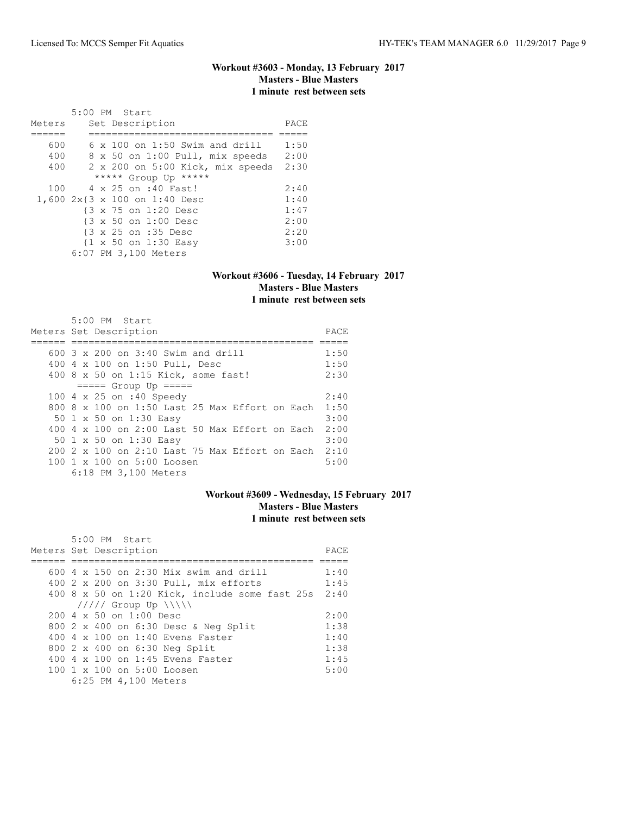# **Workout #3603 - Monday, 13 February 2017 Masters - Blue Masters 1 minute rest between sets**

|        | 5:00 PM Start                                   |      |
|--------|-------------------------------------------------|------|
| Meters | Set Description                                 | PACE |
|        |                                                 |      |
| 600    | $6 \times 100$ on 1:50 Swim and drill           | 1:50 |
| 400    | 8 x 50 on 1:00 Pull, mix speeds                 | 2:00 |
| 400    | 2 x 200 on 5:00 Kick, mix speeds                | 2:30 |
|        | ***** Group Up *****                            |      |
| 100    | 4 x 25 on :40 Fast!                             | 2:40 |
|        | 1,600 2x{3 x 100 on 1:40 Desc                   | 1:40 |
|        | {3 x 75 on 1:20 Desc                            | 1:47 |
|        | {3 x 50 on 1:00 Desc                            | 2:00 |
|        | {3 x 25 on :35 Desc                             | 2:20 |
|        | $\{1 \times 50 \text{ on } 1:30 \text{ Easy}\}$ | 3:00 |
|        | 6:07 PM 3,100 Meters                            |      |

#### **Workout #3606 - Tuesday, 14 February 2017 Masters - Blue Masters 1 minute rest between sets**

| 5:00 PM Start<br>Meters Set Description                |      |  |  |  |  |  |
|--------------------------------------------------------|------|--|--|--|--|--|
|                                                        |      |  |  |  |  |  |
| 600 3 x 200 on 3:40 Swim and drill                     | 1:50 |  |  |  |  |  |
| 400 4 x 100 on 1:50 Pull, Desc                         | 1:50 |  |  |  |  |  |
| 400 8 x 50 on 1:15 Kick, some fast!                    | 2:30 |  |  |  |  |  |
| $====$ Group Up $====$                                 |      |  |  |  |  |  |
| 100 4 x 25 on :40 Speedy                               | 2:40 |  |  |  |  |  |
| 800 8 x 100 on 1:50 Last 25 Max Effort on Each         | 1:50 |  |  |  |  |  |
| 50 1 x 50 on 1:30 Easy                                 | 3:00 |  |  |  |  |  |
| 400 4 x 100 on 2:00 Last 50 Max Effort on Each         | 2:00 |  |  |  |  |  |
| 50 1 x 50 on 1:30 Easy                                 | 3:00 |  |  |  |  |  |
| $200$ 2 x 100 on 2:10 Last 75 Max Effort on Each       | 2:10 |  |  |  |  |  |
| $100 \text{ 1 x } 100 \text{ on } 5:00 \text{ Loosen}$ | 5:00 |  |  |  |  |  |
| 6:18 PM 3,100 Meters                                   |      |  |  |  |  |  |

### **Workout #3609 - Wednesday, 15 February 2017 Masters - Blue Masters 1 minute rest between sets**

| 5:00 PM Start                                          |      |
|--------------------------------------------------------|------|
| Meters Set Description                                 | PACE |
|                                                        |      |
| $600$ 4 x 150 on 2:30 Mix swim and drill               | 1:40 |
| 400 2 x 200 on 3:30 Pull, mix efforts                  | 1:45 |
| 400 8 x 50 on 1:20 Kick, include some fast 25s 2:40    |      |
| $11111$ Group Up $\  \  \$                             |      |
| $200 \, 4 \times 50$ on $1:00$ Desc                    | 2:00 |
| 800 2 x 400 on 6:30 Desc & Neg Split                   | 1:38 |
| $400.4 \times 100$ on 1:40 Evens Faster                | 1:40 |
| 800 2 x 400 on 6:30 Neg Split                          | 1:38 |
| 400 4 x 100 on 1:45 Evens Faster                       | 1:45 |
| $100 \text{ 1 x } 100 \text{ on } 5:00 \text{ Loosen}$ | 5:00 |
| 6:25 PM 4,100 Meters                                   |      |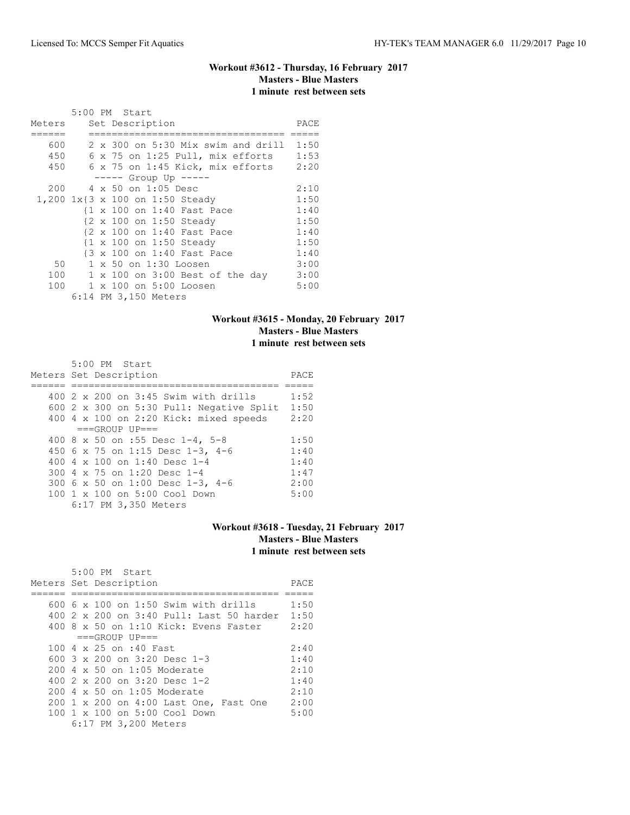# **Workout #3612 - Thursday, 16 February 2017 Masters - Blue Masters 1 minute rest between sets**

|        | 5:00 PM Start                             |      |
|--------|-------------------------------------------|------|
| Meters | Set Description                           | PACE |
|        |                                           |      |
| 600    | $2 \times 300$ on 5:30 Mix swim and drill | 1:50 |
| 450    | $6$ x 75 on 1:25 Pull, mix efforts        | 1:53 |
| 450    | $6 \times 75$ on $1:45$ Kick, mix efforts | 2:20 |
|        | $--- $ Group Up $---$                     |      |
| 200    | 4 x 50 on 1:05 Desc                       | 2:10 |
|        | 1,200 1x{3 x 100 on 1:50 Steady           | 1:50 |
|        | {1 x 100 on 1:40 Fast Pace                | 1:40 |
|        | {2 x 100 on 1:50 Steady                   | 1:50 |
|        | {2 x 100 on 1:40 Fast Pace                | 1:40 |
|        | {1 x 100 on 1:50 Steady                   | 1:50 |
|        | {3 x 100 on 1:40 Fast Pace                | 1:40 |
| 50     | 1 x 50 on 1:30 Loosen                     | 3:00 |
| 100    | 1 x 100 on 3:00 Best of the day           | 3:00 |
| 100    | $1 \times 100$ on $5:00$ Loosen           | 5:00 |
|        | 6:14 PM 3,150 Meters                      |      |

# **Workout #3615 - Monday, 20 February 2017 Masters - Blue Masters 1 minute rest between sets**

| 5:00 PM Start                                   |      |
|-------------------------------------------------|------|
| Meters Set Description                          | PACE |
|                                                 |      |
| 400 2 x 200 on 3:45 Swim with drills            | 1:52 |
| 600 $2 \times 300$ on 5:30 Pull: Negative Split | 1:50 |
| 400 4 x 100 on 2:20 Kick: mixed speeds          | 2:20 |
| $===GROUP UP = =$                               |      |
| 400 8 x 50 on :55 Desc 1-4, 5-8                 | 1:50 |
| 450 6 x 75 on 1:15 Desc 1-3, 4-6                | 1:40 |
| 400 4 $\times$ 100 on 1:40 Desc 1-4             | 1:40 |
| 300 4 x 75 on 1:20 Desc 1-4                     | 1:47 |
| 300 6 x 50 on 1:00 Desc 1-3, 4-6                | 2:00 |
| $100 \t1 x 100$ on $5:00$ Cool Down             | 5:00 |
| 6:17 PM 3,350 Meters                            |      |

### **Workout #3618 - Tuesday, 21 February 2017 Masters - Blue Masters 1 minute rest between sets**

| 5:00 PM Start<br>Meters Set Description       | PACE |
|-----------------------------------------------|------|
|                                               |      |
| $600$ 6 x 100 on 1:50 Swim with drills        | 1:50 |
| 400 2 x 200 on 3:40 Pull: Last 50 harder 1:50 |      |
| 400 8 x 50 on 1:10 Kick: Evens Faster 2:20    |      |
| $===GROUP UP==$                               |      |
| 100 4 x 25 on :40 Fast                        | 2:40 |
| 600 $3 \times 200$ on $3:20$ Desc 1-3         | 1:40 |
| $200.4 \times 50$ on 1:05 Moderate            | 2:10 |
| 400 2 x 200 on 3:20 Desc 1-2                  | 1:40 |
| $200.4 \times 50$ on 1:05 Moderate            | 2:10 |
| 200 1 x 200 on 4:00 Last One, Fast One        | 2:00 |
| 100 1 x 100 on 5:00 Cool Down                 | 5:00 |
| 6:17 PM 3,200 Meters                          |      |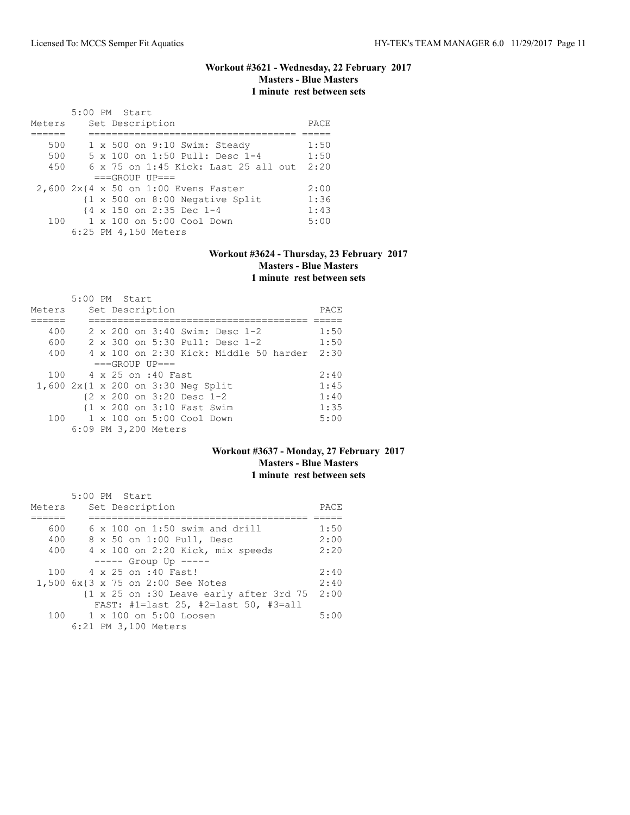# **Workout #3621 - Wednesday, 22 February 2017 Masters - Blue Masters 1 minute rest between sets**

| Meters |  | 5:00 PM Start<br>Set Description                           | PACE |
|--------|--|------------------------------------------------------------|------|
|        |  |                                                            |      |
| 500    |  | $1 \times 500$ on $9:10$ Swim: Steady                      | 1:50 |
| 500    |  | 5 x 100 on 1:50 Pull: Desc 1-4                             | 1:50 |
| 450    |  | $6 \times 75$ on 1:45 Kick: Last 25 all out                | 2:20 |
|        |  | $===GROUP UP==$                                            |      |
|        |  | 2,600 2x{4 x 50 on 1:00 Evens Faster                       | 2:00 |
|        |  | $\{1 \times 500 \text{ on } 8:00 \text{ Negative Split}\}$ | 1:36 |
|        |  | {4 x 150 on 2:35 Dec 1-4                                   | 1:43 |
|        |  | 100    1 x 100    an 5:00    Cool    Down                  | 5:00 |
|        |  | 6:25 PM 4,150 Meters                                       |      |

### **Workout #3624 - Thursday, 23 February 2017 Masters - Blue Masters 1 minute rest between sets**

|                                    | 5:00 PM Start |  |                      |                                    |                                |                                               |      |
|------------------------------------|---------------|--|----------------------|------------------------------------|--------------------------------|-----------------------------------------------|------|
| Meters                             |               |  | Set Description      |                                    |                                |                                               | PACE |
|                                    |               |  |                      |                                    |                                |                                               |      |
| 400                                |               |  |                      |                                    | 2 x 200 on 3:40 Swim: Desc 1-2 |                                               | 1:50 |
| 600                                |               |  |                      |                                    | 2 x 300 on 5:30 Pull: Desc 1-2 |                                               | 1:50 |
| 400                                |               |  |                      |                                    |                                | $4 \times 100$ on 2:30 Kick: Middle 50 harder | 2:30 |
|                                    |               |  | $===GROUP UP=-$      |                                    |                                |                                               |      |
| 100                                |               |  | 4 x 25 on :40 Fast   |                                    |                                |                                               | 2:40 |
| 1,600 2x{1 x 200 on 3:30 Neg Split |               |  |                      |                                    |                                |                                               | 1:45 |
|                                    |               |  |                      | {2 x 200 on 3:20 Desc 1-2          |                                |                                               | 1:40 |
|                                    |               |  |                      | {1 x 200 on 3:10 Fast Swim         |                                |                                               | 1:35 |
| 100                                |               |  |                      | $1 \times 100$ on $5:00$ Cool Down |                                |                                               | 5:00 |
|                                    |               |  | 6:09 PM 3,200 Meters |                                    |                                |                                               |      |

### **Workout #3637 - Monday, 27 February 2017 Masters - Blue Masters 1 minute rest between sets**

|        | $5:00$ PM Start                                                             |      |
|--------|-----------------------------------------------------------------------------|------|
| Meters | Set Description                                                             | PACE |
|        |                                                                             |      |
| 600    | $6 \times 100$ on 1:50 swim and drill                                       | 1:50 |
| 400    | 8 x 50 on 1:00 Pull, Desc                                                   | 2:00 |
| 400    | 4 x 100 on 2:20 Kick, mix speeds                                            | 2:20 |
|        | $--- $ Group Up $---$                                                       |      |
| 100    | 4 x 25 on :40 Fast!                                                         | 2:40 |
|        | 1,500 6x{3 x 75 on 2:00 See Notes                                           | 2:40 |
|        | $\{1 \times 25 \text{ on } : 30 \text{ Leave early after } 3 \text{rd } 75$ | 2:00 |
|        | FAST: #1=last 25, #2=last 50, #3=all                                        |      |
|        | 100 1 x 100 on 5:00 Loosen                                                  | 5:00 |
|        | 6:21 PM 3,100 Meters                                                        |      |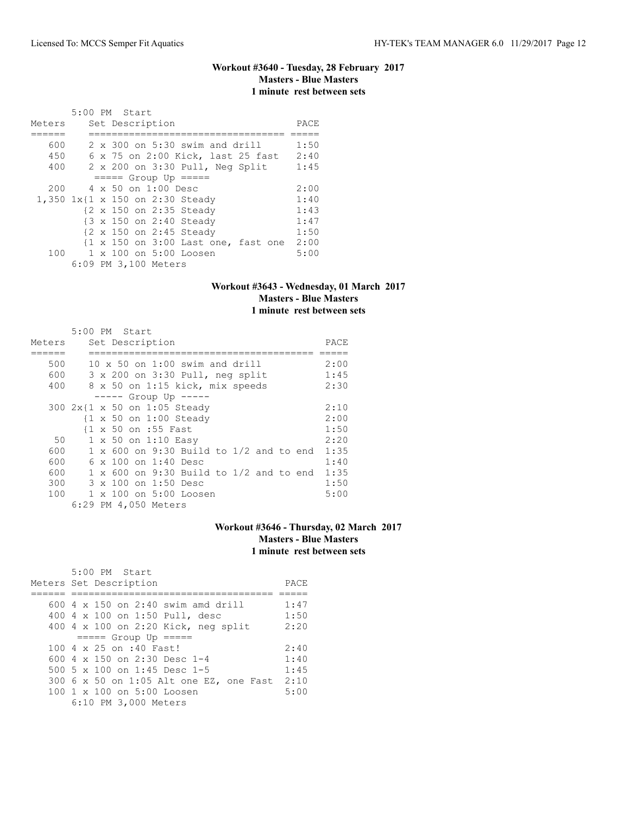### **Workout #3640 - Tuesday, 28 February 2017 Masters - Blue Masters 1 minute rest between sets**

| Meters |  | 5:00 PM Start<br>Set Description        | PACE |
|--------|--|-----------------------------------------|------|
|        |  |                                         |      |
| 600    |  | $2 \times 300$ on $5:30$ swim and drill | 1:50 |
| 450    |  | 6 x 75 on 2:00 Kick, last 25 fast       | 2:40 |
| 400    |  | 2 x 200 on 3:30 Pull, Neg Split         | 1:45 |
|        |  | $== == $ Group Up $== == $              |      |
| 200    |  | $4 \times 50$ on 1:00 Desc              | 2:00 |
|        |  | 1,350 1x{1 x 150 on 2:30 Steady         | 1:40 |
|        |  | {2 x 150 on 2:35 Steady                 | 1:43 |
|        |  | {3 x 150 on 2:40 Steady                 | 1:47 |
|        |  | {2 x 150 on 2:45 Steady                 | 1:50 |
|        |  | {1 x 150 on 3:00 Last one, fast one     | 2:00 |
| 100    |  | 1 x 100 on 5:00 Loosen                  | 5:00 |
|        |  | 6:09 PM 3,100 Meters                    |      |

### **Workout #3643 - Wednesday, 01 March 2017 Masters - Blue Masters 1 minute rest between sets**

|        | 5:00 PM Start                                     |      |  |  |  |  |  |  |  |  |  |
|--------|---------------------------------------------------|------|--|--|--|--|--|--|--|--|--|
| Meters | Set Description                                   | PACE |  |  |  |  |  |  |  |  |  |
|        |                                                   |      |  |  |  |  |  |  |  |  |  |
| 500    | $10 \times 50$ on 1:00 swim and drill             |      |  |  |  |  |  |  |  |  |  |
| 600    | 3 x 200 on 3:30 Pull, neg split                   | 1:45 |  |  |  |  |  |  |  |  |  |
| 400    | 8 x 50 on 1:15 kick, mix speeds                   | 2:30 |  |  |  |  |  |  |  |  |  |
|        | $--- $ Group Up $---$                             |      |  |  |  |  |  |  |  |  |  |
|        | 300 2x{1 x 50 on 1:05 Steady                      | 2:10 |  |  |  |  |  |  |  |  |  |
|        | $\{1 \times 50 \text{ on } 1:00 \text{ Steady}\}$ | 2:00 |  |  |  |  |  |  |  |  |  |
|        | {1 x 50 on :55 Fast                               | 1:50 |  |  |  |  |  |  |  |  |  |
| 50     | 1 x 50 on 1:10 Easy                               | 2:20 |  |  |  |  |  |  |  |  |  |
| 600    | $1 \times 600$ on 9:30 Build to $1/2$ and to end  | 1:35 |  |  |  |  |  |  |  |  |  |
| 600    | $6 \times 100$ on 1:40 Desc                       | 1:40 |  |  |  |  |  |  |  |  |  |
| 600    | $1 \times 600$ on 9:30 Build to $1/2$ and to end  | 1:35 |  |  |  |  |  |  |  |  |  |
| 300    | 3 x 100 on 1:50 Desc                              | 1:50 |  |  |  |  |  |  |  |  |  |
| 100    | 1 x 100 on 5:00 Loosen                            | 5:00 |  |  |  |  |  |  |  |  |  |
|        | 6:29 PM 4,050 Meters                              |      |  |  |  |  |  |  |  |  |  |

# **Workout #3646 - Thursday, 02 March 2017 Masters - Blue Masters 1 minute rest between sets**

| 5:00 PM Start<br>Meters Set Description | PACE |
|-----------------------------------------|------|
|                                         |      |
| $600$ 4 x 150 on 2:40 swim amd drill    | 1:47 |
| 400 4 x 100 on 1:50 Pull, desc          | 1:50 |
| 400 4 x 100 on 2:20 Kick, neg split     | 2:20 |
| $====$ Group Up $====$                  |      |
| 100 4 x 25 on :40 Fast!                 | 2:40 |
| 600 $4 \times 150$ on 2:30 Desc 1-4     | 1:40 |
| 500 5 x 100 on 1:45 Desc 1-5            | 1:45 |
| 300 6 x 50 on 1:05 Alt one EZ, one Fast | 2:10 |
| 100 1 x 100 on 5:00 Loosen              | 5:00 |
| 6:10 PM 3,000 Meters                    |      |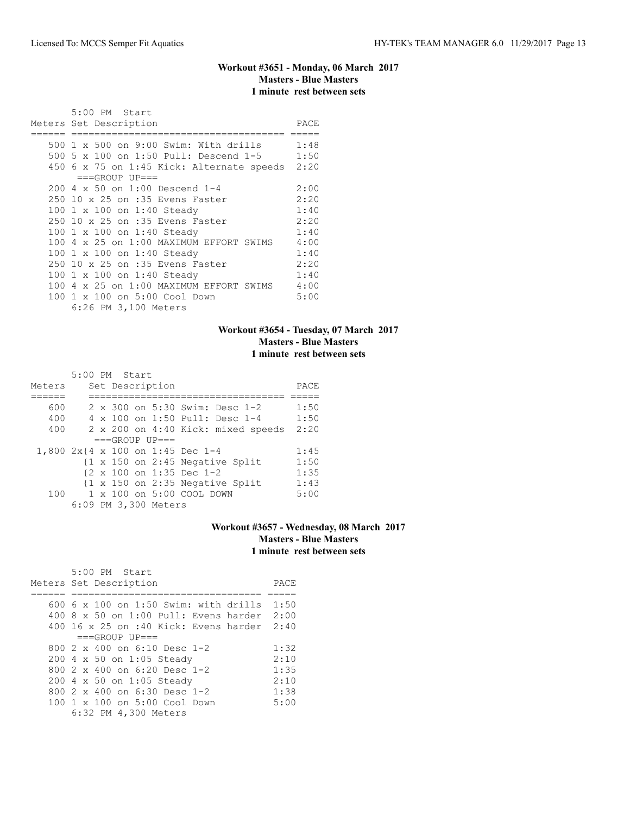# **Workout #3651 - Monday, 06 March 2017 Masters - Blue Masters 1 minute rest between sets**

| 5:00 PM Start                                |      |
|----------------------------------------------|------|
| Meters Set Description                       | PACE |
|                                              |      |
| 500 1 x 500 on 9:00 Swim: With drills 1:48   |      |
| 500 5 x 100 on 1:50 Pull: Descend 1-5 1:50   |      |
| 450 6 x 75 on 1:45 Kick: Alternate speeds    | 2:20 |
| $===GROUP UP==$                              |      |
| 200 4 x 50 on 1:00 Descend 1-4               | 2:00 |
| 250 10 x 25 on :35 Evens Faster              | 2:20 |
| 100 1 x 100 on 1:40 Steady                   | 1:40 |
| 250 10 x 25 on :35 Evens Faster              | 2:20 |
| 100 1 x 100 on 1:40 Steady                   | 1:40 |
| 100 4 x 25 on 1:00 MAXIMUM EFFORT SWIMS      | 4:00 |
| 100 1 x 100 on 1:40 Steady                   | 1:40 |
| 250 10 x 25 on :35 Evens Faster              | 2:20 |
| 100 1 x 100 on 1:40 Steady                   | 1:40 |
| 100 4 x 25 on 1:00 MAXIMUM EFFORT SWIMS 4:00 |      |
| 100 1 x 100 on 5:00 Cool Down                | 5:00 |
| 6:26 PM 3,100 Meters                         |      |

# **Workout #3654 - Tuesday, 07 March 2017 Masters - Blue Masters 1 minute rest between sets**

|        | 5:00 PM Start |  |                      |                                    |                                                            |      |
|--------|---------------|--|----------------------|------------------------------------|------------------------------------------------------------|------|
| Meters |               |  | Set Description      |                                    |                                                            | PACE |
|        |               |  |                      |                                    |                                                            |      |
| 600    |               |  |                      |                                    | 2 x 300 on 5:30 Swim: Desc 1-2                             | 1:50 |
| 400    |               |  |                      |                                    | 4 x 100 on 1:50 Pull: Desc 1-4                             | 1:50 |
| 400    |               |  |                      |                                    | 2 x 200 on 4:40 Kick: mixed speeds                         | 2:20 |
|        |               |  | $===GROUP UP = =$    |                                    |                                                            |      |
|        |               |  |                      | 1,800 2x{4 x 100 on 1:45 Dec 1-4   |                                                            | 1:45 |
|        |               |  |                      |                                    | $\{1 \times 150 \text{ on } 2:45 \text{ Negative Split}\}$ | 1:50 |
|        |               |  |                      | {2 x 100 on 1:35 Dec 1-2           |                                                            | 1:35 |
|        |               |  |                      |                                    | $\{1 \times 150 \text{ on } 2:35 \text{ Negative Split}\}$ | 1:43 |
| 100    |               |  |                      | $1 \times 100$ on $5:00$ COOL DOWN |                                                            | 5:00 |
|        |               |  | 6:09 PM 3,300 Meters |                                    |                                                            |      |

# **Workout #3657 - Wednesday, 08 March 2017 Masters - Blue Masters 1 minute rest between sets**

| 5:00 PM Start<br>Meters Set Description           | PACE |
|---------------------------------------------------|------|
| 600 6 x 100 on 1:50 Swim: with drills             | 1:50 |
| $400.8 \times 50$ on 1:00 Pull: Evens harder 2:00 |      |
| 400 16 x 25 on :40 Kick: Evens harder 2:40        |      |
| $===GROUP UP = =$                                 |      |
| 800 $2 \times 400$ on 6:10 Desc 1-2               | 1:32 |
| 200 4 x 50 on 1:05 Steady                         | 2:10 |
| 800 $2 \times 400$ on 6:20 Desc 1-2               | 1:35 |
| 200 4 x 50 on 1:05 Steady                         | 2:10 |
| 800 $2 \times 400$ on 6:30 Desc 1-2               | 1:38 |
| $100 \t1 x 100$ on $5:00$ Cool Down               | 5:00 |
| 6:32 PM 4,300 Meters                              |      |
|                                                   |      |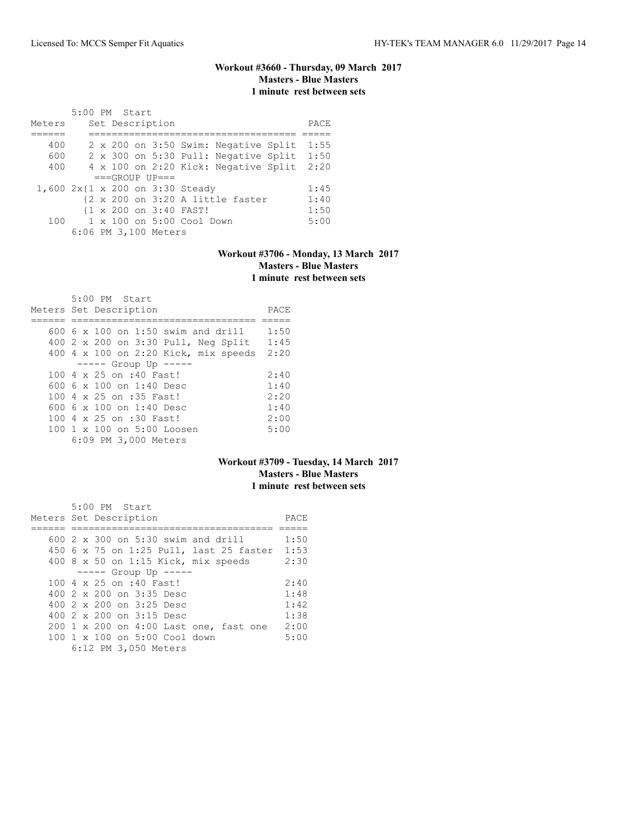# **Workout #3660 - Thursday, 09 March 2017 Masters - Blue Masters 1 minute rest between sets**

|        | 5:00 PM Start |  |                      |                                 |                                      |      |
|--------|---------------|--|----------------------|---------------------------------|--------------------------------------|------|
| Meters |               |  | Set Description      |                                 |                                      | PACE |
|        |               |  |                      |                                 |                                      |      |
| 400    |               |  |                      |                                 | 2 x 200 on 3:50 Swim: Negative Split | 1:55 |
| 600    |               |  |                      |                                 | 2 x 300 on 5:30 Pull: Negative Split | 1:50 |
| 400    |               |  |                      |                                 | 4 x 100 on 2:20 Kick: Negative Split | 2:20 |
|        |               |  | $===GROUP UP==$      |                                 |                                      |      |
|        |               |  |                      | 1,600 2x{1 x 200 on 3:30 Steady |                                      | 1:45 |
|        |               |  |                      |                                 | {2 x 200 on 3:20 A little faster     | 1:40 |
|        |               |  |                      | {1 x 200 on 3:40 FAST!          |                                      | 1:50 |
| 100    |               |  |                      | 1 x 100 on 5:00 Cool Down       |                                      | 5:00 |
|        |               |  | 6:06 PM 3,100 Meters |                                 |                                      |      |

## **Workout #3706 - Monday, 13 March 2017 Masters - Blue Masters 1 minute rest between sets**

| $5:00$ PM Start                           |      |
|-------------------------------------------|------|
| Meters Set Description                    | PACE |
|                                           |      |
| $600\,$ 6 x 100 on 1:50 swim and drill    | 1:50 |
| 400 2 x 200 on 3:30 Pull, Neg Split       | 1:45 |
| 400 4 x 100 on 2:20 Kick, mix speeds 2:20 |      |
| $--- -$ Group Up $--- -$                  |      |
| 100 4 x 25 on :40 Fast!                   | 2:40 |
| 600 6 $\times$ 100 on 1:40 Desc           | 1:40 |
| 100 4 x 25 on :35 Fast!                   | 2:20 |
| 600 6 $\times$ 100 on 1:40 Desc           | 1:40 |
| 100 4 x 25 on :30 Fast!                   | 2:00 |
| 100 1 x 100 on 5:00 Loosen                | 5:00 |
| 6:09 PM 3,000 Meters                      |      |

# **Workout #3709 - Tuesday, 14 March 2017 Masters - Blue Masters 1 minute rest between sets**

| 5:00 PM Start                              |      |
|--------------------------------------------|------|
| Meters Set Description                     | PACE |
|                                            |      |
| 600 $2 \times 300$ on 5:30 swim and drill  | 1:50 |
| 450 6 x 75 on 1:25 Pull, last 25 faster    | 1:53 |
| 400 $8 \times 50$ on 1:15 Kick, mix speeds | 2:30 |
| $--- -$ Group Up $--- -$                   |      |
| 100 4 x 25 on :40 Fast!                    | 2:40 |
| 400 $2 \times 200$ on $3:35$ Desc          | 1:48 |
| 400 2 x 200 on 3:25 Desc                   | 1:42 |
| 400 2 x 200 on 3:15 Desc                   | 1:38 |
| 200 1 x 200 on 4:00 Last one, fast one     | 2:00 |
| $100 \t 1 \t x \t 100$ on 5:00 Cool down   | 5:00 |
| 6:12 PM 3,050 Meters                       |      |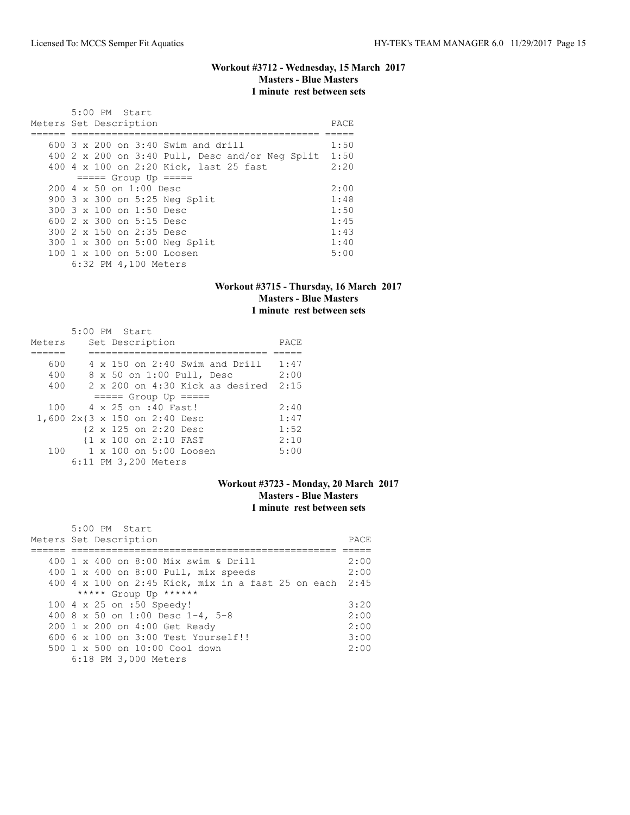# **Workout #3712 - Wednesday, 15 March 2017 Masters - Blue Masters 1 minute rest between sets**

| 5:00 PM Start<br>Meters Set Description                | PACE |
|--------------------------------------------------------|------|
| $600.3 \times 200$ on $3:40$ Swim and drill            | 1:50 |
|                                                        |      |
| 400 2 x 200 on 3:40 Pull, Desc and/or Neq Split        | 1:50 |
| 400 4 x 100 on 2:20 Kick, last 25 fast                 | 2:20 |
| $====$ Group Up $====$                                 |      |
| $200 \text{ } 4 \times 50$ on $1:00$ Desc              | 2:00 |
| 900 3 x 300 on 5:25 Neg Split                          | 1:48 |
| 300 3 x 100 on 1:50 Desc                               | 1:50 |
| 600 2 x 300 on 5:15 Desc                               | 1:45 |
| 300 2 x 150 on 2:35 Desc                               | 1:43 |
| 300 1 x 300 on 5:00 Neg Split                          | 1:40 |
| $100 \text{ 1 x } 100 \text{ on } 5:00 \text{ Loosen}$ | 5:00 |
| 6:32 PM 4,100 Meters                                   |      |

### **Workout #3715 - Thursday, 16 March 2017 Masters - Blue Masters 1 minute rest between sets**

|        |  | $5:00$ PM Start                          |      |
|--------|--|------------------------------------------|------|
| Meters |  | Set Description                          | PACE |
|        |  |                                          |      |
| 600    |  | $4 \times 150$ on 2:40 Swim and Drill    | 1:47 |
| 400    |  | 8 x 50 on 1:00 Pull, Desc                | 2:00 |
| 400    |  | $2 \times 200$ on $4:30$ Kick as desired | 2:15 |
|        |  | $====$ Group Up $====$                   |      |
| 100    |  | 4 x 25 on :40 Fast!                      | 2:40 |
|        |  | 1,600 2x{3 x 150 on 2:40 Desc            | 1:47 |
|        |  | {2 x 125 on 2:20 Desc                    | 1:52 |
|        |  | {1 x 100 on 2:10 FAST                    | 2:10 |
|        |  | 100 1 x 100 on 5:00 Loosen               | 5:00 |
|        |  | 6:11 PM 3,200 Meters                     |      |

### **Workout #3723 - Monday, 20 March 2017 Masters - Blue Masters 1 minute rest between sets**

| 5:00 PM Start                                           |      |
|---------------------------------------------------------|------|
| Meters Set Description                                  | PACE |
|                                                         |      |
| 400 1 x 400 on 8:00 Mix swim & Drill                    | 2:00 |
| 400 1 x 400 on 8:00 Pull, mix speeds                    | 2:00 |
| 400 4 x 100 on 2:45 Kick, mix in a fast 25 on each 2:45 |      |
| ***** Group Up ******                                   |      |
| 100 4 x 25 on :50 Speedy!                               | 3:20 |
| 400 8 x 50 on 1:00 Desc 1-4, 5-8                        | 2:00 |
| 200 1 x 200 on 4:00 Get Ready                           | 2:00 |
| $6006 \times 100$ on $3:00$ Test Yourself!!             | 3:00 |
| 500 1 x 500 on 10:00 Cool down                          | 2:00 |
| 6:18 PM 3,000 Meters                                    |      |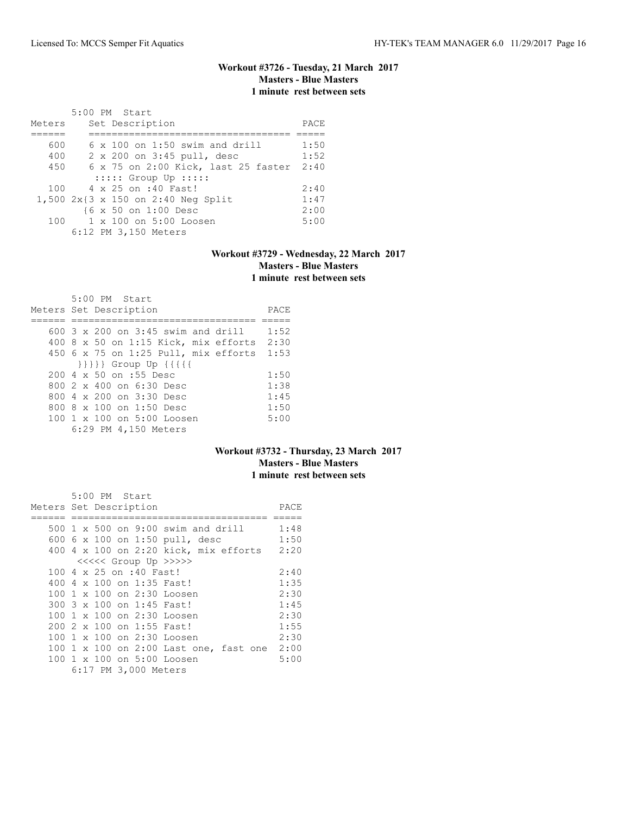# **Workout #3726 - Tuesday, 21 March 2017 Masters - Blue Masters 1 minute rest between sets**

|        | 5:00 PM Start                            |      |
|--------|------------------------------------------|------|
| Meters | Set Description                          | PACE |
|        |                                          |      |
| 600    | $6 \times 100$ on 1:50 swim and drill    | 1:50 |
| 400    | 2 x 200 on 3:45 pull, desc               | 1:52 |
| 450    | 6 x 75 on 2:00 Kick, last 25 faster 2:40 |      |
|        | $::::::$ Group Up $:::::$                |      |
|        | 100 4 x 25 on :40 Fast!                  | 2:40 |
|        | 1,500 2x{3 x 150 on 2:40 Neg Split       | 1:47 |
|        | {6 x 50 on 1:00 Desc                     | 2:00 |
| 100    | 1 x 100 on 5:00 Loosen                   | 5:00 |
|        | 6:12 PM 3,150 Meters                     |      |

# **Workout #3729 - Wednesday, 22 March 2017 Masters - Blue Masters 1 minute rest between sets**

| 5:00 PM Start                                    |      |
|--------------------------------------------------|------|
| Meters Set Description                           | PACE |
|                                                  |      |
| $600-3 \times 200$ on $3:45$ swim and drill      | 1:52 |
| 400 8 x 50 on 1:15 Kick, mix efforts 2:30        |      |
| 450 6 x 75 on 1:25 Pull, mix efforts 1:53        |      |
| $\{\{\{\{\}\}\}\}$ Group Up $\{\{\{\{\{\}\}\}\}$ |      |
| 200 4 x 50 on :55 Desc                           | 1:50 |
| 800 2 x 400 on 6:30 Desc                         | 1:38 |
| 800 4 x 200 on 3:30 Desc                         | 1:45 |
| 800 8 x 100 on 1:50 Desc                         | 1:50 |
| $100 \t 1 \t x \t 100$ on $5:00$ Loosen          | 5:00 |
| 6:29 PM 4,150 Meters                             |      |

# **Workout #3732 - Thursday, 23 March 2017 Masters - Blue Masters 1 minute rest between sets**

| 5:00 PM Start                          |      |
|----------------------------------------|------|
| Meters Set Description                 | PACE |
|                                        |      |
| 500 1 x 500 on 9:00 swim and drill     | 1:48 |
| 600 6 x 100 on 1:50 pull, desc         | 1:50 |
| 400 4 x 100 on 2:20 kick, mix efforts  | 2:20 |
| <<<<< Group Up >>>>>                   |      |
| 100 4 x 25 on :40 Fast!                | 2:40 |
| 400 4 x 100 on 1:35 Fast!              | 1:35 |
| 100 1 x 100 on 2:30 Loosen             | 2:30 |
| 300 3 x 100 on 1:45 Fast!              | 1:45 |
| 100 1 x 100 on 2:30 Loosen             | 2:30 |
| 200 2 x 100 on 1:55 Fast!              | 1:55 |
| 100 1 x 100 on 2:30 Loosen             | 2:30 |
| 100 1 x 100 on 2:00 Last one, fast one | 2:00 |
| 100 1 x 100 on 5:00 Loosen             | 5:00 |
| 6:17 PM 3,000 Meters                   |      |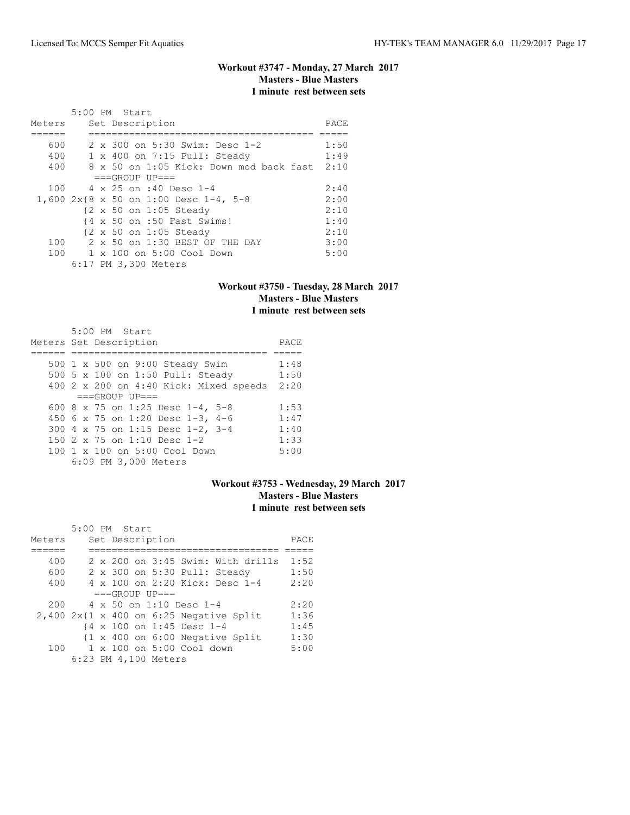# **Workout #3747 - Monday, 27 March 2017 Masters - Blue Masters 1 minute rest between sets**

|        | 5:00 PM Start                           |      |
|--------|-----------------------------------------|------|
| Meters | Set Description                         | PACE |
|        |                                         |      |
| 600    | 2 x 300 on 5:30 Swim: Desc 1-2          | 1:50 |
| 400    | 1 x 400 on 7:15 Pull: Steady            | 1:49 |
| 400    | 8 x 50 on 1:05 Kick: Down mod back fast | 2:10 |
|        | $===GROUP UP==$                         |      |
| 100    | 4 x 25 on :40 Desc 1-4                  | 2:40 |
|        | 1,600 2x{8 x 50 on 1:00 Desc 1-4, 5-8   | 2:00 |
|        | {2 x 50 on 1:05 Steady                  | 2:10 |
|        | {4 x 50 on :50 Fast Swims!              | 1:40 |
|        | {2 x 50 on 1:05 Steady                  | 2:10 |
| 100    | 2 x 50 on 1:30 BEST OF THE DAY          | 3:00 |
|        | 100 1 x 100 on 5:00 Cool Down           | 5:00 |
|        | 6:17 PM 3,300 Meters                    |      |

# **Workout #3750 - Tuesday, 28 March 2017 Masters - Blue Masters 1 minute rest between sets**

| 5:00 PM Start                          |      |
|----------------------------------------|------|
| Meters Set Description                 | PACE |
|                                        |      |
| 500 1 x 500 on 9:00 Steady Swim        | 1:48 |
| 500 5 x 100 on 1:50 Pull: Steady       | 1:50 |
| 400 2 x 200 on 4:40 Kick: Mixed speeds | 2:20 |
| $===GROUP UP = =$                      |      |
| 600 8 x 75 on 1:25 Desc 1-4, 5-8       | 1:53 |
| 450 6 x 75 on 1:20 Desc 1-3, 4-6       | 1:47 |
| 300 4 x 75 on 1:15 Desc 1-2, 3-4       | 1:40 |
| 150 2 x 75 on 1:10 Desc 1-2            | 1:33 |
| 100 1 x 100 on 5:00 Cool Down          | 5:00 |
| 6:09 PM 3,000 Meters                   |      |

### **Workout #3753 - Wednesday, 29 March 2017 Masters - Blue Masters 1 minute rest between sets**

|        | $5:00$ PM Start |  |                      |                                |                                                            |      |
|--------|-----------------|--|----------------------|--------------------------------|------------------------------------------------------------|------|
| Meters |                 |  | Set Description      |                                |                                                            | PACE |
|        |                 |  |                      |                                |                                                            |      |
| 400    |                 |  |                      |                                | $2 \times 200$ on $3:45$ Swim: With drills                 | 1:52 |
| 600    |                 |  |                      |                                | 2 x 300 on 5:30 Pull: Steady                               | 1:50 |
| 400    |                 |  |                      |                                | 4 x 100 on 2:20 Kick: Desc 1-4                             | 2:20 |
|        |                 |  | $===GROUP UP = =$    |                                |                                                            |      |
| 200    |                 |  |                      | $4 \times 50$ on 1:10 Desc 1-4 |                                                            | 2:20 |
|        |                 |  |                      |                                | $2,400$ 2x{1 x 400 on 6:25 Negative Split                  | 1:36 |
|        |                 |  |                      | {4 x 100 on 1:45 Desc 1-4      |                                                            | 1:45 |
|        |                 |  |                      |                                | $\{1 \times 400 \text{ on } 6:00 \text{ Negative Split}\}$ | 1:30 |
| 100    |                 |  |                      | 1 x 100 on 5:00 Cool down      |                                                            | 5:00 |
|        |                 |  | 6:23 PM 4,100 Meters |                                |                                                            |      |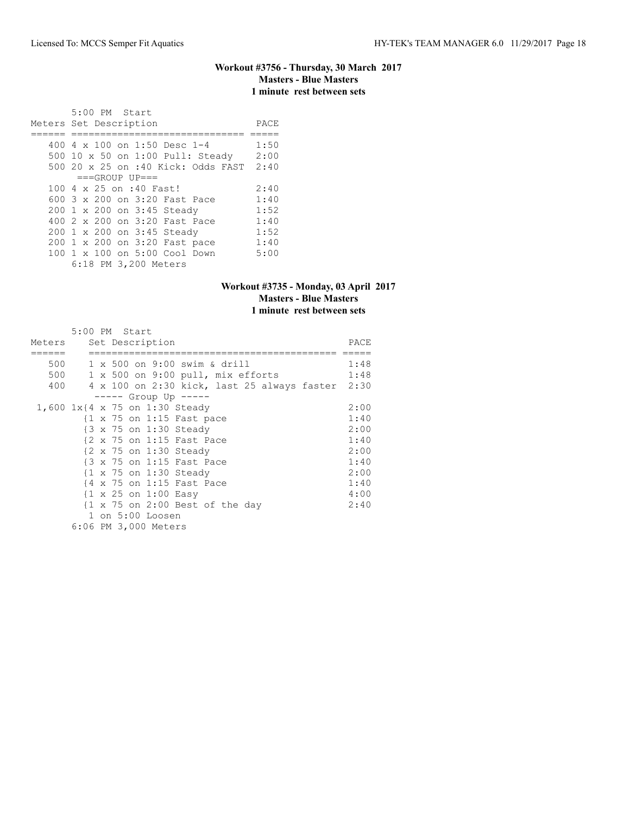### **Workout #3756 - Thursday, 30 March 2017 Masters - Blue Masters 1 minute rest between sets**

 5:00 PM Start Meters Set Description PACE ====== ============================== ===== 400 4 x 100 on 1:50 Desc 1-4 1:50 500 10 x 50 on 1:00 Pull: Steady 2:00 500 20 x 25 on :40 Kick: Odds FAST 2:40  $===GROUP UP==$ <br>100 4 x 25 on :40 Fast! 100 4 x 25 on :40 Fast! 2:40 600 3 x 200 on 3:20 Fast Pace 1:40 200 1 x 200 on 3:45 Steady 1:52 400 2 x 200 on 3:20 Fast Pace 1:40 200 1 x 200 on 3:45 Steady 1:52 200 1 x 200 on 3:20 Fast pace 1:40 100 1 x 100 on 5:00 Cool Down 5:00 6:18 PM 3,200 Meters

#### **Workout #3735 - Monday, 03 April 2017 Masters - Blue Masters 1 minute rest between sets**

|        | 5:00 PM Start                                              |      |
|--------|------------------------------------------------------------|------|
| Meters | Set Description                                            | PACE |
|        |                                                            |      |
| 500    | 1 x 500 on 9:00 swim & drill                               | 1:48 |
| 500    | 1 x 500 on 9:00 pull, mix efforts                          | 1:48 |
| 400    | 4 x 100 on 2:30 kick, last 25 always faster 2:30           |      |
|        | $--- $ Group Up $---$                                      |      |
|        | 1,600 1x{4 x 75 on 1:30 Steady                             | 2:00 |
|        | {1 x 75 on 1:15 Fast pace                                  | 1:40 |
|        | $\{3 \times 75 \text{ on } 1:30 \text{ Steady}\}$          | 2:00 |
|        | {2 x 75 on 1:15 Fast Pace                                  | 1:40 |
|        | {2 x 75 on 1:30 Steady                                     | 2:00 |
|        | $\{3 \times 75 \text{ on } 1:15 \text{ Fast Place}\}$      | 1:40 |
|        | $\{1 \times 75 \text{ on } 1:30 \text{ Steady}\}$          | 2:00 |
|        | $\{4 \times 75 \text{ on } 1:15 \text{ Fast Place}\}$      | 1:40 |
|        | $\{1 \times 25 \text{ on } 1:00 \text{ Easy}\}$            | 4:00 |
|        | $\{1 \times 75 \text{ on } 2:00 \text{ Best of the day}\}$ | 2:40 |
|        | 1 on 5:00 Loosen                                           |      |
|        | 6:06 PM 3,000 Meters                                       |      |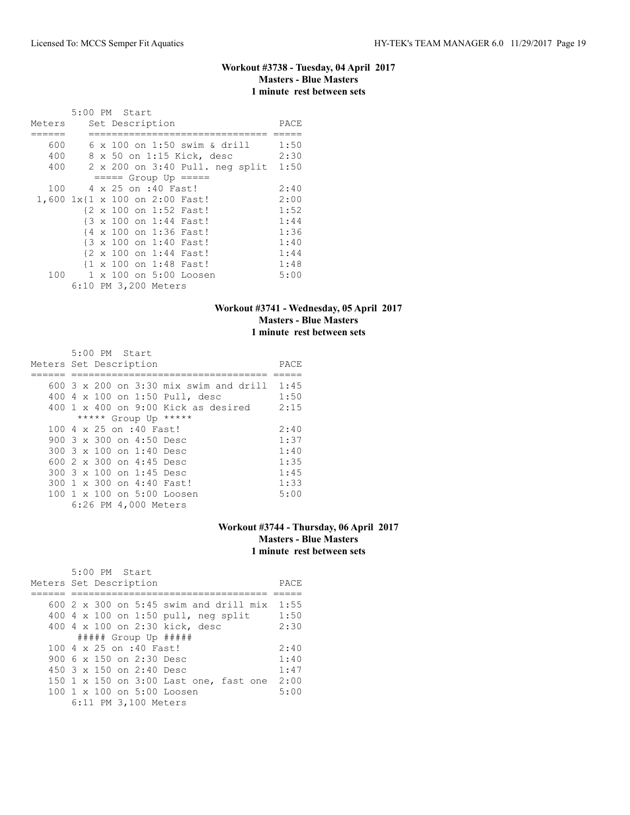### **Workout #3738 - Tuesday, 04 April 2017 Masters - Blue Masters 1 minute rest between sets**

|                                | 5:00 PM Start |  |                      |                                 |      |
|--------------------------------|---------------|--|----------------------|---------------------------------|------|
| Meters                         |               |  | Set Description      |                                 | PACE |
|                                |               |  |                      |                                 |      |
| 600                            |               |  |                      | 6 x 100 on 1:50 swim & drill    | 1:50 |
| 400                            |               |  |                      | 8 x 50 on 1:15 Kick, desc       | 2:30 |
| 400                            |               |  |                      | 2 x 200 on 3:40 Pull. neg split | 1:50 |
|                                |               |  |                      | $== == $ Group Up $== == $      |      |
| 100                            |               |  | 4 x 25 on :40 Fast!  |                                 | 2:40 |
| 1,600 1x{1 x 100 on 2:00 Fast! |               |  |                      |                                 | 2:00 |
|                                |               |  |                      | {2 x 100 on 1:52 Fast!          | 1:52 |
|                                |               |  |                      | {3 x 100 on 1:44 Fast!          | 1:44 |
|                                |               |  |                      | {4 x 100 on 1:36 Fast!          | 1:36 |
|                                |               |  |                      | {3 x 100 on 1:40 Fast!          | 1:40 |
|                                |               |  |                      | {2 x 100 on 1:44 Fast!          | 1:44 |
|                                |               |  |                      | {1 x 100 on 1:48 Fast!          | 1:48 |
|                                |               |  |                      | 100 1 x 100 on 5:00 Loosen      | 5:00 |
|                                |               |  | 6:10 PM 3,200 Meters |                                 |      |

### **Workout #3741 - Wednesday, 05 April 2017 Masters - Blue Masters 1 minute rest between sets**

|  | 5:00 PM Start                   |                                          |      |
|--|---------------------------------|------------------------------------------|------|
|  | Meters Set Description          |                                          | PACE |
|  |                                 |                                          |      |
|  |                                 | $600$ 3 x 200 on 3:30 mix swim and drill | 1:45 |
|  |                                 | 400 4 x 100 on 1:50 Pull, desc           | 1:50 |
|  |                                 | $400 \t1 x 400$ on 9:00 Kick as desired  | 2:15 |
|  | ***** Group Up *****            |                                          |      |
|  | 100 4 x 25 on :40 Fast!         |                                          | 2:40 |
|  | 900 3 x 300 on 4:50 Desc        |                                          | 1:37 |
|  | 300 3 x 100 on 1:40 Desc        |                                          | 1:40 |
|  | 600 $2 \times 300$ on 4:45 Desc |                                          | 1:35 |
|  | 300 3 x 100 on 1:45 Desc        |                                          | 1:45 |
|  | 300 1 x 300 on 4:40 Fast!       |                                          | 1:33 |
|  | 100 1 x 100 on 5:00 Loosen      |                                          | 5:00 |
|  | 6:26 PM 4,000 Meters            |                                          |      |

# **Workout #3744 - Thursday, 06 April 2017 Masters - Blue Masters 1 minute rest between sets**

| $5:00$ PM Start<br>Meters Set Description              | PACE |
|--------------------------------------------------------|------|
| 600 $2 \times 300$ on 5:45 swim and drill mix          | 1:55 |
| 400 $4 \times 100$ on 1:50 pull, neg split             | 1:50 |
| 400 4 x 100 on 2:30 kick, desc                         | 2:30 |
| $\#$ #### Group Up $\#$ ####                           |      |
| 100 4 x 25 on :40 Fast!                                | 2:40 |
| 900 6 x 150 on 2:30 Desc                               | 1:40 |
| $450$ 3 x 150 on 2:40 Desc                             | 1:47 |
| 150 1 x 150 on 3:00 Last one, fast one                 | 2:00 |
| $100 \text{ 1 x } 100 \text{ on } 5:00 \text{ Loosen}$ | 5:00 |
| 6:11 PM 3,100 Meters                                   |      |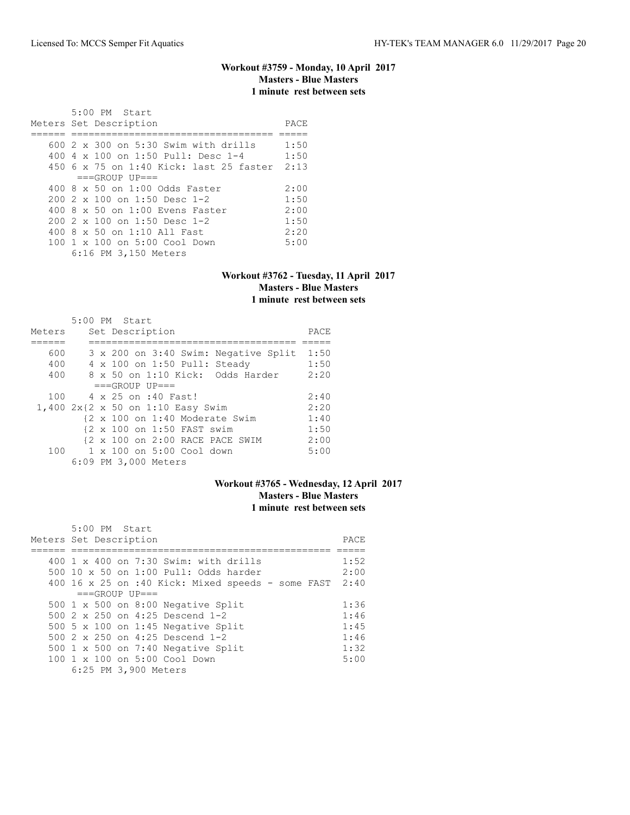# **Workout #3759 - Monday, 10 April 2017 Masters - Blue Masters 1 minute rest between sets**

| 5:00 PM Start                                |      |
|----------------------------------------------|------|
| Meters Set Description                       | PACE |
|                                              |      |
| $600\,2\,x\,300$ on 5:30 Swim with drills    | 1:50 |
| 400 4 $\times$ 100 on 1:50 Pull: Desc 1-4    | 1:50 |
| 450 6 x 75 on 1:40 Kick: last 25 faster 2:13 |      |
| $===GROUP UP=-$                              |      |
| $400.8 \times 50$ on 1:00 Odds Faster        | 2:00 |
| 200 2 x 100 on 1:50 Desc 1-2                 | 1:50 |
| 400 8 x 50 on 1:00 Evens Faster              | 2:00 |
| 200 2 x 100 on 1:50 Desc 1-2                 | 1:50 |
| 400 8 x 50 on 1:10 All Fast                  | 2:20 |
| $100 \t1 x 100$ on $5:00$ Cool Down          | 5:00 |
| 6:16 PM 3,150 Meters                         |      |

#### **Workout #3762 - Tuesday, 11 April 2017 Masters - Blue Masters 1 minute rest between sets**

|        | 5:00 PM Start                          |      |
|--------|----------------------------------------|------|
| Meters | Set Description                        | PACE |
|        |                                        |      |
| 600    | 3 x 200 on 3:40 Swim: Negative Split   | 1:50 |
| 400    | 4 x 100 on 1:50 Pull: Steady           | 1:50 |
| 400    | 8 x 50 on 1:10 Kick: Odds Harder       | 2:20 |
|        | $===GROUP UP = =$                      |      |
| 100    | 4 x 25 on :40 Fast!                    | 2:40 |
|        | 1,400 2x{2 x 50 on 1:10 Easy Swim      | 2:20 |
|        | {2 x 100 on 1:40 Moderate Swim         | 1:40 |
|        | {2 x 100 on 1:50 FAST swim             | 1:50 |
|        | {2 x 100 on 2:00 RACE PACE SWIM        | 2:00 |
|        | 100    1 x 100    an 5:00    Cool down | 5:00 |
|        | 6:09 PM 3,000 Meters                   |      |

### **Workout #3765 - Wednesday, 12 April 2017 Masters - Blue Masters 1 minute rest between sets**

| 5:00 PM Start<br>Meters Set Description           | PACE |
|---------------------------------------------------|------|
|                                                   |      |
| $400 \t1 x 400$ on $7:30$ Swim: with drills       | 1:52 |
| 500 10 x 50 on 1:00 Pull: Odds harder             | 2:00 |
| 400 16 x 25 on :40 Kick: Mixed speeds - some FAST | 2:40 |
| $===GROUP UP=-$                                   |      |
| 500 $1 \times 500$ on 8:00 Negative Split         | 1:36 |
| 500 $2 \times 250$ on 4:25 Descend 1-2            | 1:46 |
| 500 5 x 100 on 1:45 Negative Split                | 1:45 |
| 500 $2 \times 250$ on 4:25 Descend 1-2            | 1:46 |
| 500 $1 \times 500$ on 7:40 Negative Split         | 1:32 |
| 100 1 x 100 on 5:00 Cool Down                     | 5:00 |
| 6:25 PM 3,900 Meters                              |      |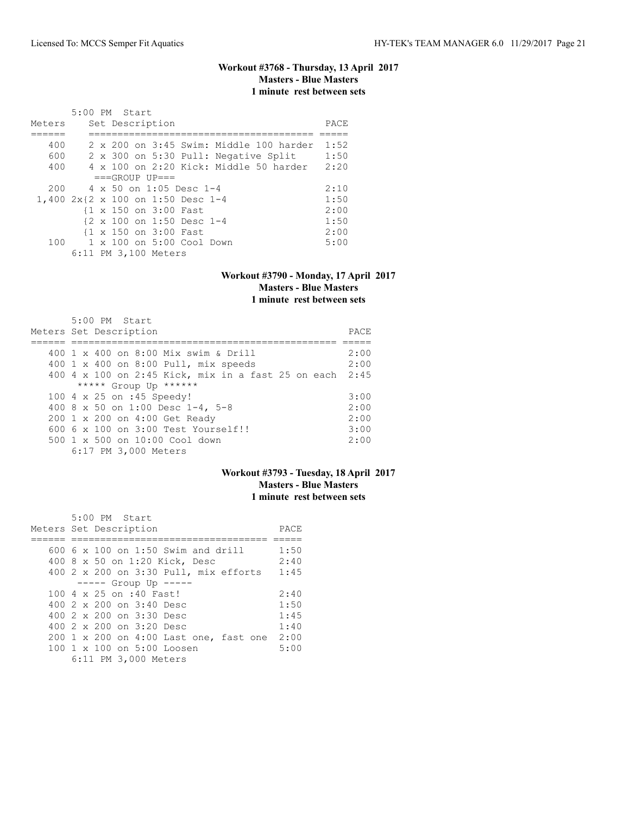# **Workout #3768 - Thursday, 13 April 2017 Masters - Blue Masters 1 minute rest between sets**

|                                   | 5:00 PM Start |  |                       |                                                     |                                      |                                                  |      |
|-----------------------------------|---------------|--|-----------------------|-----------------------------------------------------|--------------------------------------|--------------------------------------------------|------|
| Meters                            |               |  | Set Description       |                                                     |                                      |                                                  | PACE |
|                                   |               |  |                       |                                                     |                                      |                                                  |      |
| 400                               |               |  |                       |                                                     |                                      | $2 \times 200$ on $3:45$ Swim: Middle 100 harder | 1:52 |
| 600                               |               |  |                       |                                                     | 2 x 300 on 5:30 Pull: Negative Split |                                                  | 1:50 |
| 400                               |               |  |                       |                                                     |                                      | $4 \times 100$ on 2:20 Kick: Middle 50 harder    | 2:20 |
|                                   |               |  | $===GROUP UP = =$     |                                                     |                                      |                                                  |      |
|                                   |               |  |                       | $200 \times 4 \times 50$ on 1:05 Desc 1-4           |                                      |                                                  | 2:10 |
| 1,400 2x{2 x 100 on 1:50 Desc 1-4 |               |  |                       |                                                     |                                      |                                                  | 1:50 |
|                                   |               |  | {1 x 150 on 3:00 Fast |                                                     |                                      |                                                  | 2:00 |
|                                   |               |  |                       | $\{2 \times 100 \text{ on } 1:50 \text{ Desc } 1-4$ |                                      |                                                  | 1:50 |
|                                   |               |  | {1 x 150 on 3:00 Fast |                                                     |                                      |                                                  | 2:00 |
| 100                               |               |  |                       | $1 \times 100$ on $5:00$ Cool Down                  |                                      |                                                  | 5:00 |
|                                   |               |  | 6:11 PM 3,100 Meters  |                                                     |                                      |                                                  |      |

#### **Workout #3790 - Monday, 17 April 2017 Masters - Blue Masters 1 minute rest between sets**

| 5:00 PM Start<br>Meters Set Description                 | PACE |
|---------------------------------------------------------|------|
|                                                         |      |
| 400 1 x 400 on 8:00 Mix swim & Drill                    | 2:00 |
| 400 1 x 400 on 8:00 Pull, mix speeds                    | 2:00 |
| 400 4 x 100 on 2:45 Kick, mix in a fast 25 on each 2:45 |      |
| ***** Group Up ******                                   |      |
| 100 4 x 25 on :45 Speedy!                               | 3:00 |
| 400 8 x 50 on 1:00 Desc 1-4, 5-8                        | 2:00 |
| 200 1 x 200 on 4:00 Get Ready                           | 2:00 |
| $6006 \times 100$ on $3:00$ Test Yourself!!             | 3:00 |
| 500 1 x 500 on 10:00 Cool down                          | 2:00 |
| 6:17 PM 3,000 Meters                                    |      |

# **Workout #3793 - Tuesday, 18 April 2017 Masters - Blue Masters 1 minute rest between sets**

| 5:00 PM Start                             |      |
|-------------------------------------------|------|
| Meters Set Description                    | PACE |
|                                           |      |
| $600.6 \times 100$ on 1:50 Swim and drill | 1:50 |
| 400 8 x 50 on 1:20 Kick, Desc             | 2:40 |
| 400 2 x 200 on 3:30 Pull, mix efforts     | 1:45 |
| $--- -$ Group Up $---$                    |      |
| 100 4 x 25 on :40 Fast!                   | 2:40 |
| $4002 \times 200$ on $3:40$ Desc          | 1:50 |
| 400 2 x 200 on 3:30 Desc                  | 1:45 |
| 400 2 x 200 on 3:20 Desc                  | 1:40 |
| 200 1 x 200 on 4:00 Last one, fast one    | 2:00 |
| 100 1 x 100 on 5:00 Loosen                | 5:00 |
| 6:11 PM 3,000 Meters                      |      |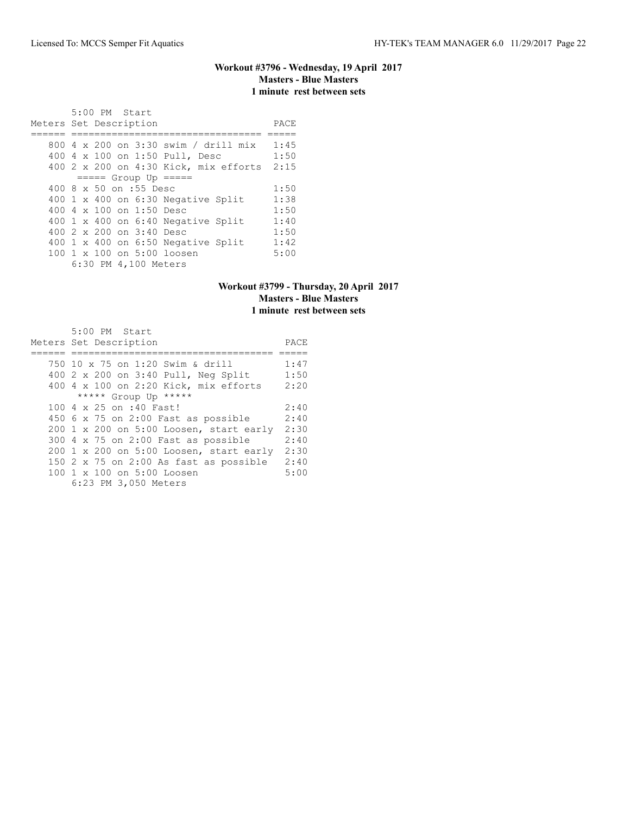## **Workout #3796 - Wednesday, 19 April 2017 Masters - Blue Masters 1 minute rest between sets**

 5:00 PM Start Meters Set Description PACE ====== ================================= ===== 800 4 x 200 on 3:30 swim / drill mix 1:45 400 4 x 100 on 1:50 Pull, Desc 1:50 400 2 x 200 on 4:30 Kick, mix efforts 2:15 ===== Group Up ===== 400 8 x 50 on :55 Desc 1:50<br>400 1 x 400 on 6:30 Negative Split 1:38 400 1 x 400 on 6:30 Negative Split 1:38<br>400 4 x 100 on 1:50 Desc 1:50 400 4 x 100 on 1:50 Desc 1:50<br>400 1 x 400 on 6:40 Negative Split 1:40 400 1 x 400 on 6:40 Negative Split 1:40<br>400 2 x 200 on 3:40 Desc 1:50 400 2 x 200 on 3:40 Desc 400 1 x 400 on 6:50 Negative Split 1:42<br>100 1 x 100 on 5:00 loosen 5:00 100 1 x 100 on 5:00 loosen 6:30 PM 4,100 Meters

#### **Workout #3799 - Thursday, 20 April 2017 Masters - Blue Masters 1 minute rest between sets**

| 5:00 PM Start                                 |      |
|-----------------------------------------------|------|
| Meters Set Description                        | PACE |
|                                               |      |
| 750 10 x 75 on 1:20 Swim & drill              | 1:47 |
| 400 2 x 200 on 3:40 Pull, Neg Split           | 1:50 |
| 400 4 x 100 on 2:20 Kick, mix efforts         | 2:20 |
| ***** Group Up *****                          |      |
| 100 4 x 25 on :40 Fast!                       | 2:40 |
| 450 $6 \times 75$ on 2:00 Fast as possible    | 2:40 |
| $200$ 1 x 200 on 5:00 Loosen, start early     | 2:30 |
| $300$ 4 x 75 on 2:00 Fast as possible         | 2:40 |
| 200 1 x 200 on 5:00 Loosen, start early       | 2:30 |
| 150 $2 \times 75$ on 2:00 As fast as possible | 2:40 |
| 100 1 x 100 on 5:00 Loosen                    | 5:00 |
| 6:23 PM 3,050 Meters                          |      |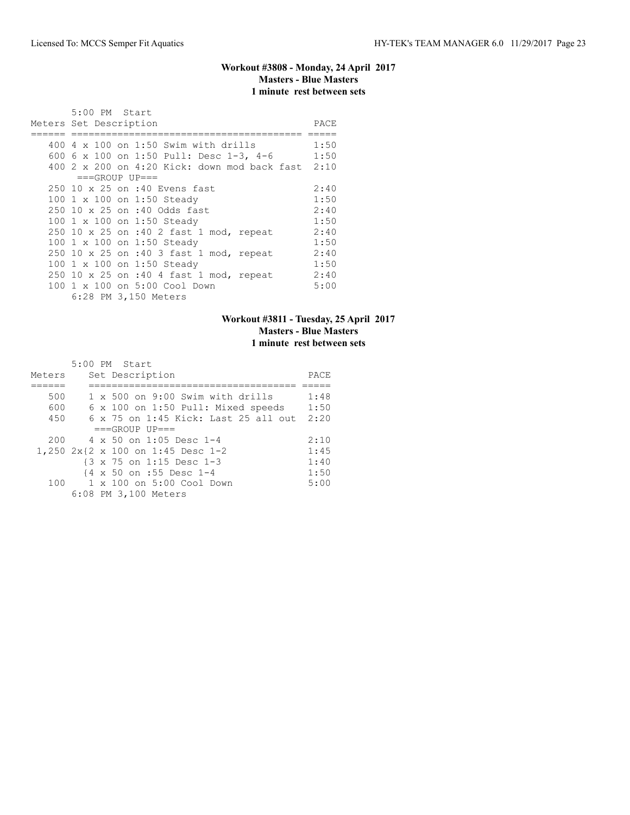# **Workout #3808 - Monday, 24 April 2017 Masters - Blue Masters 1 minute rest between sets**

| 5:00 PM Start          |                                                   |      |
|------------------------|---------------------------------------------------|------|
| Meters Set Description |                                                   | PACE |
|                        |                                                   |      |
|                        | 400 $4 \times 100$ on 1:50 Swim with drills       | 1:50 |
|                        | 600 6 x 100 on 1:50 Pull: Desc 1-3, 4-6           | 1:50 |
|                        | 400 2 x 200 on 4:20 Kick: down mod back fast 2:10 |      |
|                        | $===GROUP UP=-$                                   |      |
|                        | 250 10 x 25 on :40 Evens fast                     | 2:40 |
|                        | 100 1 x 100 on 1:50 Steady                        | 1:50 |
|                        | 250 10 x 25 on :40 Odds fast                      | 2:40 |
|                        | 100 1 x 100 on 1:50 Steady                        | 1:50 |
|                        | 250 10 x 25 on :40 2 fast 1 mod, repeat           | 2:40 |
|                        | 100 1 x 100 on 1:50 Steady                        | 1:50 |
|                        | 250 10 x 25 on :40 3 fast 1 mod, repeat           | 2:40 |
|                        | 100 1 x 100 on 1:50 Steady                        | 1:50 |
|                        | 250 10 x 25 on :40 4 fast 1 mod, repeat           | 2:40 |
|                        | 100 1 x 100 on 5:00 Cool Down                     | 5:00 |
|                        | 6:28 PM 3,150 Meters                              |      |

# **Workout #3811 - Tuesday, 25 April 2017 Masters - Blue Masters 1 minute rest between sets**

|        |  | 5:00 PM Start                               |      |
|--------|--|---------------------------------------------|------|
| Meters |  | Set Description                             | PACE |
|        |  |                                             |      |
| 500    |  | $1 \times 500$ on 9:00 Swim with drills     | 1:48 |
| 600    |  | 6 x 100 on 1:50 Pull: Mixed speeds          | 1:50 |
| 450    |  | $6 \times 75$ on 1:45 Kick: Last 25 all out | 2:20 |
|        |  | $===GROUP UP = =$                           |      |
| 200    |  | $4 \times 50$ on 1:05 Desc 1-4              | 2:10 |
|        |  | 1,250 2x{2 x 100 on 1:45 Desc 1-2           | 1:45 |
|        |  | {3 x 75 on 1:15 Desc 1-3                    | 1:40 |
|        |  | {4 x 50 on :55 Desc 1-4                     | 1:50 |
| 100    |  | 1 x 100 on 5:00 Cool Down                   | 5:00 |
|        |  | 6:08 PM 3,100 Meters                        |      |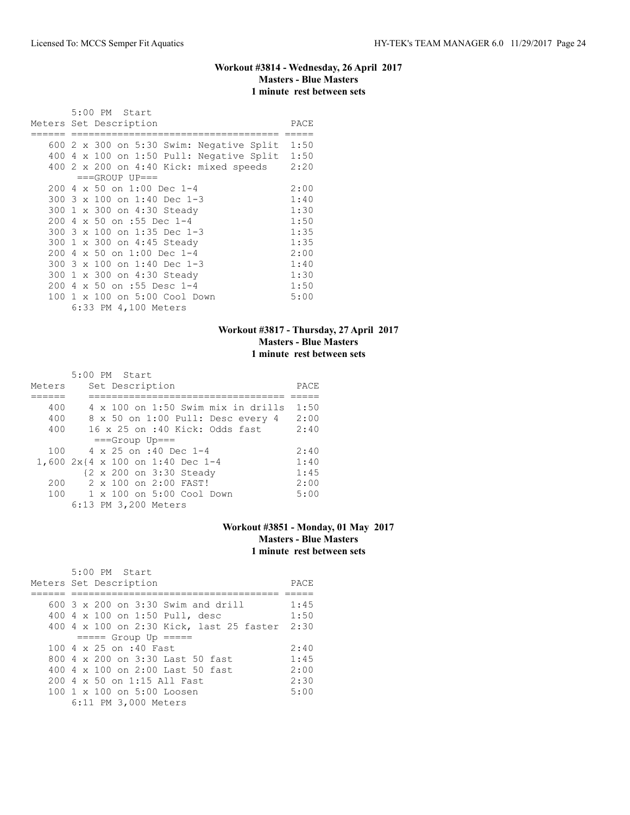# **Workout #3814 - Wednesday, 26 April 2017 Masters - Blue Masters 1 minute rest between sets**

|     | 5:00 PM Start                                        |      |
|-----|------------------------------------------------------|------|
|     | Meters Set Description                               | PACE |
|     | 600 $2 \times 300$ on 5:30 Swim: Negative Split 1:50 |      |
|     | 400 4 x 100 on 1:50 Pull: Negative Split $1:50$      |      |
|     | 400 2 x 200 on 4:40 Kick: mixed speeds               | 2:20 |
|     | $===GROUP UP==$                                      |      |
|     | 200 4 x 50 on 1:00 Dec 1-4                           | 2:00 |
|     | 300 3 x 100 on 1:40 Dec 1-3                          | 1:40 |
|     | 300 1 x 300 on 4:30 Steady                           | 1:30 |
|     | 200 4 x 50 on :55 Dec 1-4                            | 1:50 |
|     | 300 3 x 100 on 1:35 Dec 1-3                          | 1:35 |
|     | 300 1 x 300 on 4:45 Steady                           | 1:35 |
| 200 | 4 x 50 on 1:00 Dec 1-4                               | 2:00 |
|     | 300 3 x 100 on 1:40 Dec 1-3                          | 1:40 |
|     | 300 1 x 300 on 4:30 Steady                           | 1:30 |
| 200 | 4 x 50 on :55 Desc 1-4                               | 1:50 |
|     | 100 1 x 100 on 5:00 Cool Down                        | 5:00 |
|     | 6:33 PM 4,100 Meters                                 |      |

# **Workout #3817 - Thursday, 27 April 2017 Masters - Blue Masters 1 minute rest between sets**

|        | 5:00 PM Start                             |      |
|--------|-------------------------------------------|------|
| Meters | Set Description                           | PACE |
|        |                                           |      |
| 400    | $4 \times 100$ on 1:50 Swim mix in drills | 1:50 |
| 400    | 8 x 50 on 1:00 Pull: Desc every 4         | 2:00 |
| 400    | 16 x 25 on :40 Kick: Odds fast            | 2:40 |
|        | $===Group$ Up===                          |      |
| 100    | 4 x 25 on :40 Dec 1-4                     | 2:40 |
|        | 1,600 2x{4 x 100 on 1:40 Dec 1-4          | 1:40 |
|        | {2 x 200 on 3:30 Steady                   | 1:45 |
| 200    | 2 x 100 on 2:00 FAST!                     | 2:00 |
| 100    | $1 \times 100$ on $5:00$ Cool Down        | 5:00 |
|        | 6:13 PM 3,200 Meters                      |      |

# **Workout #3851 - Monday, 01 May 2017 Masters - Blue Masters 1 minute rest between sets**

| 5:00 PM Start<br>Meters Set Description       | PACE |
|-----------------------------------------------|------|
| 600 3 x 200 on 3:30 Swim and drill            | 1:45 |
| 400 4 x 100 on 1:50 Pull, desc                | 1:50 |
| 400 4 x 100 on 2:30 Kick, last 25 faster 2:30 |      |
| $== == $ Group Up $== == $                    |      |
| $100.4 \times 25$ on :40 Fast                 | 2:40 |
| 800 4 x 200 on 3:30 Last 50 fast              | 1:45 |
| 400 4 x 100 on 2:00 Last 50 fast              | 2:00 |
| 200 4 x 50 on 1:15 All Fast                   | 2:30 |
| $100 \t 1 \t x \t 100$ on 5:00 Loosen         | 5:00 |
| 6:11 PM 3,000 Meters                          |      |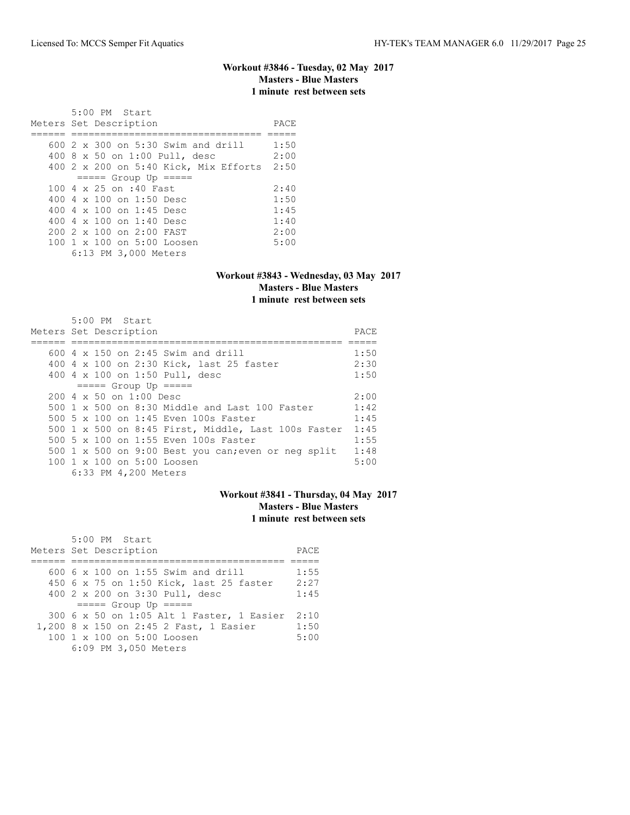## **Workout #3846 - Tuesday, 02 May 2017 Masters - Blue Masters 1 minute rest between sets**

| 5:00 PM Start<br>Meters Set Description    | PACE |
|--------------------------------------------|------|
|                                            |      |
| 600 2 x 300 on 5:30 Swim and drill         | 1:50 |
| 400 8 x 50 on 1:00 Pull, desc              | 2:00 |
| 400 2 x 200 on 5:40 Kick, Mix Efforts 2:50 |      |
| $== == $ Group Up $== == $                 |      |
| 100 4 x 25 on :40 Fast                     | 2:40 |
| 400 $4 \times 100$ on 1:50 Desc            | 1:50 |
| 400 4 $\times$ 100 on 1:45 Desc            | 1:45 |
| 400 $4 \times 100$ on 1:40 Desc            | 1:40 |
| $2002 \times 100$ on $2:00$ FAST           | 2:00 |
| 100 1 x 100 on 5:00 Loosen                 | 5:00 |
| 6:13 PM 3,000 Meters                       |      |

#### **Workout #3843 - Wednesday, 03 May 2017 Masters - Blue Masters 1 minute rest between sets**

| $5:00$ PM Start<br>Meters Set Description           | PACE |
|-----------------------------------------------------|------|
| 600 4 x 150 on 2:45 Swim and drill                  | 1:50 |
|                                                     |      |
| 400 4 x 100 on 2:30 Kick, last 25 faster            | 2:30 |
| 400 4 x 100 on 1:50 Pull, desc                      | 1:50 |
| $====$ Group Up $====$                              |      |
| $200 \, 4 \times 50$ on $1:00$ Desc                 | 2:00 |
| 500 1 x 500 on 8:30 Middle and Last 100 Faster      | 1:42 |
| 500 5 x 100 on 1:45 Even 100s Faster                | 1:45 |
| 500 1 x 500 on 8:45 First, Middle, Last 100s Faster | 1:45 |
| 500 5 x 100 on 1:55 Even 100s Faster                | 1:55 |
| 500 1 x 500 on 9:00 Best you can; even or neg split | 1:48 |
| 100 1 x 100 on 5:00 Loosen                          | 5:00 |
| 6:33 PM 4,200 Meters                                |      |

# **Workout #3841 - Thursday, 04 May 2017 Masters - Blue Masters 1 minute rest between sets**

| 5:00 PM Start                             |      |
|-------------------------------------------|------|
| Meters Set Description                    | PACE |
|                                           |      |
| 600 6 x 100 on 1:55 Swim and drill        | 1:55 |
| 450 6 x 75 on 1:50 Kick, last 25 faster   | 2:27 |
| 400 2 x 200 on 3:30 Pull, desc            | 1:45 |
| $== == $ Group Up $== == $                |      |
| 300 6 x 50 on 1:05 Alt 1 Faster, 1 Easier | 2:10 |
| 1,200 8 x 150 on 2:45 2 Fast, 1 Easier    | 1:50 |
| 100 1 x 100 on 5:00 Loosen                | 5:00 |
| 6:09 PM 3,050 Meters                      |      |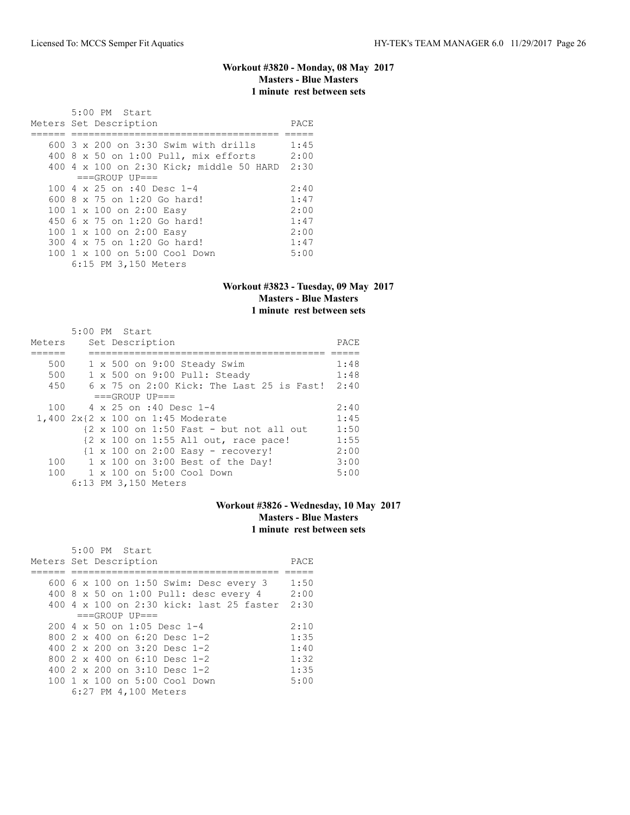# **Workout #3820 - Monday, 08 May 2017 Masters - Blue Masters 1 minute rest between sets**

| $5:00$ PM Start<br>Meters Set Description     | PACE |
|-----------------------------------------------|------|
|                                               |      |
| $600.3 \times 200$ on $3:30$ Swim with drills | 1:45 |
| 400 8 x 50 on 1:00 Pull, mix efforts          | 2:00 |
| 400 4 x 100 on 2:30 Kick; middle 50 HARD      | 2:30 |
| $===GROUP UP==$                               |      |
| 100 4 x 25 on :40 Desc 1-4                    | 2:40 |
| 600 8 x 75 on 1:20 Go hard!                   | 1:47 |
| 100 1 x 100 on 2:00 Easy                      | 2:00 |
| $450\,6\,x\,75\,$ on $1:20\,$ Go hard!        | 1:47 |
| 100 1 x 100 on 2:00 Easy                      | 2:00 |
| 300 4 x 75 on 1:20 Go hard!                   | 1:47 |
| $100 \t 1 \t x \t 100$ on $5:00$ Cool Down    | 5:00 |
| 6:15 PM 3,150 Meters                          |      |

### **Workout #3823 - Tuesday, 09 May 2017 Masters - Blue Masters 1 minute rest between sets**

| Meters | $5:00$ PM Start<br>Set Description                                         | PACE |
|--------|----------------------------------------------------------------------------|------|
|        |                                                                            |      |
| 500    | $1 \times 500$ on 9:00 Steady Swim                                         | 1:48 |
| 500    | 1 x 500 on 9:00 Pull: Steady                                               | 1:48 |
| 450    | $6 \times 75$ on 2:00 Kick: The Last 25 is Fast! 2:40                      |      |
|        | $===GROUP UP = =$                                                          |      |
| 100    | $4 \times 25$ on :40 Desc 1-4                                              | 2:40 |
|        | 1,400 2x{2 x 100 on 1:45 Moderate                                          | 1:45 |
|        | $\{2 \times 100 \text{ on } 1:50 \text{ Fast} - \text{ but not all out}\}$ | 1:50 |
|        | $\{2 \times 100 \text{ on } 1:55 \text{ All out, race pace}\}$             | 1:55 |
|        | $\{1 \times 100 \text{ on } 2:00 \text{ Easy} - \text{ recovery}\}$        | 2:00 |
| 100    | 1 x 100 on 3:00 Best of the Day!                                           | 3:00 |
| 100    | 1 x 100 on 5:00 Cool Down                                                  | 5:00 |
|        | 6:13 PM 3,150 Meters                                                       |      |

# **Workout #3826 - Wednesday, 10 May 2017 Masters - Blue Masters 1 minute rest between sets**

| 5:00 PM Start                            |      |
|------------------------------------------|------|
| Meters Set Description                   | PACE |
|                                          |      |
| 600 6 x 100 on 1:50 Swim: Desc every 3   | 1:50 |
| 400 8 x 50 on 1:00 Pull: desc every 4    | 2:00 |
| 400 4 x 100 on 2:30 kick: last 25 faster | 2:30 |
| $===GROUP UP==$                          |      |
| $200.4 \times 50$ on 1:05 Desc 1-4       | 2:10 |
| 800 $2 \times 400$ on 6:20 Desc 1-2      | 1:35 |
| 400 $2 \times 200$ on $3:20$ Desc 1-2    | 1:40 |
| 800 $2 \times 400$ on 6:10 Desc 1-2      | 1:32 |
| 400 $2 \times 200$ on $3:10$ Desc 1-2    | 1:35 |
| 100 1 x 100 on 5:00 Cool Down            | 5:00 |
| 6:27 PM 4,100 Meters                     |      |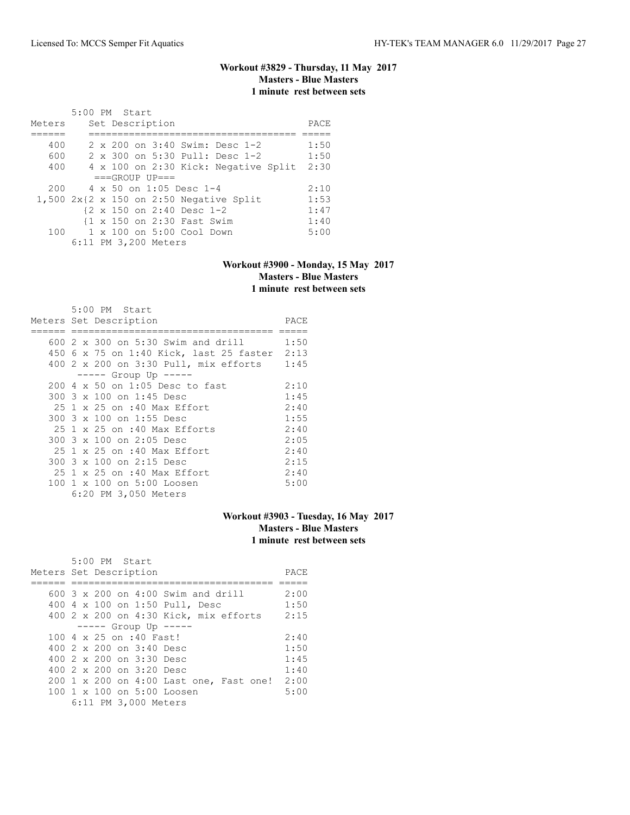# **Workout #3829 - Thursday, 11 May 2017 Masters - Blue Masters 1 minute rest between sets**

|        | 5:00 PM Start |  |                      |                                |                                           |      |
|--------|---------------|--|----------------------|--------------------------------|-------------------------------------------|------|
| Meters |               |  | Set Description      |                                |                                           | PACE |
|        |               |  |                      |                                |                                           |      |
| 400    |               |  |                      |                                | 2 x 200 on 3:40 Swim: Desc 1-2            | 1:50 |
| 600    |               |  |                      |                                | 2 x 300 on 5:30 Pull: Desc 1-2            | 1:50 |
| 400    |               |  |                      |                                | 4 x 100 on 2:30 Kick: Negative Split      | 2:30 |
|        |               |  | $===GROUP UP = =$    |                                |                                           |      |
| 200    |               |  |                      | $4 \times 50$ on 1:05 Desc 1-4 |                                           | 2:10 |
|        |               |  |                      |                                | $1,500$ 2x{2 x 150 on 2:50 Negative Split | 1:53 |
|        |               |  |                      | {2 x 150 on 2:40 Desc 1-2      |                                           | 1:47 |
|        |               |  |                      | {1 x 150 on 2:30 Fast Swim     |                                           | 1:40 |
| 100    |               |  |                      | 1 x 100 on 5:00 Cool Down      |                                           | 5:00 |
|        |               |  | 6:11 PM 3,200 Meters |                                |                                           |      |

#### **Workout #3900 - Monday, 15 May 2017 Masters - Blue Masters 1 minute rest between sets**

|  | 5:00 PM Start                                |      |
|--|----------------------------------------------|------|
|  | Meters Set Description                       | PACE |
|  |                                              |      |
|  | 600 2 x 300 on 5:30 Swim and drill           | 1:50 |
|  | 450 6 x 75 on 1:40 Kick, last 25 faster 2:13 |      |
|  | 400 2 x 200 on 3:30 Pull, mix efforts 1:45   |      |
|  | $--- $ Group Up $---$                        |      |
|  | 200 4 x 50 on 1:05 Desc to fast              | 2:10 |
|  | 300 3 x 100 on 1:45 Desc                     | 1:45 |
|  | 25 1 x 25 on :40 Max Effort                  | 2:40 |
|  | 300 3 x 100 on 1:55 Desc                     | 1:55 |
|  | 25 1 x 25 on :40 Max Efforts                 | 2:40 |
|  | 300 3 x 100 on 2:05 Desc                     | 2:05 |
|  | 25 1 x 25 on :40 Max Effort                  | 2:40 |
|  | 300 3 x 100 on 2:15 Desc                     | 2:15 |
|  | 25 1 x 25 on :40 Max Effort                  | 2:40 |
|  | 100 1 x 100 on 5:00 Loosen                   | 5:00 |
|  | 6:20 PM 3,050 Meters                         |      |

# **Workout #3903 - Tuesday, 16 May 2017 Masters - Blue Masters 1 minute rest between sets**

| 5:00 PM Start                                          |      |
|--------------------------------------------------------|------|
| Meters Set Description                                 | PACE |
|                                                        |      |
| 600 3 x 200 on 4:00 Swim and drill                     | 2:00 |
| 400 4 x 100 on 1:50 Pull, Desc                         | 1:50 |
| 400 2 x 200 on 4:30 Kick, mix efforts                  | 2:15 |
| $--- $ Group Up $---$                                  |      |
| 100 4 x 25 on :40 Fast!                                | 2:40 |
| 400 2 x 200 on 3:40 Desc                               | 1:50 |
| 400 2 x 200 on 3:30 Desc                               | 1:45 |
| 400 $2 \times 200$ on $3:20$ Desc                      | 1:40 |
| 200 1 x 200 on 4:00 Last one, Fast one!                | 2:00 |
| $100 \text{ 1 x } 100 \text{ on } 5:00 \text{ Loosen}$ | 5:00 |
| 6:11 PM 3,000 Meters                                   |      |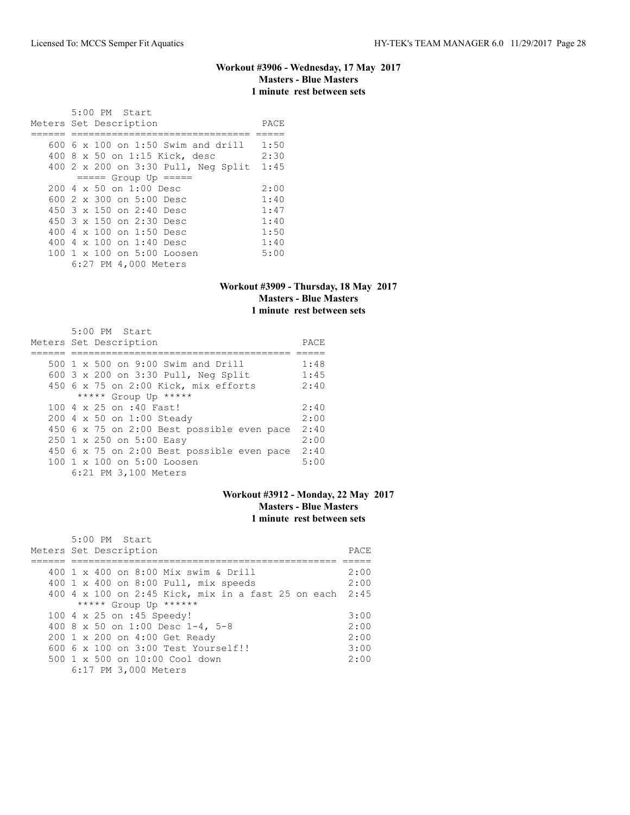### **Workout #3906 - Wednesday, 17 May 2017 Masters - Blue Masters 1 minute rest between sets**

 5:00 PM Start Meters Set Description PACE ====== =============================== ===== 600 6 x 100 on 1:50 Swim and drill 1:50 400 8 x 50 on 1:15 Kick, desc 2:30 400 2 x 200 on 3:30 Pull, Neg Split 1:45 ===== Group Up ===== 200 4 x 50 on 1:00 Desc 2:00<br>600 2 x 300 on 5:00 Desc 1:40 600 2 x 300 on 5:00 Desc 1:40 450 3 x 150 on 2:40 Desc 1:47 450 3 x 150 on 2:30 Desc 1:40 400 4 x 100 on 1:50 Desc 1:50 400 4 x 100 on 1:40 Desc 1:40 100 1 x 100 on 5:00 Loosen 5:00 6:27 PM 4,000 Meters

#### **Workout #3909 - Thursday, 18 May 2017 Masters - Blue Masters 1 minute rest between sets**

| $5:00$ PM Start                            |      |
|--------------------------------------------|------|
| Meters Set Description                     | PACE |
|                                            |      |
| 500 1 x 500 on 9:00 Swim and Drill         | 1:48 |
| 600 3 x 200 on 3:30 Pull, Neg Split        | 1:45 |
| 450 6 x 75 on 2:00 Kick, mix efforts       | 2:40 |
| ***** Group Up *****                       |      |
| 100 4 x 25 on :40 Fast!                    | 2:40 |
| 200 4 x 50 on 1:00 Steady                  | 2:00 |
| 450 6 x 75 on 2:00 Best possible even pace | 2:40 |
| 250 1 x 250 on 5:00 Easy                   | 2:00 |
| 450 6 x 75 on 2:00 Best possible even pace | 2:40 |
| 100 1 x 100 on 5:00 Loosen                 | 5:00 |
| 6:21 PM 3,100 Meters                       |      |

#### **Workout #3912 - Monday, 22 May 2017 Masters - Blue Masters 1 minute rest between sets**

| 5:00 PM Start                                           |      |
|---------------------------------------------------------|------|
| Meters Set Description                                  | PACE |
|                                                         |      |
| 400 1 x 400 on 8:00 Mix swim & Drill                    | 2:00 |
| 400 1 x 400 on 8:00 Pull, mix speeds                    | 2:00 |
| 400 4 x 100 on 2:45 Kick, mix in a fast 25 on each 2:45 |      |
| ***** Group Up ******                                   |      |
| 100 4 x 25 on :45 Speedy!                               | 3:00 |
| 400 8 x 50 on 1:00 Desc 1-4, 5-8                        | 2:00 |
| 200 1 x 200 on 4:00 Get Ready                           | 2:00 |
| $6006 \times 100$ on $3:00$ Test Yourself!!             | 3:00 |
| 500 1 x 500 on 10:00 Cool down                          | 2:00 |
| 6:17 PM 3,000 Meters                                    |      |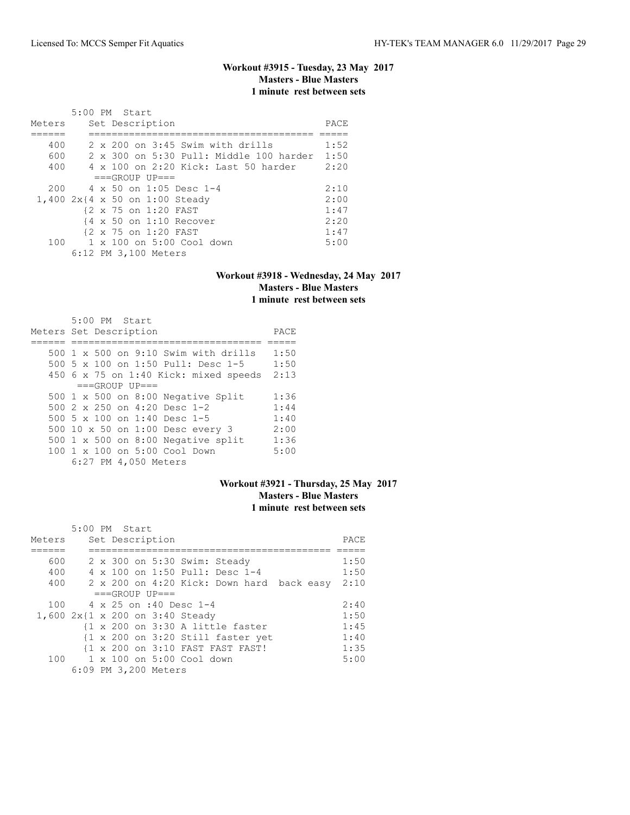# **Workout #3915 - Tuesday, 23 May 2017 Masters - Blue Masters 1 minute rest between sets**

|        | 5:00 PM Start                                    |      |
|--------|--------------------------------------------------|------|
| Meters | Set Description                                  | PACE |
|        |                                                  |      |
| 400    | $2 \times 200$ on $3:45$ Swim with drills        | 1:52 |
| 600    | $2 \times 300$ on $5:30$ Pull: Middle 100 harder | 1:50 |
| 400    | 4 x 100 on 2:20 Kick: Last 50 harder             | 2:20 |
|        | $===GROUP UP=-$                                  |      |
| 200    | 4 x 50 on 1:05 Desc 1-4                          | 2:10 |
|        | 1,400 2x{4 x 50 on 1:00 Steady                   | 2:00 |
|        | {2 x 75 on 1:20 FAST                             | 1:47 |
|        | $4 \times 50$ on 1:10 Recover                    | 2:20 |
|        | {2 x 75 on 1:20 FAST                             | 1:47 |
| 100    | $1 \times 100$ on $5:00$ Cool down               | 5:00 |
|        | 6:12 PM 3,100 Meters                             |      |

### **Workout #3918 - Wednesday, 24 May 2017 Masters - Blue Masters 1 minute rest between sets**

| $5:00$ PM Start<br>Meters Set Description | PACE |
|-------------------------------------------|------|
| 500 1 x 500 on 9:10 Swim with drills      | 1:50 |
| 500 5 x 100 on 1:50 Pull: Desc 1-5        | 1:50 |
| 450 6 x 75 on 1:40 Kick: mixed speeds     | 2:13 |
| $===GROUP UP=-$                           |      |
| 500 $1 \times 500$ on 8:00 Negative Split | 1:36 |
| 500 $2 \times 250$ on 4:20 Desc 1-2       | 1:44 |
| 500 5 $\times$ 100 on 1:40 Desc 1-5       | 1:40 |
| 500 10 x 50 on 1:00 Desc every 3          | 2:00 |
| 500 $1 \times 500$ on 8:00 Negative split | 1:36 |
| 100 1 x 100 on 5:00 Cool Down             | 5:00 |
| 6:27 PM 4,050 Meters                      |      |

### **Workout #3921 - Thursday, 25 May 2017 Masters - Blue Masters 1 minute rest between sets**

|        | 5:00 PM Start                                                |      |
|--------|--------------------------------------------------------------|------|
| Meters | Set Description                                              | PACE |
|        |                                                              |      |
| 600    | 2 x 300 on 5:30 Swim: Steady                                 | 1:50 |
| 400    | 4 x 100 on 1:50 Pull: Desc 1-4                               | 1:50 |
| 400    | 2 x 200 on 4:20 Kick: Down hard back easy                    | 2:10 |
|        | $===GROUP UP = =$                                            |      |
| 100    | 4 x 25 on :40 Desc 1-4                                       | 2:40 |
|        | 1,600 2x{1 x 200 on 3:40 Steady                              | 1:50 |
|        | $\{1 \times 200 \text{ on } 3:30 \text{ A little faster}\}$  | 1:45 |
|        | $\{1 \times 200 \text{ on } 3:20 \text{ Still faster yet}\}$ | 1:40 |
|        | {1 x 200 on 3:10 FAST FAST FAST!                             | 1:35 |
| 100    | $1 \times 100$ on 5:00 Cool down                             | 5:00 |
|        | 6:09 PM 3,200 Meters                                         |      |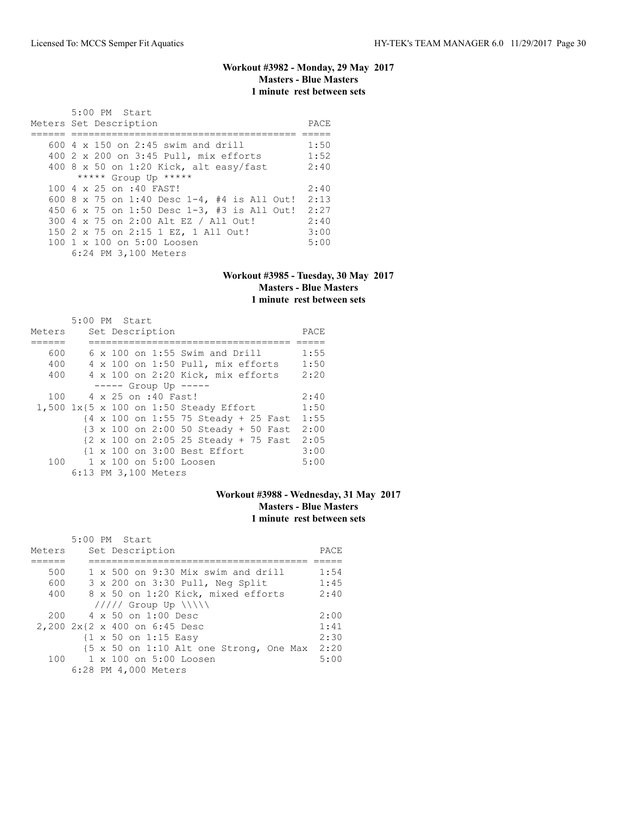# **Workout #3982 - Monday, 29 May 2017 Masters - Blue Masters 1 minute rest between sets**

| 5:00 PM Start<br>Meters Set Description                | PACE |
|--------------------------------------------------------|------|
|                                                        |      |
| 600 $4 \times 150$ on 2:45 swim and drill              | 1:50 |
| 400 2 x 200 on 3:45 Pull, mix efforts                  | 1:52 |
| 400 8 x 50 on 1:20 Kick, alt easy/fast                 | 2:40 |
| ***** Group Up *****                                   |      |
| 100 4 x 25 on :40 FAST!                                | 2:40 |
| 600 8 x 75 on 1:40 Desc 1-4, #4 is All Out!            | 2:13 |
| 450 6 x 75 on 1:50 Desc 1-3, #3 is All Out!            | 2:27 |
| 300 4 x 75 on 2:00 Alt EZ / All Out!                   | 2:40 |
| 150 2 x 75 on 2:15 1 EZ, 1 All Out!                    | 3:00 |
| $100 \text{ 1 x } 100 \text{ on } 5:00 \text{ Loosen}$ | 5:00 |
| 6:24 PM 3,100 Meters                                   |      |

### **Workout #3985 - Tuesday, 30 May 2017 Masters - Blue Masters 1 minute rest between sets**

| Meters | 5:00 PM Start |  | Set Description      |                                                                           | PACE |
|--------|---------------|--|----------------------|---------------------------------------------------------------------------|------|
|        |               |  |                      |                                                                           |      |
| 600    |               |  |                      | $6 \times 100$ on 1:55 Swim and Drill                                     | 1:55 |
| 400    |               |  |                      | 4 x 100 on 1:50 Pull, mix efforts                                         | 1:50 |
| 400    |               |  |                      | 4 x 100 on 2:20 Kick, mix efforts                                         | 2:20 |
|        |               |  |                      | $--- $ Group Up $--- $                                                    |      |
| 100    |               |  | 4 x 25 on :40 Fast!  |                                                                           | 2:40 |
|        |               |  |                      | 1,500 1x{5 x 100 on 1:50 Steady Effort                                    | 1:50 |
|        |               |  |                      | $\{4 \times 100 \text{ on } 1:55\}$ 75 Steady + 25 Fast                   | 1:55 |
|        |               |  |                      | {3 x 100 on 2:00 50 Steady + 50 Fast                                      | 2:00 |
|        |               |  |                      | $\{2 \times 100 \text{ on } 2:05\ 25 \text{ Steady } + 75 \text{ Fast}\}$ | 2:05 |
|        |               |  |                      | {1 x 100 on 3:00 Best Effort                                              | 3:00 |
| 100    |               |  |                      | $1 \times 100$ on $5:00$ Loosen                                           | 5:00 |
|        |               |  | 6:13 PM 3,100 Meters |                                                                           |      |

# **Workout #3988 - Wednesday, 31 May 2017 Masters - Blue Masters 1 minute rest between sets**

| Meters | 5:00 PM Start<br>Set Description                | PACE |
|--------|-------------------------------------------------|------|
|        |                                                 |      |
| 500    | $1 \times 500$ on 9:30 Mix swim and drill       | 1:54 |
| 600    | 3 x 200 on 3:30 Pull, Neg Split                 | 1:45 |
| 400    | 8 x 50 on 1:20 Kick, mixed efforts              | 2:40 |
|        | $11111$ Group Up $\ \ $                         |      |
| 200    | $4 \times 50$ on 1:00 Desc                      | 2:00 |
|        | 2,200 2x{2 x 400 on 6:45 Desc                   | 1:41 |
|        | $\{1 \times 50 \text{ on } 1:15 \text{ Easy}\}$ | 2:30 |
|        | {5 x 50 on 1:10 Alt one Strong, One Max         | 2:20 |
| 100    | 1 x 100 on 5:00 Loosen                          | 5:00 |
|        | 6:28 PM 4,000 Meters                            |      |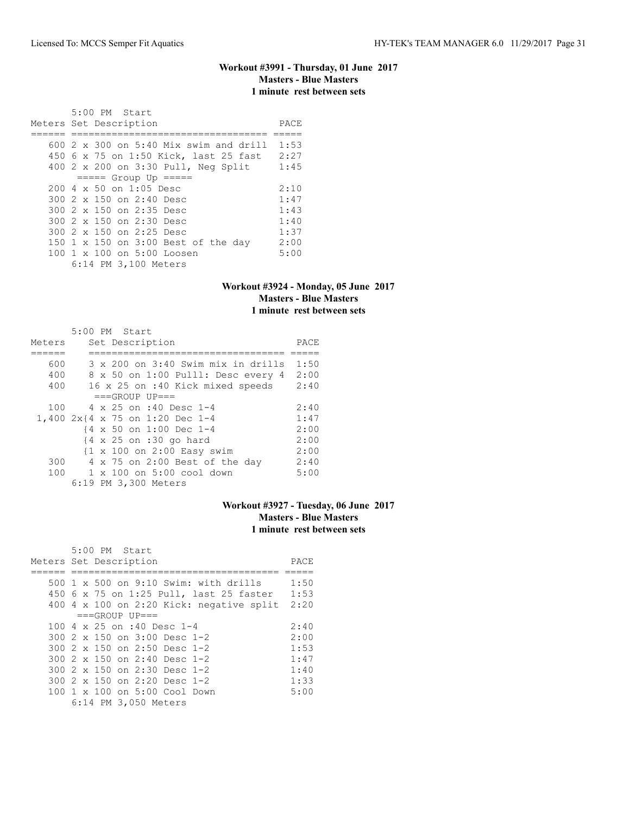### **Workout #3991 - Thursday, 01 June 2017 Masters - Blue Masters 1 minute rest between sets**

 5:00 PM Start Meters Set Description **PACE** ====== ================================== ===== 600 2 x 300 on 5:40 Mix swim and drill 1:53 450 6 x 75 on 1:50 Kick, last 25 fast 2:27 400 2 x 200 on 3:30 Pull, Neg Split 1:45 ===== Group Up ===== 200 4 x 50 on 1:05 Desc 2:10<br>300 2 x 150 on 2:40 Desc 1:47 300 2 x 150 on 2:40 Desc 1:47 300 2 x 150 on 2:35 Desc 1:43 300 2 x 150 on 2:30 Desc 1:40<br>300 2 x 150 on 2:25 Desc 1:37 300 2 x 150 on 2:25 Desc 150 1 x 150 on 3:00 Best of the day 2:00<br>100 1 x 100 on 5:00 Loosen 5:00 100 1 x 100 on 5:00 Loosen 6:14 PM 3,100 Meters

#### **Workout #3924 - Monday, 05 June 2017 Masters - Blue Masters 1 minute rest between sets**

|        | 5:00 PM Start                                         |      |
|--------|-------------------------------------------------------|------|
| Meters | Set Description                                       | PACE |
|        |                                                       |      |
| 600    | 3 x 200 on 3:40 Swim mix in drills                    | 1:50 |
| 400    | 8 x 50 on 1:00 Pulll: Desc every 4                    | 2:00 |
| 400    | 16 x 25 on :40 Kick mixed speeds                      | 2:40 |
|        | $===GROUP UP = =$                                     |      |
| 100    | 4 x 25 on :40 Desc 1-4                                | 2:40 |
|        | 1,400 2x{4 x 75 on 1:20 Dec 1-4                       | 1:47 |
|        | {4 x 50 on 1:00 Dec 1-4                               | 2:00 |
|        | $\{4 \times 25 \text{ on } : 30 \text{ go hard}\}$    | 2:00 |
|        | $\{1 \times 100 \text{ on } 2:00 \text{ Easy swim}\}$ | 2:00 |
| 300    | 4 x 75 on 2:00 Best of the day                        | 2:40 |
| 100    | 1 x 100 on 5:00 cool down                             | 5:00 |
|        | 6:19 PM 3,300 Meters                                  |      |

# **Workout #3927 - Tuesday, 06 June 2017 Masters - Blue Masters 1 minute rest between sets**

| 5:00 PM Start                                |      |
|----------------------------------------------|------|
| Meters Set Description                       | PACE |
|                                              |      |
| 500 $1 \times 500$ on 9:10 Swim: with drills | 1:50 |
| 450 6 x 75 on 1:25 Pull, last 25 faster      | 1:53 |
| 400 4 x 100 on 2:20 Kick: negative split     | 2:20 |
| $===GROUP UP = =$                            |      |
| 100 4 x 25 on :40 Desc 1-4                   | 2:40 |
| $300.2 \times 150$ on $3:00$ Desc 1-2        | 2:00 |
| $300.2 \times 150$ on 2:50 Desc 1-2          | 1:53 |
| 300 $2 \times 150$ on $2:40$ Desc 1-2        | 1:47 |
| $300.2 \times 150$ on 2:30 Desc 1-2          | 1:40 |
| 300 $2 \times 150$ on $2:20$ Desc 1-2        | 1:33 |
| 100 1 x 100 on 5:00 Cool Down                | 5:00 |
| 6:14 PM 3,050 Meters                         |      |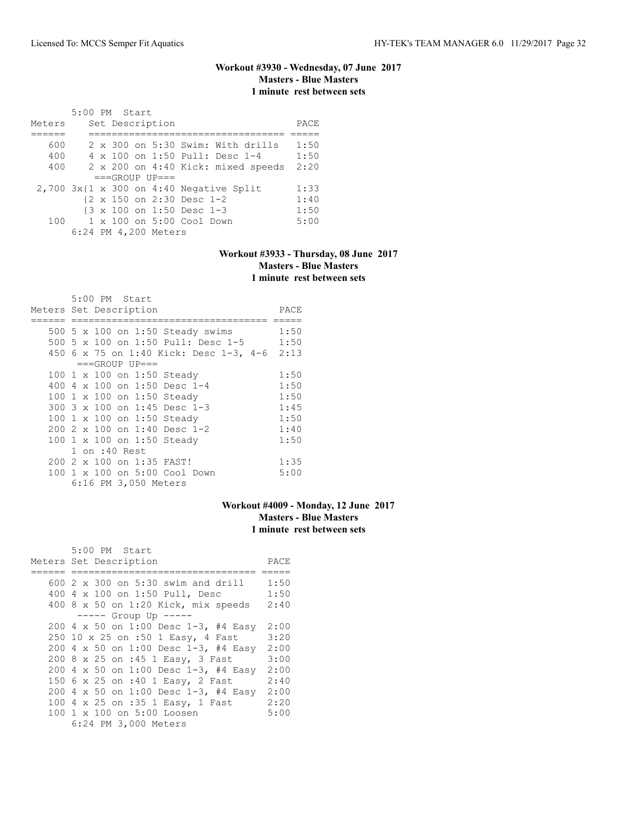# **Workout #3930 - Wednesday, 07 June 2017 Masters - Blue Masters 1 minute rest between sets**

|        | 5:00 PM Start |  |                      |                           |                                              |      |
|--------|---------------|--|----------------------|---------------------------|----------------------------------------------|------|
| Meters |               |  | Set Description      |                           |                                              | PACE |
|        |               |  |                      |                           |                                              |      |
| 600    |               |  |                      |                           | 2 x 300 on 5:30 Swim: With drills            | 1:50 |
| 400    |               |  |                      |                           | 4 x 100 on 1:50 Pull: Desc 1-4               | 1:50 |
| 400    |               |  |                      |                           | 2 x 200 on 4:40 Kick: mixed speeds           | 2:20 |
|        |               |  | $===GROUP UP = =$    |                           |                                              |      |
|        |               |  |                      |                           | $2,700$ $3x$ {1 x 300 on 4:40 Negative Split | 1:33 |
|        |               |  |                      | {2 x 150 on 2:30 Desc 1-2 |                                              | 1:40 |
|        |               |  |                      | {3 x 100 on 1:50 Desc 1-3 |                                              | 1:50 |
| 100    |               |  |                      | 1 x 100 on 5:00 Cool Down |                                              | 5:00 |
|        |               |  | 6:24 PM 4,200 Meters |                           |                                              |      |

# **Workout #3933 - Thursday, 08 June 2017 Masters - Blue Masters 1 minute rest between sets**

|                        | 5:00 PM Start |                      |                                             |      |
|------------------------|---------------|----------------------|---------------------------------------------|------|
| Meters Set Description |               |                      |                                             | PACE |
|                        |               |                      |                                             |      |
|                        |               |                      | 500 5 x 100 on 1:50 Steady swims            | 1:50 |
|                        |               |                      | 500 5 x 100 on 1:50 Pull: Desc 1-5 1:50     |      |
|                        |               |                      | 450 6 x 75 on 1:40 Kick: Desc 1-3, 4-6 2:13 |      |
|                        |               | $===GROUP UP==$      |                                             |      |
|                        |               |                      | 100 1 x 100 on 1:50 Steady                  | 1:50 |
|                        |               |                      | 400 4 x 100 on 1:50 Desc 1-4                | 1:50 |
|                        |               |                      | 100 1 x 100 on 1:50 Steady                  | 1:50 |
|                        |               |                      | 300 3 x 100 on 1:45 Desc 1-3                | 1:45 |
|                        |               |                      | 100 1 x 100 on 1:50 Steady                  | 1:50 |
|                        |               |                      | 200 2 x 100 on 1:40 Desc 1-2                | 1:40 |
|                        |               |                      | 100 1 x 100 on 1:50 Steady                  | 1:50 |
|                        | 1 on :40 Rest |                      |                                             |      |
|                        |               |                      | 200 2 x 100 on 1:35 FAST!                   | 1:35 |
|                        |               |                      | 100 1 x 100 on 5:00 Cool Down               | 5:00 |
|                        |               | 6:16 PM 3,050 Meters |                                             |      |

# **Workout #4009 - Monday, 12 June 2017 Masters - Blue Masters 1 minute rest between sets**

| 5:00 PM Start                        |      |
|--------------------------------------|------|
| Meters Set Description               | PACE |
|                                      |      |
| 600 2 x 300 on 5:30 swim and drill   | 1:50 |
| 400 4 x 100 on 1:50 Pull, Desc       | 1:50 |
| 400 8 x 50 on 1:20 Kick, mix speeds  | 2:40 |
| ----- Group Up -----                 |      |
| 200 4 x 50 on 1:00 Desc 1-3, #4 Easy | 2:00 |
| 250 10 x 25 on :50 1 Easy, 4 Fast    | 3:20 |
| 200 4 x 50 on 1:00 Desc 1-3, #4 Easy | 2:00 |
| 200 8 x 25 on :45 1 Easy, 3 Fast     | 3:00 |
| 200 4 x 50 on 1:00 Desc 1-3, #4 Easy | 2:00 |
| 150 6 x 25 on :40 1 Easy, 2 Fast     | 2:40 |
| 200 4 x 50 on 1:00 Desc 1-3, #4 Easy | 2:00 |
| 100 4 x 25 on :35 1 Easy, 1 Fast     | 2:20 |
| 100 1 x 100 on 5:00 Loosen           | 5:00 |
| 6:24 PM 3,000 Meters                 |      |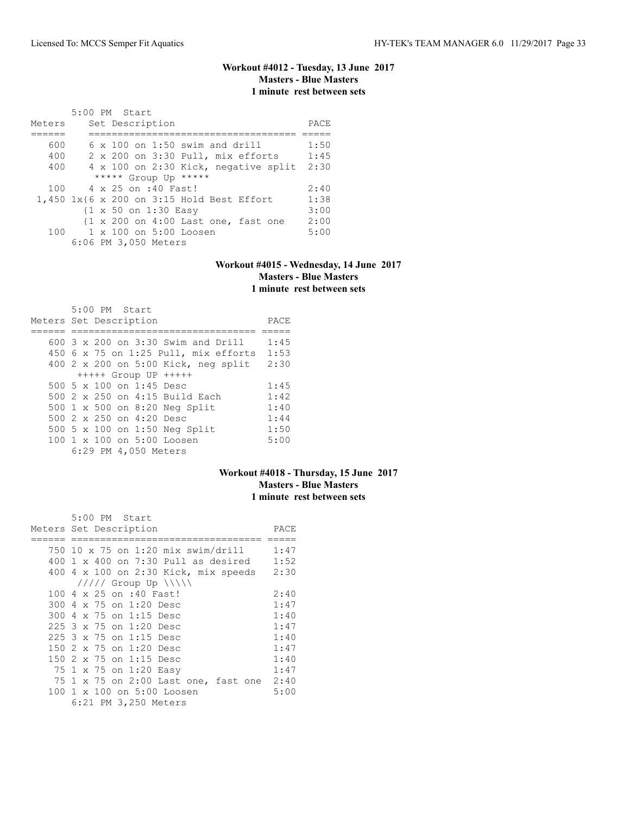# **Workout #4012 - Tuesday, 13 June 2017 Masters - Blue Masters 1 minute rest between sets**

| Meters | 5:00 PM Start<br>Set Description          | PACE |
|--------|-------------------------------------------|------|
|        |                                           |      |
| 600    | $6 \times 100$ on 1:50 swim and drill     | 1:50 |
| 400    | 2 x 200 on 3:30 Pull, mix efforts         | 1:45 |
| 400    | 4 x 100 on 2:30 Kick, negative split      | 2:30 |
|        | ***** Group Up *****                      |      |
| 100    | 4 x 25 on :40 Fast!                       | 2:40 |
|        | 1,450 1x{6 x 200 on 3:15 Hold Best Effort | 1:38 |
|        | {1 x 50 on 1:30 Easy                      | 3:00 |
|        | {1 x 200 on 4:00 Last one, fast one       | 2:00 |
|        | $100 \t 1 \times 100$ on $5:00$ Loosen    | 5:00 |
|        | 6:06 PM 3,050 Meters                      |      |

#### **Workout #4015 - Wednesday, 14 June 2017 Masters - Blue Masters 1 minute rest between sets**

| 5:00 PM Start<br>Meters Set Description | PACE |
|-----------------------------------------|------|
| $600$ 3 x 200 on 3:30 Swim and Drill    | 1:45 |
| 450 6 x 75 on 1:25 Pull, mix efforts    | 1:53 |
| 400 2 x 200 on 5:00 Kick, neg split     | 2:30 |
| $++++$ Group UP $++++$                  |      |
| 500 5 $\times$ 100 on 1:45 Desc         | 1:45 |
| 500 2 x 250 on 4:15 Build Each          | 1:42 |
| 500 1 x 500 on 8:20 Neg Split           | 1:40 |
| 500 $2 \times 250$ on 4:20 Desc         | 1:44 |
| 500 5 x 100 on 1:50 Neg Split           | 1:50 |
| $100 \t 1 \t x \t 100$ on $5:00$ Loosen | 5:00 |
| 6:29 PM 4,050 Meters                    |      |

# **Workout #4018 - Thursday, 15 June 2017 Masters - Blue Masters 1 minute rest between sets**

|     | 5:00 PM Start                             |      |
|-----|-------------------------------------------|------|
|     | Meters Set Description                    | PACE |
|     |                                           |      |
|     | 750 10 x 75 on 1:20 mix swim/drill        | 1:47 |
|     | $400$ 1 x $400$ on 7:30 Pull as desired   | 1:52 |
|     | 400 4 x 100 on 2:30 Kick, mix speeds      | 2:30 |
|     | $11111$ Group Up $\ \ $                   |      |
|     | 100 4 x 25 on :40 Fast!                   | 2:40 |
|     | 300 4 x 75 on 1:20 Desc                   | 1:47 |
|     | 300 4 x 75 on 1:15 Desc                   | 1:40 |
|     | 225 3 x 75 on 1:20 Desc                   | 1:47 |
|     | 225 3 x 75 on 1:15 Desc                   | 1:40 |
| 150 | 2 x 75 on 1:20 Desc                       | 1:47 |
| 150 | 2 x 75 on 1:15 Desc                       | 1:40 |
|     | 75 1 x 75 on 1:20 Easy                    | 1:47 |
|     | 75 1 x 75 on 2:00 Last one, fast one 2:40 |      |
|     | 100 1 x 100 on 5:00 Loosen                | 5:00 |
|     | 6:21 PM 3,250 Meters                      |      |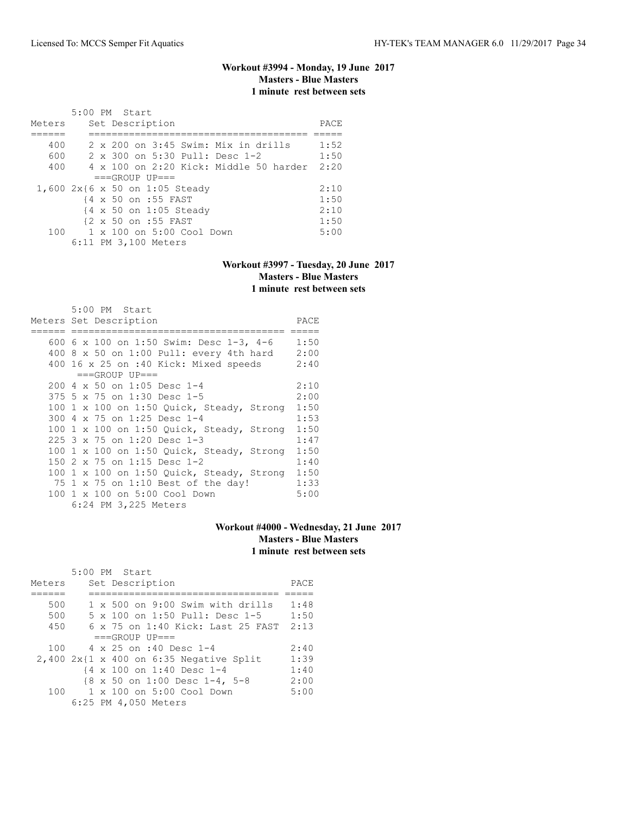# **Workout #3994 - Monday, 19 June 2017 Masters - Blue Masters 1 minute rest between sets**

|        | 5:00 PM Start                                |      |
|--------|----------------------------------------------|------|
| Meters | Set Description                              | PACE |
|        |                                              |      |
| 400    | $2 \times 200$ on $3:45$ Swim: Mix in drills | 1:52 |
| 600    | 2 x 300 on 5:30 Pull: Desc 1-2               | 1:50 |
| 400    | 4 x 100 on 2:20 Kick: Middle 50 harder       | 2:20 |
|        | $===GROUP UP = =$                            |      |
|        | 1,600 2x{6 x 50 on 1:05 Steady               | 2:10 |
|        | {4 x 50 on :55 FAST                          | 1:50 |
|        | {4 x 50 on 1:05 Steady                       | 2:10 |
|        | {2 x 50 on :55 FAST                          | 1:50 |
| 100    | $1 \times 100$ on $5:00$ Cool Down           | 5:00 |
|        | 6:11 PM 3,100 Meters                         |      |

#### **Workout #3997 - Tuesday, 20 June 2017 Masters - Blue Masters 1 minute rest between sets**

| $5:00$ PM Start<br>Meters Set Description | PACE |
|-------------------------------------------|------|
| 600 6 x 100 on 1:50 Swim: Desc 1-3, 4-6   | 1:50 |
| 400 8 $x$ 50 on 1:00 Pull: every 4th hard | 2:00 |
| 400 16 x 25 on :40 Kick: Mixed speeds     | 2:40 |
| $===GROUP UP==$                           |      |
| 200 4 x 50 on 1:05 Desc 1-4               | 2:10 |
| 375 5 x 75 on 1:30 Desc 1-5               | 2:00 |
| 100 1 x 100 on 1:50 Quick, Steady, Strong | 1:50 |
| 300 4 x 75 on 1:25 Desc 1-4               | 1:53 |
| 100 1 x 100 on 1:50 Quick, Steady, Strong | 1:50 |
| 225 3 x 75 on 1:20 Desc 1-3               | 1:47 |
| 100 1 x 100 on 1:50 Quick, Steady, Strong | 1:50 |
| 150 2 x 75 on 1:15 Desc 1-2               | 1:40 |
| 100 1 x 100 on 1:50 Quick, Steady, Strong | 1:50 |
| 75 1 x 75 on 1:10 Best of the day!        | 1:33 |
| 100 1 x 100 on 5:00 Cool Down             | 5:00 |
| 6:24 PM 3,225 Meters                      |      |

# **Workout #4000 - Wednesday, 21 June 2017 Masters - Blue Masters 1 minute rest between sets**

|        |  | 5:00 PM Start                                |      |
|--------|--|----------------------------------------------|------|
| Meters |  | Set Description                              | PACE |
|        |  |                                              |      |
| 500    |  | 1 x 500 on 9:00 Swim with drills             | 1:48 |
| 500    |  | $5 \times 100$ on 1:50 Pull: Desc 1-5        | 1:50 |
| 450    |  | $6 \times 75$ on 1:40 Kick: Last 25 FAST     | 2:13 |
|        |  | $===GROUP UP = =$                            |      |
| 100    |  | $4 \times 25$ on :40 Desc 1-4                | 2:40 |
|        |  | $2,400$ $2x$ {1 x 400 on 6:35 Negative Split | 1:39 |
|        |  | {4 x 100 on 1:40 Desc 1-4                    | 1:40 |
|        |  | {8 x 50 on 1:00 Desc 1-4, 5-8                | 2:00 |
| 100    |  | 1 x 100 on 5:00 Cool Down                    | 5:00 |
|        |  | 6:25 PM 4,050 Meters                         |      |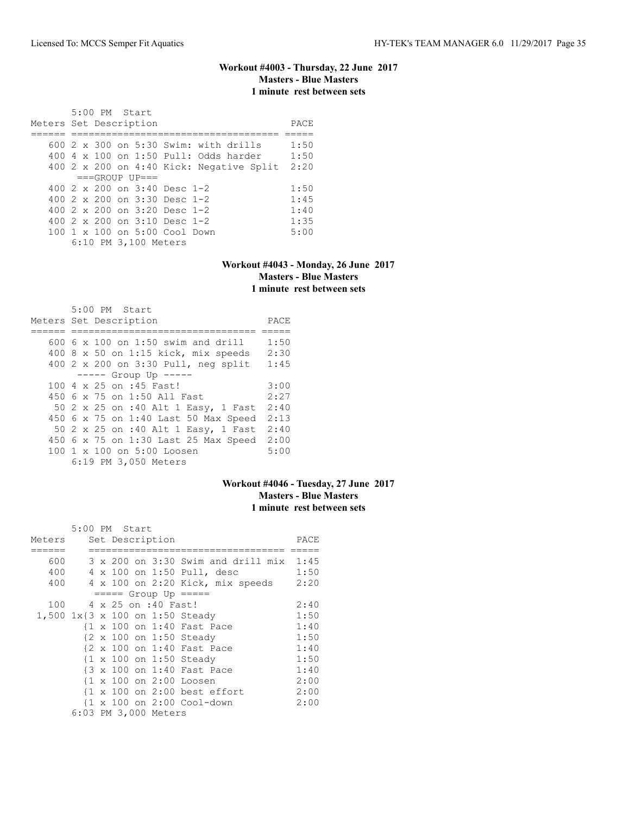### **Workout #4003 - Thursday, 22 June 2017 Masters - Blue Masters 1 minute rest between sets**

 5:00 PM Start Meters Set Description **PACE** ====== ==================================== ===== 600 2 x 300 on 5:30 Swim: with drills 1:50 400 4 x 100 on 1:50 Pull: Odds harder 1:50 400 2 x 200 on 4:40 Kick: Negative Split 2:20  $===GROUP UP==$ 400 2 x 200 on 3:40 Desc 1-2 1:50<br>400 2 x 200 on 3:30 Desc 1-2 1:45 400 2 x 200 on 3:30 Desc 1-2 1:45 400 2 x 200 on 3:20 Desc 1-2 1:40 400 2 x 200 on 3:10 Desc 1-2 1:35 100 1 x 100 on 5:00 Cool Down 5:00 6:10 PM 3,100 Meters

#### **Workout #4043 - Monday, 26 June 2017 Masters - Blue Masters 1 minute rest between sets**

| 5:00 PM Start                              |      |
|--------------------------------------------|------|
| Meters Set Description                     | PACE |
|                                            |      |
| 600 6 x 100 on 1:50 swim and drill         | 1:50 |
| 400 $8 \times 50$ on 1:15 kick, mix speeds | 2:30 |
| 400 2 x 200 on 3:30 Pull, neg split        | 1:45 |
| $--- $ Group Up $---$                      |      |
| 100 4 x 25 on :45 Fast!                    | 3:00 |
| 450 6 x 75 on 1:50 All Fast                | 2:27 |
| 50 2 x 25 on :40 Alt 1 Easy, 1 Fast        | 2:40 |
| 450 6 x 75 on 1:40 Last 50 Max Speed       | 2:13 |
| 50 2 x 25 on :40 Alt 1 Easy, 1 Fast        | 2:40 |
| 450 6 x 75 on 1:30 Last 25 Max Speed       | 2:00 |
| 100 1 x 100 on 5:00 Loosen                 | 5:00 |
| 6:19 PM 3,050 Meters                       |      |

#### **Workout #4046 - Tuesday, 27 June 2017 Masters - Blue Masters 1 minute rest between sets**

|        | 5:00 PM Start |  |                      |                                                         |      |
|--------|---------------|--|----------------------|---------------------------------------------------------|------|
| Meters |               |  | Set Description      |                                                         | PACE |
|        |               |  |                      |                                                         |      |
| 600    |               |  |                      | 3 x 200 on 3:30 Swim and drill mix                      | 1:45 |
| 400    |               |  |                      | 4 x 100 on 1:50 Pull, desc                              | 1:50 |
| 400    |               |  |                      | 4 x 100 on 2:20 Kick, mix speeds                        | 2:20 |
|        |               |  |                      | $== == $ Group Up $== == $                              |      |
| 100    |               |  | 4 x 25 on :40 Fast!  |                                                         | 2:40 |
|        |               |  |                      | 1,500 1x{3 x 100 on 1:50 Steady                         | 1:50 |
|        |               |  |                      | {1 x 100 on 1:40 Fast Pace                              | 1:40 |
|        |               |  |                      | {2 x 100 on 1:50 Steady                                 | 1:50 |
|        |               |  |                      | {2 x 100 on 1:40 Fast Pace                              | 1:40 |
|        |               |  |                      | {1 x 100 on 1:50 Steady                                 | 1:50 |
|        |               |  |                      | {3 x 100 on 1:40 Fast Pace                              | 1:40 |
|        |               |  |                      | {1 x 100 on 2:00 Loosen                                 | 2:00 |
|        |               |  |                      | $\{1 \times 100 \text{ on } 2:00 \text{ best effort}\}$ | 2:00 |
|        |               |  |                      | {1 x 100 on 2:00 Cool-down                              | 2:00 |
|        |               |  | 6:03 PM 3,000 Meters |                                                         |      |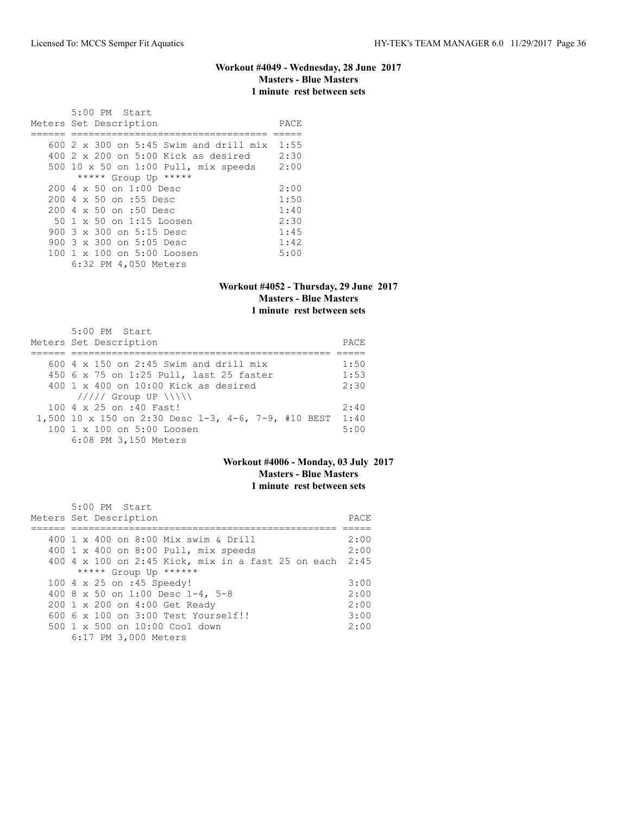#### **Workout #4049 - Wednesday, 28 June 2017 Masters - Blue Masters 1 minute rest between sets**

 5:00 PM Start Meters Set Description **PACE** ====== ================================== ===== 600 2 x 300 on 5:45 Swim and drill mix 1:55 400 2 x 200 on 5:00 Kick as desired 2:30 500 10 x 50 on 1:00 Pull, mix speeds 2:00 \*\*\*\*\* Group Up \*\*\*\*\* 200 4 x 50 on 1:00 Desc 2:00<br>200 4 x 50 on :55 Desc 1:50 200 4 x 50 on :55 Desc 1:50 200 4 x 50 on :50 Desc 1:40 50 1 x 50 on 1:15 Loosen 2:30 900 3 x 300 on 5:15 Desc 1:45 900 3 x 300 on 5:05 Desc 1:42 100 1 x 100 on 5:00 Loosen 5:00 6:32 PM 4,050 Meters

#### **Workout #4052 - Thursday, 29 June 2017 Masters - Blue Masters 1 minute rest between sets**

| $5:00$ PM Start<br>Meters Set Description           | PACE |  |  |  |  |  |
|-----------------------------------------------------|------|--|--|--|--|--|
|                                                     |      |  |  |  |  |  |
| 600 $4 \times 150$ on 2:45 Swim and drill mix       | 1:50 |  |  |  |  |  |
| 450 6 x 75 on 1:25 Pull, last 25 faster             | 1:53 |  |  |  |  |  |
| $400 \t 1 \t x \t 400$ on $10:00$ Kick as desired   |      |  |  |  |  |  |
| $11111$ Group UP $\ \ \ \ $                         |      |  |  |  |  |  |
| 100 4 x 25 on :40 Fast!                             | 2:40 |  |  |  |  |  |
| 1,500 10 x 150 on 2:30 Desc 1-3, 4-6, 7-9, #10 BEST | 1:40 |  |  |  |  |  |
| 100 1 x 100 on 5:00 Loosen                          | 5:00 |  |  |  |  |  |
| 6:08 PM 3,150 Meters                                |      |  |  |  |  |  |

# **Workout #4006 - Monday, 03 July 2017 Masters - Blue Masters 1 minute rest between sets**

| $5:00$ PM Start                                         |       |
|---------------------------------------------------------|-------|
| Meters Set Description                                  | PACE. |
|                                                         |       |
| 400 1 x 400 on 8:00 Mix swim & Drill                    | 2:00  |
| 400 1 x 400 on 8:00 Pull, mix speeds                    | 2:00  |
| 400 4 x 100 on 2:45 Kick, mix in a fast 25 on each 2:45 |       |
| ***** Group Up ******                                   |       |
| 100 4 x 25 on :45 Speedy!                               | 3:00  |
| 400 8 x 50 on 1:00 Desc 1-4, 5-8                        | 2:00  |
| 200 1 x 200 on 4:00 Get Ready                           | 2:00  |
| $6006 \times 100$ on $3:00$ Test Yourself!!             | 3:00  |
| 500 1 x 500 on 10:00 Cool down                          | 2:00  |
| 6:17 PM 3,000 Meters                                    |       |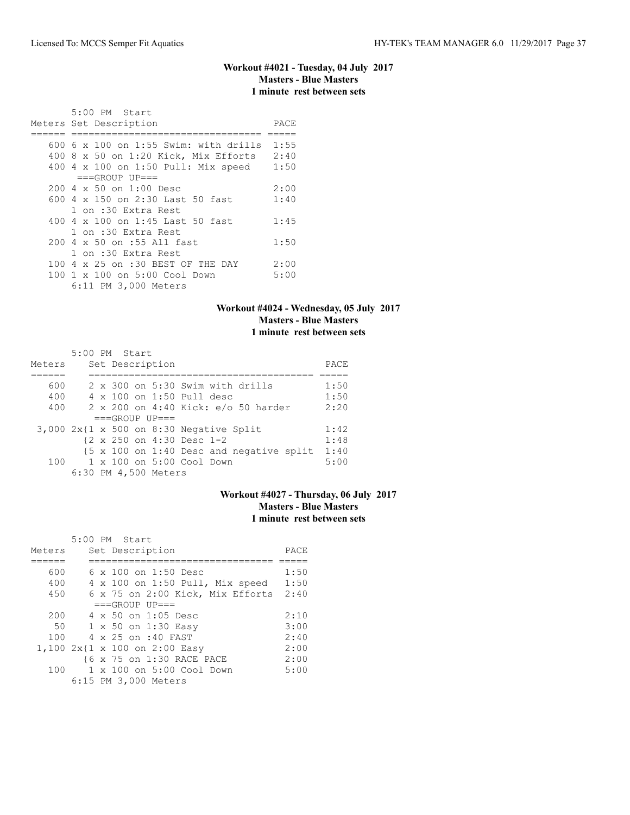# **Workout #4021 - Tuesday, 04 July 2017 Masters - Blue Masters 1 minute rest between sets**

| $5:00$ PM Start<br>Meters Set Description | PACE |
|-------------------------------------------|------|
|                                           |      |
| 600 6 x 100 on 1:55 Swim: with drills     | 1:55 |
| 400 8 x 50 on 1:20 Kick, Mix Efforts      | 2:40 |
| 400 4 x 100 on 1:50 Pull: Mix speed       | 1:50 |
| $===GROUP UP = =$                         |      |
| $200 \, 4 \times 50$ on $1:00$ Desc       | 2:00 |
| 600 4 $\times$ 150 on 2:30 Last 50 fast   | 1:40 |
| 1 on :30 Extra Rest                       |      |
| 400 4 x 100 on 1:45 Last 50 fast          | 1:45 |
| 1 on :30 Extra Rest                       |      |
| 200 4 x 50 on :55 All fast                | 1:50 |
| 1 on :30 Extra Rest                       |      |
| 100 4 x 25 on :30 BEST OF THE DAY         | 2:00 |
| 100 1 x 100 on 5:00 Cool Down             | 5:00 |
| 6:11 PM 3,000 Meters                      |      |

# **Workout #4024 - Wednesday, 05 July 2017 Masters - Blue Masters 1 minute rest between sets**

| Meters | $5:00$ PM Start |  | Set Description      |                                                                     | PACE |
|--------|-----------------|--|----------------------|---------------------------------------------------------------------|------|
|        |                 |  |                      |                                                                     |      |
| 600    |                 |  |                      | $2 \times 300$ on $5:30$ Swim with drills                           | 1:50 |
| 400    |                 |  |                      | 4 x 100 on 1:50 Pull desc                                           | 1:50 |
| 400    |                 |  |                      | 2 x 200 on 4:40 Kick: e/o 50 harder                                 | 2:20 |
|        |                 |  | $===GROUP UP = =$    |                                                                     |      |
|        |                 |  |                      | $3,000$ 2x{1 x 500 on 8:30 Negative Split                           | 1:42 |
|        |                 |  |                      | $\{2 \times 250 \text{ on } 4:30 \text{ Desc } 1-2\}$               | 1:48 |
|        |                 |  |                      | $\{5 \times 100 \text{ on } 1:40 \text{ Desc and negative split}\}$ | 1:40 |
| 100    |                 |  |                      | 1 x 100 on 5:00 Cool Down                                           | 5:00 |
|        |                 |  | 6:30 PM 4,500 Meters |                                                                     |      |

# **Workout #4027 - Thursday, 06 July 2017 Masters - Blue Masters 1 minute rest between sets**

|        | 5:00 PM Start                    |      |
|--------|----------------------------------|------|
| Meters | Set Description                  | PACE |
|        |                                  |      |
| 600    | $6 \times 100$ on 1:50 Desc      | 1:50 |
| 400    | 4 x 100 on 1:50 Pull, Mix speed  | 1:50 |
| 450    | 6 x 75 on 2:00 Kick, Mix Efforts | 2:40 |
|        | $===GROUP UP = =$                |      |
| 200    | 4 x 50 on 1:05 Desc              | 2:10 |
| 50     | 1 x 50 on 1:30 Easy              | 3:00 |
| 100    | 4 x 25 on :40 FAST               | 2:40 |
|        | 1,100 2x{1 x 100 on 2:00 Easy    | 2:00 |
|        | {6 x 75 on 1:30 RACE PACE        | 2:00 |
| 100    | 1 x 100 on 5:00 Cool Down        | 5:00 |
|        | 6:15 PM 3,000 Meters             |      |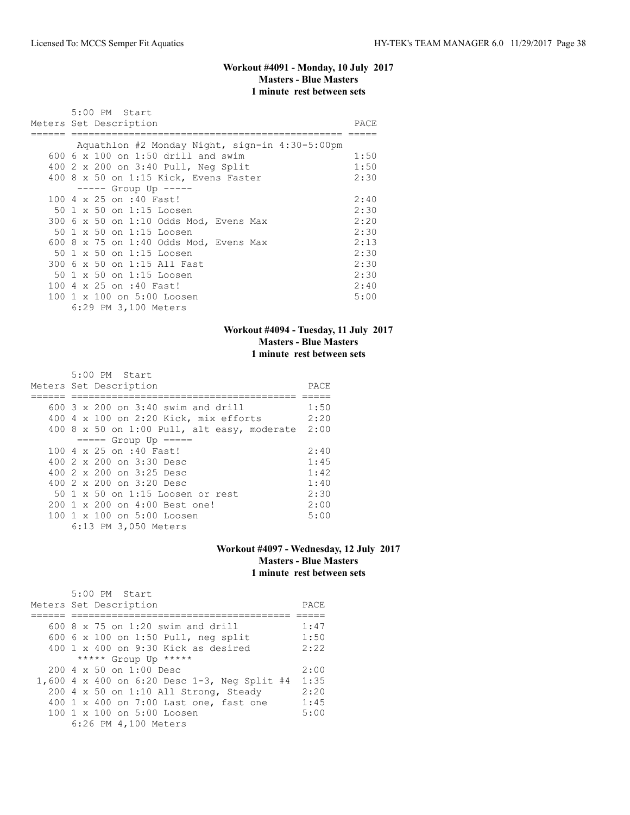# **Workout #4091 - Monday, 10 July 2017 Masters - Blue Masters 1 minute rest between sets**

| 5:00 PM Start                                  |      |
|------------------------------------------------|------|
| Meters Set Description                         | PACE |
|                                                |      |
| Aquathlon #2 Monday Night, sign-in 4:30-5:00pm |      |
| 600 $6 \times 100$ on 1:50 drill and swim      | 1:50 |
| 400 2 x 200 on 3:40 Pull, Neg Split            | 1:50 |
| 400 8 x 50 on 1:15 Kick, Evens Faster          | 2:30 |
| $--- $ Group Up $---$                          |      |
| 100 4 x 25 on :40 Fast!                        | 2:40 |
| 50 1 x 50 on 1:15 Loosen                       | 2:30 |
| 300 6 x 50 on 1:10 Odds Mod, Evens Max         | 2:20 |
| 50 1 x 50 on 1:15 Loosen                       | 2:30 |
| 600 8 x 75 on 1:40 Odds Mod, Evens Max         | 2:13 |
| 50 1 x 50 on 1:15 Loosen                       | 2:30 |
| 300 6 x 50 on 1:15 All Fast                    | 2:30 |
| 50 1 x 50 on 1:15 Loosen                       | 2:30 |
| 100 4 x 25 on :40 Fast!                        | 2:40 |
| 100 1 x 100 on 5:00 Loosen                     | 5:00 |
| 6:29 PM 3,100 Meters                           |      |

# **Workout #4094 - Tuesday, 11 July 2017 Masters - Blue Masters 1 minute rest between sets**

| $5:00$ PM Start                             |      |
|---------------------------------------------|------|
| Meters Set Description                      | PACE |
|                                             |      |
| 600 3 x 200 on 3:40 swim and drill          | 1:50 |
| 400 4 x 100 on 2:20 Kick, mix efforts       | 2:20 |
| 400 8 x 50 on 1:00 Pull, alt easy, moderate | 2:00 |
| $== == $ Group Up $== == $                  |      |
| 100 4 x 25 on :40 Fast!                     | 2:40 |
| 400 $2 \times 200$ on $3:30$ Desc           | 1:45 |
| 400 $2 \times 200$ on $3:25$ Desc           | 1:42 |
| 400 $2 \times 200$ on $3:20$ Desc           | 1:40 |
| 50 1 x 50 on 1:15 Loosen or rest            | 2:30 |
| 200 1 x 200 on 4:00 Best one!               | 2:00 |
| 100 1 x 100 on 5:00 Loosen                  | 5:00 |
| 6:13 PM 3,050 Meters                        |      |

### **Workout #4097 - Wednesday, 12 July 2017 Masters - Blue Masters 1 minute rest between sets**

| 5:00 PM Start<br>Meters Set Description      | PACE |
|----------------------------------------------|------|
|                                              |      |
| 600 $8 \times 75$ on 1:20 swim and drill     | 1:47 |
| 600 6 x 100 on 1:50 Pull, neg split          | 1:50 |
| 400 1 x 400 on 9:30 Kick as desired          | 2:22 |
| ***** Group Up *****                         |      |
| $200 \, 4 \times 50$ on $1:00$ Desc          | 2:00 |
| 1,600 4 x 400 on 6:20 Desc 1-3, Neg Split #4 | 1:35 |
| $200$ 4 x 50 on 1:10 All Strong, Steady      | 2:20 |
| 400 1 x 400 on 7:00 Last one, fast one       | 1:45 |
| 100 1 x 100 on 5:00 Loosen                   | 5:00 |
| 6:26 PM 4,100 Meters                         |      |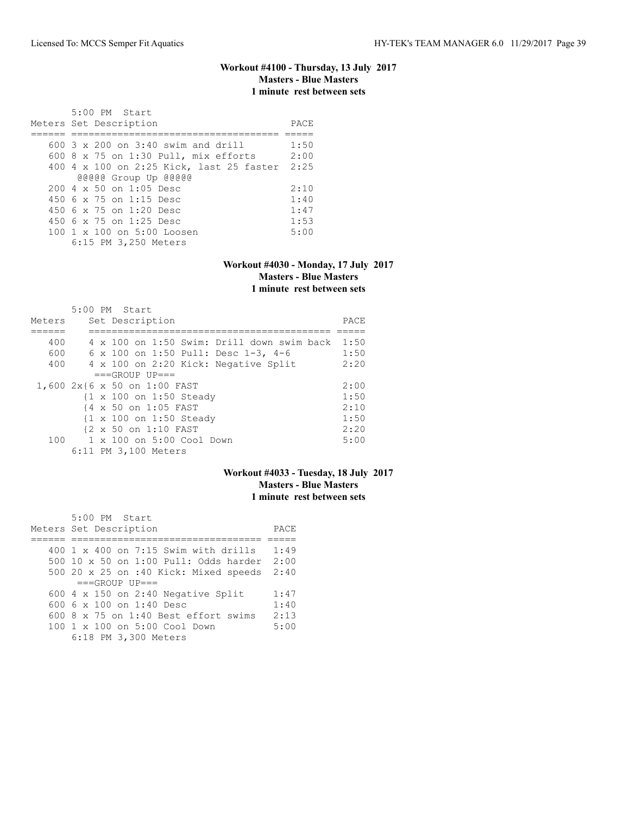# **Workout #4100 - Thursday, 13 July 2017 Masters - Blue Masters 1 minute rest between sets**

| 5:00 PM Start<br>Meters Set Description     | PACE |
|---------------------------------------------|------|
| $600.3 \times 200$ on $3:40$ swim and drill | 1:50 |
|                                             |      |
| 600 8 x 75 on 1:30 Pull, mix efforts        | 2:00 |
| 400 4 x 100 on 2:25 Kick, last 25 faster    | 2:25 |
| @@@@@ Group Up @@@@@                        |      |
| $200 \, 4 \times 50$ on $1:05$ Desc         | 2:10 |
| 450 6 x 75 on 1:15 Desc                     | 1:40 |
| 450 6 x 75 on 1:20 Desc                     | 1:47 |
| 450 $6 \times 75$ on 1:25 Desc              | 1:53 |
| 100 1 x 100 on 5:00 Loosen                  | 5:00 |
| 6:15 PM 3,250 Meters                        |      |

### **Workout #4030 - Monday, 17 July 2017 Masters - Blue Masters 1 minute rest between sets**

|        | 5:00 PM Start                              |      |
|--------|--------------------------------------------|------|
| Meters | Set Description                            | PACE |
|        |                                            |      |
| 400    | 4 x 100 on 1:50 Swim: Drill down swim back | 1:50 |
| 600    | 6 x 100 on 1:50 Pull: Desc 1-3, 4-6        | 1:50 |
| 400    | 4 x 100 on 2:20 Kick: Negative Split       | 2:20 |
|        | $===GROUP UP = =$                          |      |
|        | 1,600 2x{6 x 50 on 1:00 FAST               | 2:00 |
|        | {1 x 100 on 1:50 Steady                    | 1:50 |
|        | {4 x 50 on 1:05 FAST                       | 2:10 |
|        | {1 x 100 on 1:50 Steady                    | 1:50 |
|        | {2 x 50 on 1:10 FAST                       | 2:20 |
| 100    | 1 x 100 on 5:00 Cool Down                  | 5:00 |
|        | 6:11 PM 3,100 Meters                       |      |

# **Workout #4033 - Tuesday, 18 July 2017 Masters - Blue Masters 1 minute rest between sets**

| 5:00 PM Start<br>Meters Set Description              | PACE |
|------------------------------------------------------|------|
| $400 \text{ } 1 \times 400$ on 7:15 Swim with drills | 1:49 |
| 500 10 $\times$ 50 on 1:00 Pull: Odds harder 2:00    |      |
| 500 20 x 25 on :40 Kick: Mixed speeds 2:40           |      |
| $===GROUP UP = =$                                    |      |
| 600 $4 \times 150$ on 2:40 Negative Split            | 1:47 |
| 600 $6 \times 100$ on 1:40 Desc                      | 1:40 |
| 600 $8 \times 75$ on 1:40 Best effort swims          | 2:13 |
| 100 1 x 100 on 5:00 Cool Down                        | 5:00 |
| 6:18 PM 3,300 Meters                                 |      |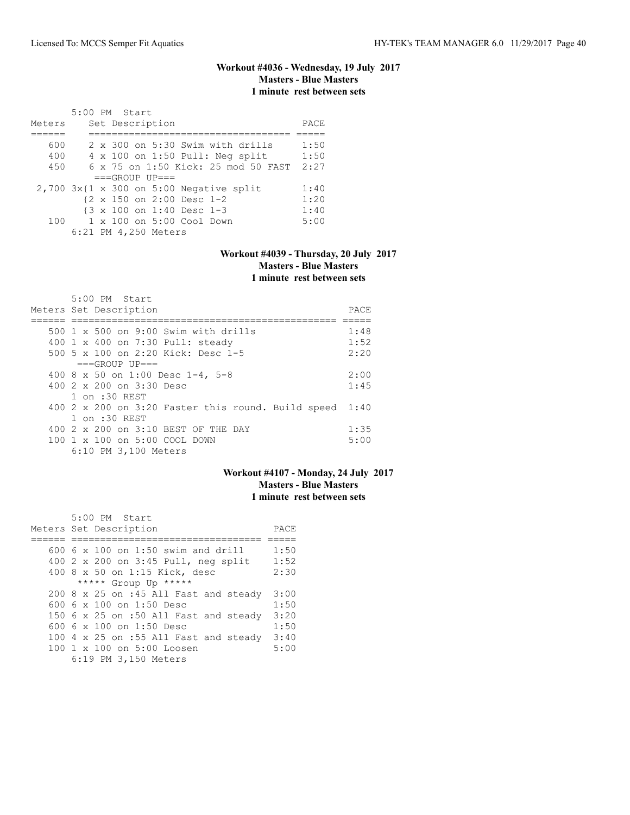# **Workout #4036 - Wednesday, 19 July 2017 Masters - Blue Masters 1 minute rest between sets**

|        | 5:00 PM Start |  |                      |                               |                                              |      |
|--------|---------------|--|----------------------|-------------------------------|----------------------------------------------|------|
| Meters |               |  | Set Description      |                               |                                              | PACE |
|        |               |  |                      |                               |                                              |      |
| 600    |               |  |                      |                               | 2 x 300 on 5:30 Swim with drills             | 1:50 |
| 400    |               |  |                      |                               | $4 \times 100$ on 1:50 Pull: Neq split       | 1:50 |
| 450    |               |  |                      |                               | 6 x 75 on 1:50 Kick: 25 mod 50 FAST          | 2:27 |
|        |               |  | $===GROUP UP = =$    |                               |                                              |      |
|        |               |  |                      |                               | $2,700$ $3x$ {1 x 300 on 5:00 Negative split | 1:40 |
|        |               |  |                      | {2 x 150 on 2:00 Desc 1-2     |                                              | 1:20 |
|        |               |  |                      | {3 x 100 on 1:40 Desc 1-3     |                                              | 1:40 |
|        |               |  |                      | 100 1 x 100 on 5:00 Cool Down |                                              | 5:00 |
|        |               |  | 6:21 PM 4,250 Meters |                               |                                              |      |

### **Workout #4039 - Thursday, 20 July 2017 Masters - Blue Masters 1 minute rest between sets**

| 5:00 PM Start                                      |      |
|----------------------------------------------------|------|
| Meters Set Description                             | PACE |
|                                                    |      |
| $500 \text{ 1 x } 500$ on 9:00 Swim with drills    | 1:48 |
| 400 1 x 400 on 7:30 Pull: steady                   | 1:52 |
| 500 5 x 100 on 2:20 Kick: Desc 1-5                 | 2:20 |
| $===GROUP UP==$                                    |      |
| 400 8 x 50 on 1:00 Desc 1-4, 5-8                   | 2:00 |
| 400 $2 \times 200$ on $3:30$ Desc                  | 1:45 |
| 1 on :30 REST                                      |      |
| 400 2 x 200 on 3:20 Faster this round. Build speed | 1:40 |
| 1 on :30 REST                                      |      |
| 400 2 x 200 on 3:10 BEST OF THE DAY                | 1:35 |
| 100 1 x 100 on 5:00 COOL DOWN                      | 5:00 |
| 6:10 PM 3,100 Meters                               |      |

### **Workout #4107 - Monday, 24 July 2017 Masters - Blue Masters 1 minute rest between sets**

| 5:00 PM Start                                          |      |
|--------------------------------------------------------|------|
| Meters Set Description                                 | PACE |
|                                                        |      |
| 600 6 x 100 on 1:50 swim and drill                     | 1:50 |
| 400 2 x 200 on 3:45 Pull, neg split                    | 1:52 |
| 400 8 x 50 on 1:15 Kick, desc                          | 2:30 |
| ***** Group Up *****                                   |      |
| 200 8 x 25 on :45 All Fast and steady                  | 3:00 |
| 600 6 $\times$ 100 on 1:50 Desc                        | 1:50 |
| 150 6 x 25 on :50 All Fast and steady                  | 3:20 |
| 600 6 x 100 on 1:50 Desc                               | 1:50 |
| 100 4 x 25 on :55 All Fast and steady                  | 3:40 |
| $100 \text{ 1 x } 100 \text{ on } 5:00 \text{ Loosen}$ | 5:00 |
| 6:19 PM 3,150 Meters                                   |      |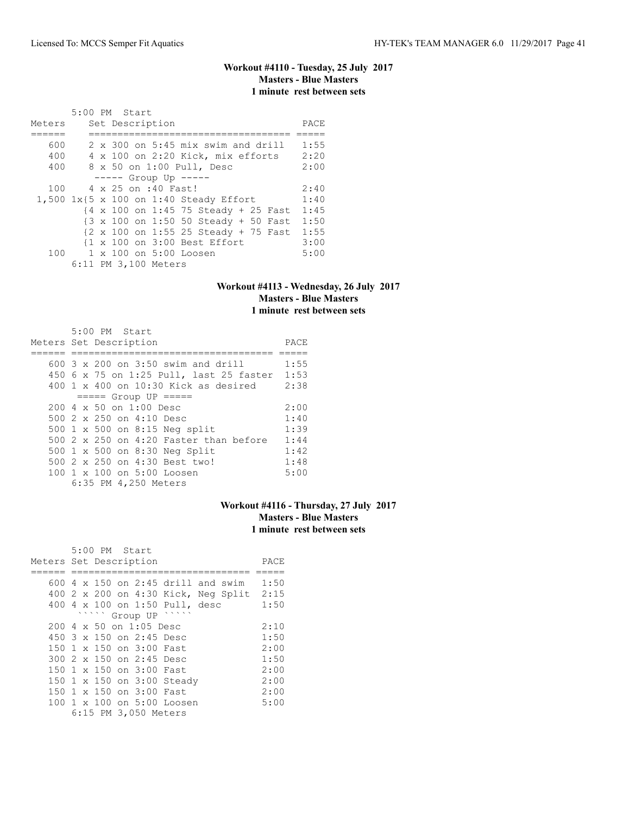# **Workout #4110 - Tuesday, 25 July 2017 Masters - Blue Masters 1 minute rest between sets**

| Meters | 5:00 PM Start |  | Set Description      |                                                                            | PACE |
|--------|---------------|--|----------------------|----------------------------------------------------------------------------|------|
|        |               |  |                      |                                                                            |      |
| 600    |               |  |                      | $2 \times 300$ on 5:45 mix swim and drill                                  | 1:55 |
| 400    |               |  |                      | 4 x 100 on 2:20 Kick, mix efforts                                          | 2:20 |
| 400    |               |  |                      | 8 x 50 on 1:00 Pull, Desc                                                  | 2:00 |
|        |               |  |                      | $--- $ Group Up $--- $                                                     |      |
| 100    |               |  | 4 x 25 on :40 Fast!  |                                                                            | 2:40 |
|        |               |  |                      | 1,500 1x{5 x 100 on 1:40 Steady Effort                                     | 1:40 |
|        |               |  |                      | {4 x 100 on 1:45 75 Steady + 25 Fast                                       | 1:45 |
|        |               |  |                      | {3 x 100 on 1:50 50 Steady + 50 Fast                                       | 1:50 |
|        |               |  |                      | $\{2 \times 100 \text{ on } 1:55\ 25 \text{ Steady } + 75 \text{ Fast} \}$ | 1:55 |
|        |               |  |                      | {1 x 100 on 3:00 Best Effort                                               | 3:00 |
| 100    |               |  |                      | $1 \times 100$ on $5:00$ Loosen                                            | 5:00 |
|        |               |  | 6:11 PM 3,100 Meters |                                                                            |      |

# **Workout #4113 - Wednesday, 26 July 2017 Masters - Blue Masters 1 minute rest between sets**

|  | 5:00 PM Start                                     |      |
|--|---------------------------------------------------|------|
|  | Meters Set Description                            | PACE |
|  |                                                   |      |
|  | 600 3 x 200 on 3:50 swim and drill                | 1:55 |
|  | 450 6 x 75 on 1:25 Pull, last 25 faster           | 1:53 |
|  | $400 \text{ 1 x } 400$ on $10:30$ Kick as desired | 2:38 |
|  | $== == $ Group UP = = = = =                       |      |
|  | $2004 \times 50$ on $1:00$ Desc                   | 2:00 |
|  | 500 2 x 250 on 4:10 Desc                          | 1:40 |
|  | 500 1 x 500 on 8:15 Neg split                     | 1:39 |
|  | 500 $2 \times 250$ on 4:20 Faster than before     | 1:44 |
|  | 500 1 x 500 on 8:30 Neg Split                     | 1:42 |
|  | 500 2 x 250 on 4:30 Best two!                     | 1:48 |
|  | 100 1 x 100 on 5:00 Loosen                        | 5:00 |
|  | 6:35 PM 4,250 Meters                              |      |

# **Workout #4116 - Thursday, 27 July 2017 Masters - Blue Masters 1 minute rest between sets**

|                        |  | 5:00 PM Start |                                     |                                           |  |      |
|------------------------|--|---------------|-------------------------------------|-------------------------------------------|--|------|
| Meters Set Description |  |               |                                     |                                           |  | PACE |
|                        |  |               |                                     |                                           |  |      |
|                        |  |               |                                     | 600 $4 \times 150$ on 2:45 drill and swim |  | 1:50 |
|                        |  |               |                                     | 400 2 x 200 on 4:30 Kick, Neg Split       |  | 2:15 |
|                        |  |               |                                     | 400 4 x 100 on 1:50 Pull, desc            |  | 1:50 |
|                        |  |               | ` Group UP                          |                                           |  |      |
|                        |  |               | $200 \, 4 \times 50$ on $1:05$ Desc |                                           |  | 2:10 |
|                        |  |               | 450 3 x 150 on 2:45 Desc            |                                           |  | 1:50 |
|                        |  |               | 150 1 x 150 on 3:00 Fast            |                                           |  | 2:00 |
|                        |  |               | 300 2 x 150 on 2:45 Desc            |                                           |  | 1:50 |
|                        |  |               | 150 1 x 150 on 3:00 Fast            |                                           |  | 2:00 |
|                        |  |               |                                     | 150 1 x 150 on 3:00 Steady                |  | 2:00 |
|                        |  |               | 150 1 x 150 on 3:00 Fast            |                                           |  | 2:00 |
|                        |  |               |                                     | 100 1 x 100 on 5:00 Loosen                |  | 5:00 |
|                        |  |               | 6:15 PM 3,050 Meters                |                                           |  |      |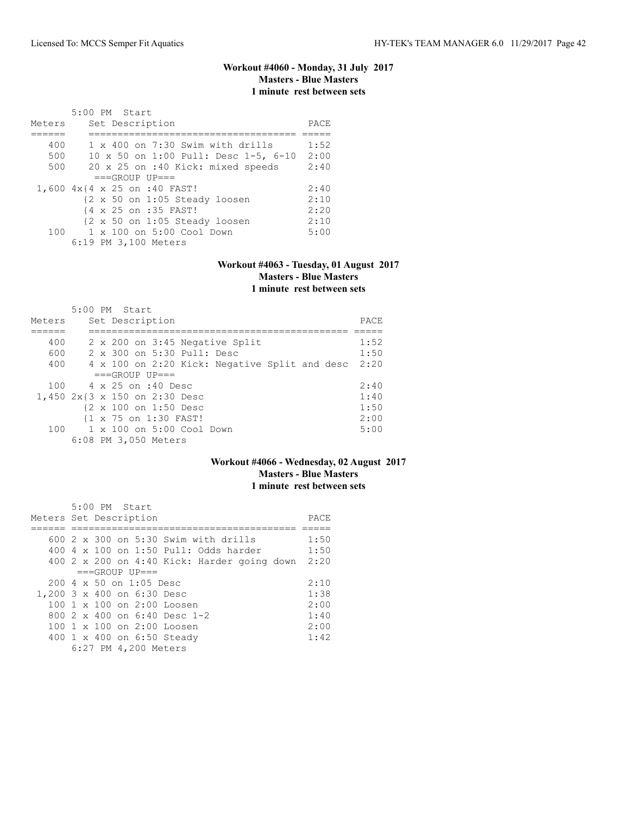# **Workout #4060 - Monday, 31 July 2017 Masters - Blue Masters 1 minute rest between sets**

|        | $5:00$ PM Start                         |      |
|--------|-----------------------------------------|------|
| Meters | Set Description                         | PACE |
|        |                                         |      |
| 400    | $1 \times 400$ on 7:30 Swim with drills | 1:52 |
| 500    | 10 x 50 on 1:00 Pull: Desc 1-5, 6-10    | 2:00 |
| 500    | 20 x 25 on :40 Kick: mixed speeds       | 2:40 |
|        | $===GROUP UP = =$                       |      |
|        | 1,600 4x{4 x 25 on :40 FAST!            | 2:40 |
|        | {2 x 50 on 1:05 Steady loosen           | 2:10 |
|        | {4 x 25 on :35 FAST!                    | 2:20 |
|        | {2 x 50 on 1:05 Steady loosen           | 2:10 |
| 100    | $1 \times 100$ on $5:00$ Cool Down      | 5:00 |
|        | 6:19 PM 3,100 Meters                    |      |

#### **Workout #4063 - Tuesday, 01 August 2017 Masters - Blue Masters 1 minute rest between sets**

|        | $5:00$ PM Start                               |      |
|--------|-----------------------------------------------|------|
| Meters | Set Description                               | PACE |
|        |                                               |      |
| 400    | 2 x 200 on 3:45 Negative Split                | 1:52 |
| 600    | 2 x 300 on 5:30 Pull: Desc                    | 1:50 |
| 400    | 4 x 100 on 2:20 Kick: Negative Split and desc | 2:20 |
|        | $===GROUP UP = =$                             |      |
| 100    | 4 x 25 on :40 Desc                            | 2:40 |
|        | 1,450 2x{3 x 150 on 2:30 Desc                 | 1:40 |
|        | {2 x 100 on 1:50 Desc                         | 1:50 |
|        | {1 x 75 on 1:30 FAST!                         | 2:00 |
| 100    | 1 x 100 on 5:00 Cool Down                     | 5:00 |
|        | 6:08 PM 3,050 Meters                          |      |

# **Workout #4066 - Wednesday, 02 August 2017 Masters - Blue Masters 1 minute rest between sets**

|                            | $5:00$ PM Start |                                                  |                                             |      |
|----------------------------|-----------------|--------------------------------------------------|---------------------------------------------|------|
| Meters Set Description     |                 |                                                  |                                             | PACE |
|                            |                 |                                                  |                                             |      |
|                            |                 |                                                  | $600\,2\,x\,300$ on $5:30$ Swim with drills | 1:50 |
|                            |                 |                                                  | 400 4 x 100 on 1:50 Pull: Odds harder       | 1:50 |
|                            |                 |                                                  | 400 2 x 200 on 4:40 Kick: Harder going down | 2:20 |
|                            |                 | $===GROUP UP = =$                                |                                             |      |
|                            |                 | $200 \text{ } 4 \text{ } \times 50$ on 1:05 Desc |                                             | 2:10 |
| 1,200 3 x 400 on 6:30 Desc |                 |                                                  |                                             | 1:38 |
|                            |                 |                                                  | $100 \t1 x 100$ on 2:00 Loosen              | 2:00 |
|                            |                 |                                                  | 800 $2 \times 400$ on 6:40 Desc 1-2         | 1:40 |
|                            |                 |                                                  | $100 \t1 x 100$ on 2:00 Loosen              | 2:00 |
|                            |                 |                                                  | 400 1 x 400 on 6:50 Steady                  | 1:42 |
|                            |                 | 6:27 PM 4,200 Meters                             |                                             |      |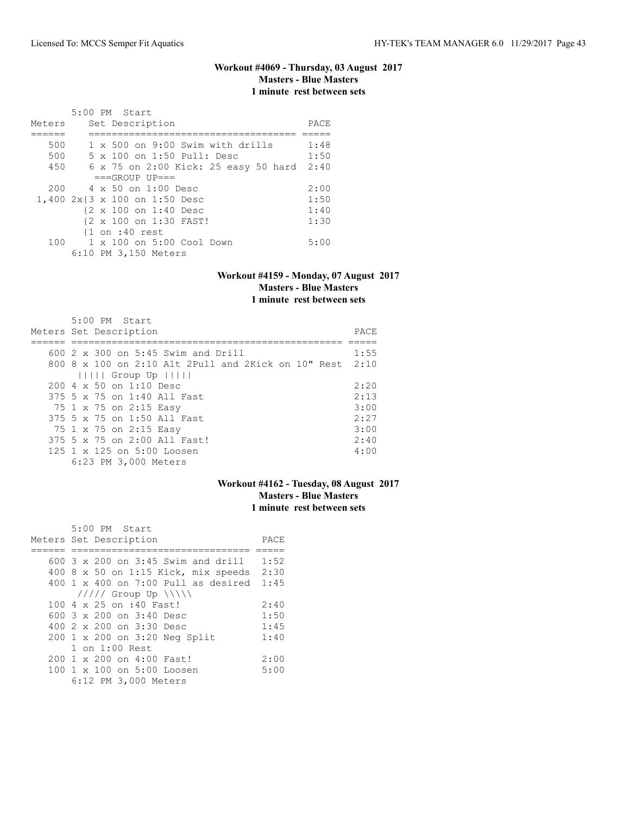# **Workout #4069 - Thursday, 03 August 2017 Masters - Blue Masters 1 minute rest between sets**

|        | 5:00 PM Start                 |                                           |      |
|--------|-------------------------------|-------------------------------------------|------|
| Meters | Set Description               |                                           | PACE |
|        |                               |                                           |      |
| 500    |                               | $1 \times 500$ on 9:00 Swim with drills   | 1:48 |
| 500    |                               | 5 x 100 on 1:50 Pull: Desc                | 1:50 |
| 450    |                               | 6 x 75 on 2:00 Kick: 25 easy 50 hard      | 2:40 |
|        | $===GROUP UP = =$             |                                           |      |
| 200    | 4 x 50 on 1:00 Desc           |                                           | 2:00 |
|        | 1,400 2x{3 x 100 on 1:50 Desc |                                           | 1:50 |
|        | {2 x 100 on 1:40 Desc         |                                           | 1:40 |
|        | {2 x 100 on 1:30 FAST!        |                                           | 1:30 |
|        | $\{1$ on :40 rest             |                                           |      |
|        |                               | 100    1 x 100    an 5:00    Cool    Down | 5:00 |
|        | 6:10 PM 3,150 Meters          |                                           |      |

#### **Workout #4159 - Monday, 07 August 2017 Masters - Blue Masters 1 minute rest between sets**

| 5:00 PM Start                                                   |      |
|-----------------------------------------------------------------|------|
| Meters Set Description                                          | PACE |
|                                                                 |      |
| 600 $2 \times 300$ on $5:45$ Swim and Drill                     | 1:55 |
| 800 8 $\times$ 100 on 2:10 Alt 2Pull and 2Kick on 10" Rest 2:10 |      |
| $       $ Group Up $     $                                      |      |
| $200 \, 4 \times 50$ on 1:10 Desc                               | 2:20 |
| 375 5 x 75 on 1:40 All Fast                                     | 2:13 |
| 75 1 x 75 on 2:15 Easy                                          | 3:00 |
| 375 5 x 75 on 1:50 All Fast                                     | 2:27 |
| 75 1 x 75 on 2:15 Easy                                          | 3:00 |
| 375 5 x 75 on 2:00 All Fast!                                    | 2:40 |
| $125$ 1 x 125 on $5:00$ Loosen                                  | 4:00 |
| 6:23 PM 3,000 Meters                                            |      |

## **Workout #4162 - Tuesday, 08 August 2017 Masters - Blue Masters 1 minute rest between sets**

| 5:00 PM Start                             |      |
|-------------------------------------------|------|
| Meters Set Description                    | PACE |
|                                           |      |
| 600 3 x 200 on 3:45 Swim and drill        | 1:52 |
| 400 8 x 50 on 1:15 Kick, mix speeds       | 2:30 |
| $400 \t1 x 400$ on $7:00$ Pull as desired | 1:45 |
| $11111$ Group Up $\ \ $                   |      |
| 100 4 x 25 on :40 Fast!                   | 2:40 |
| 600 $3 \times 200$ on $3:40$ Desc         | 1:50 |
| 400 $2 \times 200$ on $3:30$ Desc         | 1:45 |
| 200 1 x 200 on 3:20 Neg Split             | 1:40 |
| $1$ on $1:00$ Rest                        |      |
| $200 \t 1 \t x \t 200$ on $4:00$ Fast!    | 2:00 |
| 100 1 x 100 on 5:00 Loosen                | 5:00 |
| 6:12 PM 3,000 Meters                      |      |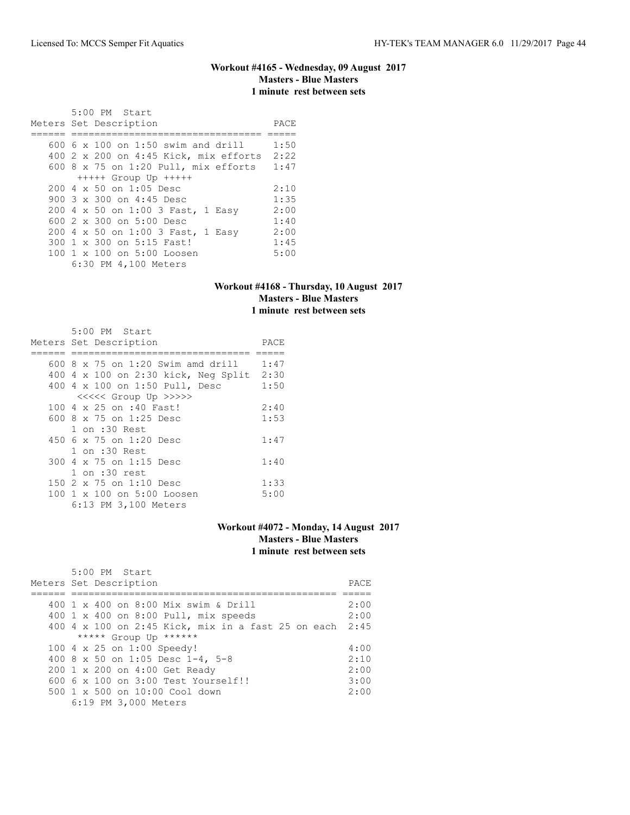### **Workout #4165 - Wednesday, 09 August 2017 Masters - Blue Masters 1 minute rest between sets**

| 5:00 PM Start<br>Meters Set Description   | PACE |
|-------------------------------------------|------|
| 600 $6 \times 100$ on 1:50 swim and drill | 1:50 |
| 400 2 x 200 on 4:45 Kick, mix efforts     | 2:22 |
| $600$ 8 x 75 on 1:20 Pull, mix efforts    | 1:47 |
| $++++$ Group Up $++++$                    |      |
| $200 \, 4 \times 50$ on $1:05$ Desc       | 2:10 |
| 900 3 x 300 on 4:45 Desc                  | 1:35 |
| 200 4 x 50 on 1:00 3 Fast, 1 Easy         | 2:00 |
| 600 $2 \times 300$ on $5:00$ Desc         | 1:40 |
| 200 4 x 50 on 1:00 3 Fast, 1 Easy         | 2:00 |
| 300 1 x 300 on 5:15 Fast!                 | 1:45 |
| 100 1 x 100 on 5:00 Loosen                | 5:00 |
| 6:30 PM 4,100 Meters                      |      |

### **Workout #4168 - Thursday, 10 August 2017 Masters - Blue Masters 1 minute rest between sets**

| 5:00 PM Start<br>Meters Set Description  | PACE |
|------------------------------------------|------|
| 600 8 $\times$ 75 on 1:20 Swim amd drill | 1:47 |
| 400 4 x 100 on 2:30 kick, Neg Split      | 2:30 |
| 400 4 x 100 on 1:50 Pull, Desc           | 1:50 |
| <<<<< Group Up >>>>>                     |      |
| 100 4 x 25 on :40 Fast!                  | 2:40 |
| 600 8 x 75 on 1:25 Desc                  | 1:53 |
| $1$ on $:30$ Rest                        |      |
| 450 6 x 75 on 1:20 Desc                  | 1:47 |
| 1 on :30 Rest                            |      |
| 300 4 x 75 on 1:15 Desc                  | 1:40 |
| $1$ on $:30$ rest                        |      |
| 150 2 x 75 on 1:10 Desc                  | 1:33 |
| 100 1 x 100 on 5:00 Loosen               | 5:00 |
| 6:13 PM 3,100 Meters                     |      |

#### **Workout #4072 - Monday, 14 August 2017 Masters - Blue Masters 1 minute rest between sets**

| $5:00$ PM Start<br>Meters Set Description               | PACE |
|---------------------------------------------------------|------|
|                                                         |      |
| 400 1 x 400 on 8:00 Mix swim & Drill                    | 2:00 |
| 400 1 x 400 on 8:00 Pull, mix speeds                    | 2:00 |
| 400 4 x 100 on 2:45 Kick, mix in a fast 25 on each 2:45 |      |
| ***** Group Up ******                                   |      |
| 100 4 x 25 on 1:00 Speedy!                              | 4:00 |
| 400 8 x 50 on 1:05 Desc 1-4, 5-8                        | 2:10 |
| 200 1 x 200 on 4:00 Get Ready                           | 2:00 |
| $6006 \times 100$ on $3:00$ Test Yourself!!             | 3:00 |
| $500 \t 1 \t x \t 500$ on $10:00$ Cool down             | 2:00 |
| 6:19 PM 3,000 Meters                                    |      |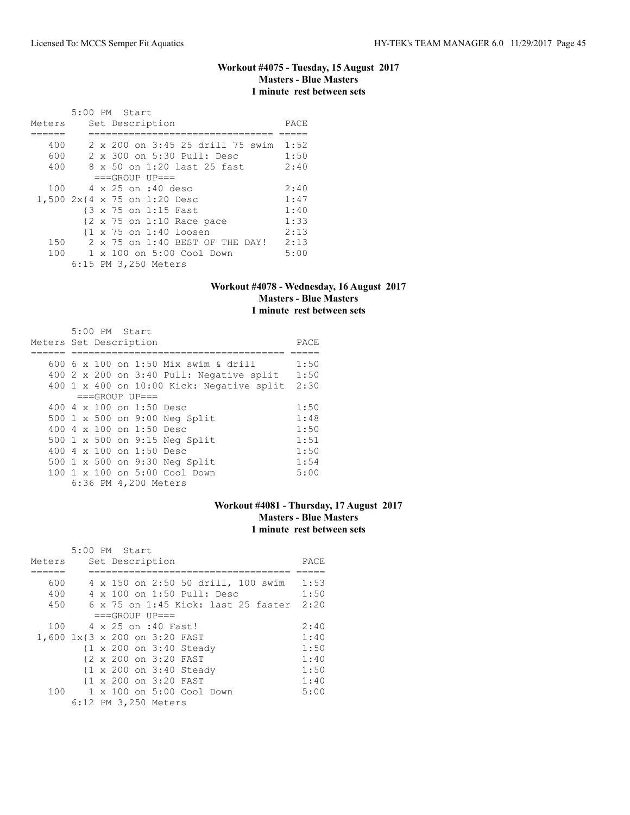## **Workout #4075 - Tuesday, 15 August 2017 Masters - Blue Masters 1 minute rest between sets**

|                              | 5:00 PM Start |  |                      |                                                      |                                       |      |
|------------------------------|---------------|--|----------------------|------------------------------------------------------|---------------------------------------|------|
| Meters                       |               |  | Set Description      |                                                      |                                       | PACE |
|                              |               |  |                      |                                                      |                                       |      |
| 400                          |               |  |                      |                                                      | 2 x 200 on 3:45 25 drill 75 swim 1:52 |      |
| 600                          |               |  |                      |                                                      | 2 x 300 on 5:30 Pull: Desc            | 1:50 |
| 400                          |               |  |                      |                                                      | 8 x 50 on 1:20 last 25 fast           | 2:40 |
|                              |               |  | $===GROUP UP = =$    |                                                      |                                       |      |
| 100                          |               |  | 4 x 25 on :40 desc   |                                                      |                                       | 2:40 |
| 1,500 2x{4 x 75 on 1:20 Desc |               |  |                      |                                                      |                                       | 1:47 |
|                              |               |  |                      | {3 x 75 on 1:15 Fast                                 |                                       | 1:40 |
|                              |               |  |                      | $\{2 \times 75 \text{ on } 1:10 \text{ Race pace}\}$ |                                       | 1:33 |
|                              |               |  |                      | $\{1 \times 75 \text{ on } 1:40 \text{ loosen}\}$    |                                       | 2:13 |
| 150                          |               |  |                      |                                                      | 2 x 75 on 1:40 BEST OF THE DAY!       | 2:13 |
| 100                          |               |  |                      | $1 \times 100$ on $5:00$ Cool Down                   |                                       | 5:00 |
|                              |               |  | 6:15 PM 3,250 Meters |                                                      |                                       |      |

# **Workout #4078 - Wednesday, 16 August 2017 Masters - Blue Masters 1 minute rest between sets**

|                        |  | 5:00 PM Start |                                 |                                           |      |
|------------------------|--|---------------|---------------------------------|-------------------------------------------|------|
| Meters Set Description |  |               |                                 |                                           | PACE |
|                        |  |               |                                 |                                           |      |
|                        |  |               |                                 | 600 6 x 100 on 1:50 Mix swim & drill      | 1:50 |
|                        |  |               |                                 | 400 2 x 200 on 3:40 Pull: Negative split  | 1:50 |
|                        |  |               |                                 | 400 1 x 400 on 10:00 Kick: Negative split | 2:30 |
|                        |  |               | $===GROUP UP = =$               |                                           |      |
|                        |  |               | 400 4 x 100 on 1:50 Desc        |                                           | 1:50 |
|                        |  |               |                                 | 500 1 x 500 on 9:00 Neg Split             | 1:48 |
|                        |  |               | 400 $4 \times 100$ on 1:50 Desc |                                           | 1:50 |
|                        |  |               |                                 | 500 1 x 500 on 9:15 Neg Split             | 1:51 |
|                        |  |               | 400 $4 \times 100$ on 1:50 Desc |                                           | 1:50 |
|                        |  |               |                                 | 500 1 x 500 on 9:30 Neg Split             | 1:54 |
|                        |  |               |                                 | 100 1 x 100 on 5:00 Cool Down             | 5:00 |
|                        |  |               | 6:36 PM 4,200 Meters            |                                           |      |

# **Workout #4081 - Thursday, 17 August 2017 Masters - Blue Masters 1 minute rest between sets**

|                               | 5:00 PM Start |  |                      |                                    |                                            |      |
|-------------------------------|---------------|--|----------------------|------------------------------------|--------------------------------------------|------|
| Meters                        |               |  | Set Description      |                                    |                                            | PACE |
|                               |               |  |                      |                                    |                                            |      |
| 600                           |               |  |                      |                                    | 4 x 150 on 2:50 50 drill, 100 swim         | 1:53 |
| 400                           |               |  |                      | 4 x 100 on 1:50 Pull: Desc         |                                            | 1:50 |
| 450                           |               |  |                      |                                    | $6 \times 75$ on 1:45 Kick: last 25 faster | 2:20 |
|                               |               |  | $===GROUP UP = =$    |                                    |                                            |      |
| 100                           |               |  | 4 x 25 on :40 Fast!  |                                    |                                            | 2:40 |
| 1,600 1x{3 x 200 on 3:20 FAST |               |  |                      |                                    |                                            | 1:40 |
|                               |               |  |                      | {1 x 200 on 3:40 Steady            |                                            | 1:50 |
|                               |               |  |                      | {2 x 200 on 3:20 FAST              |                                            | 1:40 |
|                               |               |  |                      | {1 x 200 on 3:40 Steady            |                                            | 1:50 |
|                               |               |  |                      | {1 x 200 on 3:20 FAST              |                                            | 1:40 |
| 100                           |               |  |                      | $1 \times 100$ on $5:00$ Cool Down |                                            | 5:00 |
|                               |               |  | 6:12 PM 3,250 Meters |                                    |                                            |      |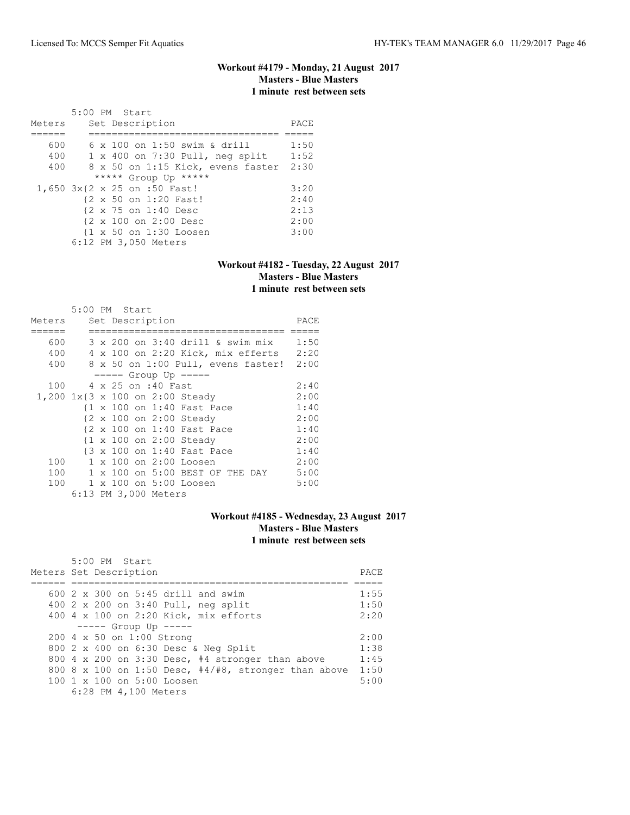### **Workout #4179 - Monday, 21 August 2017 Masters - Blue Masters 1 minute rest between sets**

| Meters |  | 5:00 PM Start<br>Set Description       | PACE |
|--------|--|----------------------------------------|------|
|        |  |                                        |      |
| 600    |  | 6 x 100 on 1:50 swim & drill           | 1:50 |
| 400    |  | $1 \times 400$ on 7:30 Pull, neg split | 1:52 |
| 400    |  | 8 x 50 on 1:15 Kick, evens faster      | 2:30 |
|        |  | ***** Group Up *****                   |      |
|        |  | 1,650 3x{2 x 25 on :50 Fast!           | 3:20 |
|        |  | {2 x 50 on 1:20 Fast!                  | 2:40 |
|        |  | {2 x 75 on 1:40 Desc                   | 2:13 |
|        |  | {2 x 100 on 2:00 Desc                  | 2:00 |
|        |  | {1 x 50 on 1:30 Loosen                 | 3:00 |
|        |  | 6:12 PM 3,050 Meters                   |      |

### **Workout #4182 - Tuesday, 22 August 2017 Masters - Blue Masters 1 minute rest between sets**

|        | 5:00 PM Start |  |                            |                                        |      |
|--------|---------------|--|----------------------------|----------------------------------------|------|
| Meters |               |  | Set Description            |                                        | PACE |
|        |               |  |                            |                                        |      |
| 600    |               |  |                            | 3 x 200 on 3:40 drill & swim mix       | 1:50 |
| 400    |               |  |                            | 4 x 100 on 2:20 Kick, mix efferts 2:20 |      |
| 400    |               |  |                            | 8 x 50 on 1:00 Pull, evens faster!     | 2:00 |
|        |               |  | $== == $ Group Up $== == $ |                                        |      |
| 100    |               |  | 4 x 25 on :40 Fast         |                                        | 2:40 |
|        |               |  |                            | 1,200 1x{3 x 100 on 2:00 Steady        | 2:00 |
|        |               |  |                            | {1 x 100 on 1:40 Fast Pace             | 1:40 |
|        |               |  |                            | {2 x 100 on 2:00 Steady                | 2:00 |
|        |               |  |                            | {2 x 100 on 1:40 Fast Pace             | 1:40 |
|        |               |  |                            | {1 x 100 on 2:00 Steady                | 2:00 |
|        |               |  |                            | {3 x 100 on 1:40 Fast Pace             | 1:40 |
| 100    |               |  |                            | 1 x 100 on 2:00 Loosen                 | 2:00 |
| 100    |               |  |                            | 1 x 100 on 5:00 BEST OF THE DAY        | 5:00 |
| 100    |               |  |                            | 1 x 100 on 5:00 Loosen                 | 5:00 |
|        |               |  | 6:13 PM 3,000 Meters       |                                        |      |

# **Workout #4185 - Wednesday, 23 August 2017 Masters - Blue Masters 1 minute rest between sets**

| 5:00 PM Start                                             |       |
|-----------------------------------------------------------|-------|
| Meters Set Description                                    | PACE. |
|                                                           |       |
| 600 2 x 300 on 5:45 drill and swim                        | 1:55  |
| 400 2 x 200 on 3:40 Pull, neg split                       | 1:50  |
| 400 4 x 100 on 2:20 Kick, mix efforts                     | 2:20  |
| $--- $ Group Up $---$                                     |       |
| 200 4 x 50 on 1:00 Strong                                 | 2:00  |
| 800 2 x 400 on 6:30 Desc & Neg Split                      | 1:38  |
| 800 4 x 200 on 3:30 Desc, #4 stronger than above          | 1:45  |
| 800 8 x 100 on 1:50 Desc, $\#4/\#8$ , stronger than above | 1:50  |
| 100 1 x 100 on 5:00 Loosen                                | 5:00  |
| 6:28 PM 4,100 Meters                                      |       |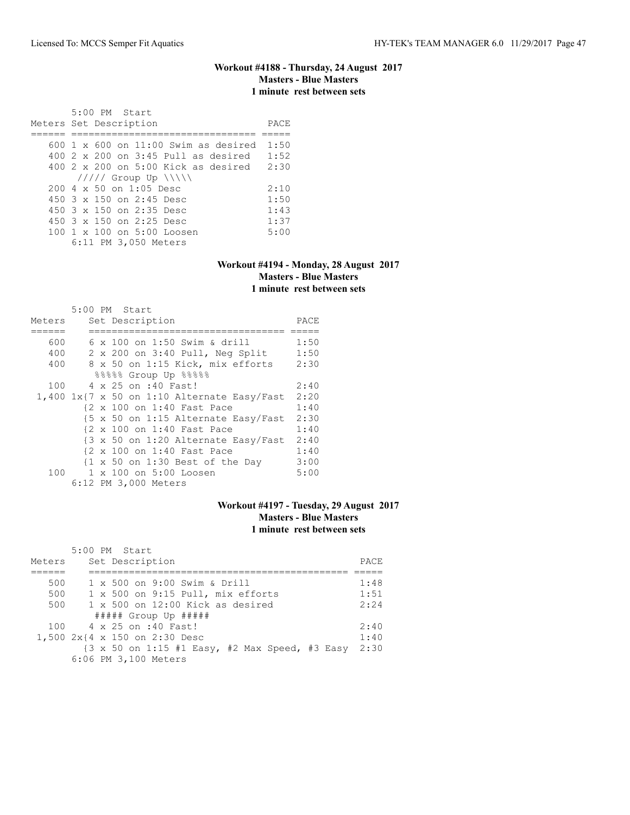#### **Workout #4188 - Thursday, 24 August 2017 Masters - Blue Masters 1 minute rest between sets**

 5:00 PM Start Meters Set Description **PACE** ====== ================================ ===== 600 1 x 600 on 11:00 Swim as desired 1:50 400 2 x 200 on 3:45 Pull as desired 1:52 400 2 x 200 on 5:00 Kick as desired 2:30 ///// Group Up \\\\\ 200 4 x 50 on 1:05 Desc 2:10<br>450 3 x 150 on 2:45 Desc 1:50 450 3 x 150 on 2:45 Desc 1:50 450 3 x 150 on 2:35 Desc 1:43 450 3 x 150 on 2:25 Desc 1:37 100 1 x 100 on 5:00 Loosen 5:00 6:11 PM 3,050 Meters

#### **Workout #4194 - Monday, 28 August 2017 Masters - Blue Masters 1 minute rest between sets**

|        | 5:00 PM Start                                                         |      |
|--------|-----------------------------------------------------------------------|------|
| Meters | Set Description                                                       | PACE |
|        |                                                                       |      |
| 600    | 6 x 100 on 1:50 Swim & drill                                          | 1:50 |
| 400    | 2 x 200 on 3:40 Pull, Neg Split                                       | 1:50 |
| 400    | 8 x 50 on 1:15 Kick, mix efforts                                      | 2:30 |
|        | %%%%% Group Up %%%%                                                   |      |
| 100    | 4 x 25 on :40 Fast!                                                   | 2:40 |
|        | $1,400$ $1x$ <sup>7</sup> x 50 on 1:10 Alternate Easy/Fast            | 2:20 |
|        | {2 x 100 on 1:40 Fast Pace                                            | 1:40 |
|        | $\{5 \times 50 \text{ on } 1:15 \text{ Alternate Easy}/\text{Fast}\}$ | 2:30 |
|        | {2 x 100 on 1:40 Fast Pace                                            | 1:40 |
|        | $\{3 \times 50 \text{ on } 1:20 \text{ Alternate Easy/Fast}\}$        | 2:40 |
|        | {2 x 100 on 1:40 Fast Pace                                            | 1:40 |
|        | {1 x 50 on 1:30 Best of the Day                                       | 3:00 |
| 100    | 1 x 100 on 5:00 Loosen                                                | 5:00 |
|        | 6:12 PM 3,000 Meters                                                  |      |

## **Workout #4197 - Tuesday, 29 August 2017 Masters - Blue Masters 1 minute rest between sets**

|        | 5:00 PM Start                                                             |      |
|--------|---------------------------------------------------------------------------|------|
| Meters | Set Description                                                           | PACE |
|        |                                                                           |      |
| 500    | 1 x 500 on 9:00 Swim & Drill                                              | 1:48 |
| 500    | 1 x 500 on 9:15 Pull, mix efforts                                         | 1:51 |
| 500    | $1 \times 500$ on $12:00$ Kick as desired                                 | 2:24 |
|        | $\#$ #### Group Up $\#$ ####                                              |      |
|        | 100 4 x 25 on :40 Fast!                                                   | 2:40 |
|        | 1,500 2x{4 x 150 on 2:30 Desc                                             | 1:40 |
|        | $\{3 \times 50 \text{ on } 1:15 \text{ #1 Easy, #2 Max Speed, #3 Easy}\}$ | 2:30 |
|        | 6:06 PM 3,100 Meters                                                      |      |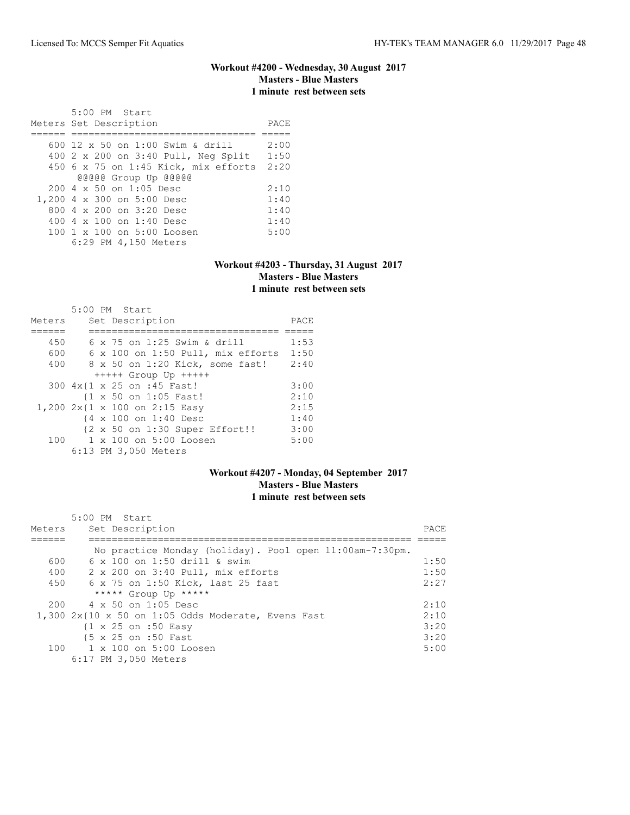#### **Workout #4200 - Wednesday, 30 August 2017 Masters - Blue Masters 1 minute rest between sets**

 5:00 PM Start Meters Set Description **PACE** ====== ================================ ===== 600 12 x 50 on 1:00 Swim & drill 2:00 400 2 x 200 on 3:40 Pull, Neg Split 1:50 450 6 x 75 on 1:45 Kick, mix efforts 2:20 @@@@@ Group Up @@@@@ 200 4 x 50 on 1:05 Desc 2:10<br>200 4 x 300 on 5:00 Desc 1:40 1,200 4 x 300 on 5:00 Desc 1:40 800 4 x 200 on 3:20 Desc 1:40 400 4 x 100 on 1:40 Desc 1:40 100 1 x 100 on 5:00 Loosen 5:00 6:29 PM 4,150 Meters

#### **Workout #4203 - Thursday, 31 August 2017 Masters - Blue Masters 1 minute rest between sets**

|        | 5:00 PM Start                     |      |
|--------|-----------------------------------|------|
| Meters | Set Description                   | PACE |
|        |                                   |      |
| 450    | 6 x 75 on 1:25 Swim & drill       | 1:53 |
| 600    | 6 x 100 on 1:50 Pull, mix efforts | 1:50 |
| 400    | 8 x 50 on 1:20 Kick, some fast!   | 2:40 |
|        | $++++$ Group Up $++++$            |      |
|        | 300 4x{1 x 25 on :45 Fast!        | 3:00 |
|        | {1 x 50 on 1:05 Fast!             | 2:10 |
|        | 1,200 2x{1 x 100 on 2:15 Easy     | 2:15 |
|        | {4 x 100 on 1:40 Desc             | 1:40 |
|        | {2 x 50 on 1:30 Super Effort!!    | 3:00 |
| 100    | 1 x 100 on 5:00 Loosen            | 5:00 |
|        | 6:13 PM 3,050 Meters              |      |

### **Workout #4207 - Monday, 04 September 2017 Masters - Blue Masters 1 minute rest between sets**

| Meters | 5:00 PM Start<br>Set Description                          | PACE |
|--------|-----------------------------------------------------------|------|
|        |                                                           |      |
|        | No practice Monday (holiday). Pool open 11:00am-7:30pm.   |      |
| 600    | 6 x 100 on 1:50 drill & swim                              | 1:50 |
| 400    | $2 \times 200$ on $3:40$ Pull, mix efforts                | 1:50 |
| 450    | 6 x 75 on 1:50 Kick, last 25 fast                         | 2:27 |
|        | ***** Group Up *****                                      |      |
| 200    | 4 x 50 on 1:05 Desc                                       | 2:10 |
|        | $1,300$ $2x$ {10 $x$ 50 on 1:05 Odds Moderate, Evens Fast | 2:10 |
|        | $\{1 \times 25 \text{ on } : 50 \text{ Easy}\}$           | 3:20 |
|        | {5 x 25 on :50 Fast                                       | 3:20 |
| 100    | 1 x 100 on 5:00 Loosen                                    | 5:00 |
|        | 6:17 PM 3,050 Meters                                      |      |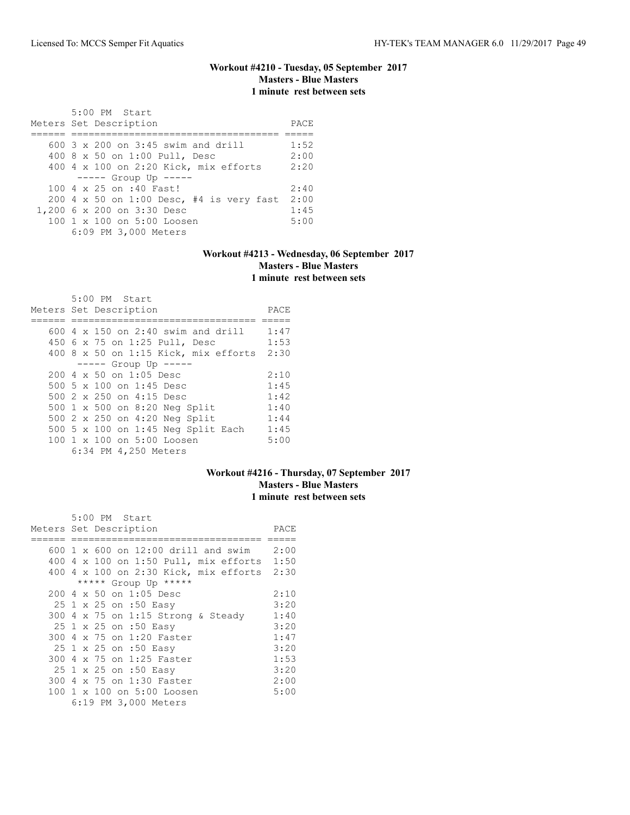# **Workout #4210 - Tuesday, 05 September 2017 Masters - Blue Masters 1 minute rest between sets**

| 5:00 PM Start<br>Meters Set Description     | PACE |
|---------------------------------------------|------|
| 600 $3 \times 200$ on $3:45$ swim and drill | 1:52 |
| 400 8 x 50 on 1:00 Pull, Desc               | 2:00 |
| 400 4 x 100 on 2:20 Kick, mix efforts       | 2:20 |
| $--- $ Group Up $---$                       |      |
| 100 4 x 25 on :40 Fast!                     | 2:40 |
| 200 4 x 50 on 1:00 Desc, #4 is very fast    | 2:00 |
| 1,200 6 x 200 on 3:30 Desc                  | 1:45 |
| 100 1 x 100 on 5:00 Loosen                  | 5:00 |
| 6:09 PM 3,000 Meters                        |      |

# **Workout #4213 - Wednesday, 06 September 2017 Masters - Blue Masters 1 minute rest between sets**

| 5:00 PM Start                             |      |
|-------------------------------------------|------|
| Meters Set Description                    | PACE |
|                                           |      |
| 600 $4 \times 150$ on 2:40 swim and drill | 1:47 |
| 450 6 x 75 on 1:25 Pull, Desc             | 1:53 |
| $400$ 8 x 50 on 1:15 Kick, mix efforts    | 2:30 |
| $--- -$ Group Up $--- -$                  |      |
| $200 \, 4 \times 50$ on $1:05$ Desc       | 2:10 |
| 500 5 x 100 on 1:45 Desc                  | 1:45 |
| 500 2 x 250 on 4:15 Desc                  | 1:42 |
| 500 1 x 500 on 8:20 Neg Split             | 1:40 |
| 500 2 x 250 on 4:20 Neg Split             | 1:44 |
| 500 5 x 100 on 1:45 Neg Split Each        | 1:45 |
| $100 \t 1 \t x \t 100$ on $5:00$ Loosen   | 5:00 |
| 6:34 PM 4,250 Meters                      |      |

### **Workout #4216 - Thursday, 07 September 2017 Masters - Blue Masters 1 minute rest between sets**

| 5:00 PM Start                           |      |
|-----------------------------------------|------|
| Meters Set Description                  | PACE |
|                                         |      |
| 600 1 x 600 on 12:00 drill and swim     | 2:00 |
| $400$ 4 x 100 on 1:50 Pull, mix efforts | 1:50 |
| 400 4 x 100 on 2:30 Kick, mix efforts   | 2:30 |
| ***** Group Up *****                    |      |
| 200 4 x 50 on 1:05 Desc                 | 2:10 |
| 25 1 x 25 on :50 Easy                   | 3:20 |
| 300 4 x 75 on 1:15 Strong & Steady      | 1:40 |
| 25 1 x 25 on :50 Easy                   | 3:20 |
| 300 4 x 75 on 1:20 Faster               | 1:47 |
| 25 1 x 25 on :50 Easy                   | 3:20 |
| 300 4 x 75 on 1:25 Faster               | 1:53 |
| 25 1 x 25 on :50 Easy                   | 3:20 |
| 300 4 x 75 on 1:30 Faster               | 2:00 |
| 100 1 x 100 on 5:00 Loosen              | 5:00 |
| 6:19 PM 3,000 Meters                    |      |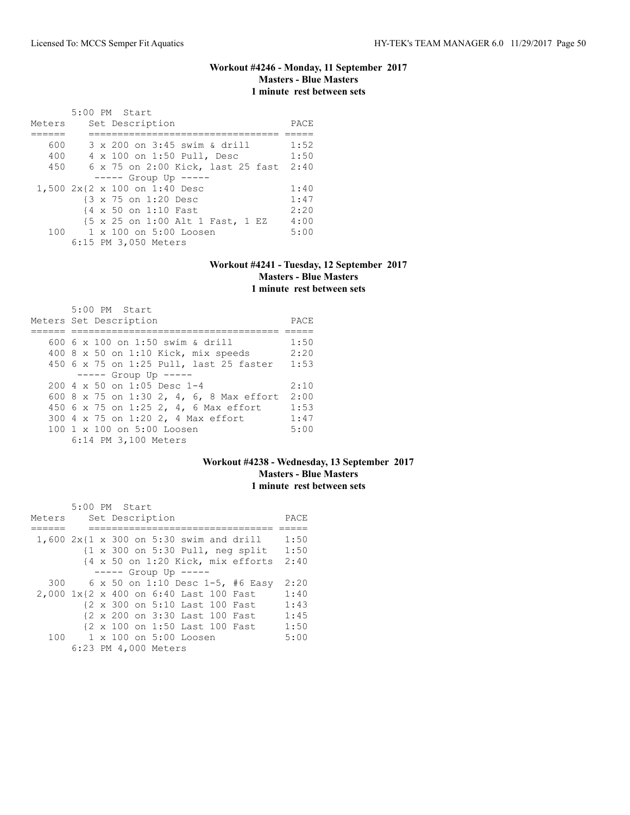### **Workout #4246 - Monday, 11 September 2017 Masters - Blue Masters 1 minute rest between sets**

| Meters | 5:00 PM Start<br>Set Description       | PACE |
|--------|----------------------------------------|------|
| 600    | 3 x 200 on 3:45 swim & drill           | 1:52 |
| 400    | 4 x 100 on 1:50 Pull, Desc             | 1:50 |
| 450    | 6 x 75 on 2:00 Kick, last 25 fast 2:40 |      |
|        | $--- -$ Group Up $--- -$               |      |
|        | 1,500 2x{2 x 100 on 1:40 Desc          | 1:40 |
|        | {3 x 75 on 1:20 Desc                   | 1:47 |
|        | {4 x 50 on 1:10 Fast                   | 2:20 |
|        | {5 x 25 on 1:00 Alt 1 Fast, 1 EZ       | 4:00 |
|        | 100 1 x 100 on 5:00 Loosen             | 5:00 |
|        | 6:15 PM 3,050 Meters                   |      |

#### **Workout #4241 - Tuesday, 12 September 2017 Masters - Blue Masters 1 minute rest between sets**

| 5:00 PM Start<br>Meters Set Description  | PACE |
|------------------------------------------|------|
|                                          |      |
| 600 6 x 100 on 1:50 swim & drill         | 1:50 |
| 400 8 x 50 on 1:10 Kick, mix speeds      | 2:20 |
| 450 6 x 75 on 1:25 Pull, last 25 faster  | 1:53 |
| $---$ Group Up $---$                     |      |
| $200.4 \times 50$ on 1:05 Desc 1-4       | 2:10 |
| 600 8 x 75 on 1:30 2, 4, 6, 8 Max effort | 2:00 |
| 450 6 x 75 on 1:25 2, 4, 6 Max effort    | 1:53 |
| 300 4 x 75 on 1:20 2, 4 Max effort       | 1:47 |
| 100 1 x 100 on 5:00 Loosen               | 5:00 |
| 6:14 PM 3,100 Meters                     |      |

### **Workout #4238 - Wednesday, 13 September 2017 Masters - Blue Masters 1 minute rest between sets**

|                                        | 5:00 PM Start |  |                      |                                |                                                                     |      |
|----------------------------------------|---------------|--|----------------------|--------------------------------|---------------------------------------------------------------------|------|
| Meters                                 |               |  | Set Description      |                                |                                                                     | PACE |
|                                        |               |  |                      |                                |                                                                     |      |
|                                        |               |  |                      |                                | 1,600 $2x\{1 \times 300 \text{ on } 5:30 \text{ swim and drill}\}$  | 1:50 |
|                                        |               |  |                      |                                | $\{1 \times 300 \text{ on } 5:30 \text{ Pull}, \text{ neg split}\}$ | 1:50 |
|                                        |               |  |                      |                                | {4 x 50 on 1:20 Kick, mix efforts                                   | 2:40 |
|                                        |               |  |                      | $--- $ Group Up $---$          |                                                                     |      |
| 300                                    |               |  |                      |                                | 6 x 50 on 1:10 Desc 1-5, #6 Easy                                    | 2:20 |
| 2,000 1x{2 x 400 on 6:40 Last 100 Fast |               |  |                      |                                |                                                                     | 1:40 |
|                                        |               |  |                      | {2 x 300 on 5:10 Last 100 Fast |                                                                     | 1:43 |
|                                        |               |  |                      | {2 x 200 on 3:30 Last 100 Fast |                                                                     | 1:45 |
|                                        |               |  |                      | {2 x 100 on 1:50 Last 100 Fast |                                                                     | 1:50 |
|                                        |               |  |                      | 100 1 x 100 on 5:00 Loosen     |                                                                     | 5:00 |
|                                        |               |  | 6:23 PM 4,000 Meters |                                |                                                                     |      |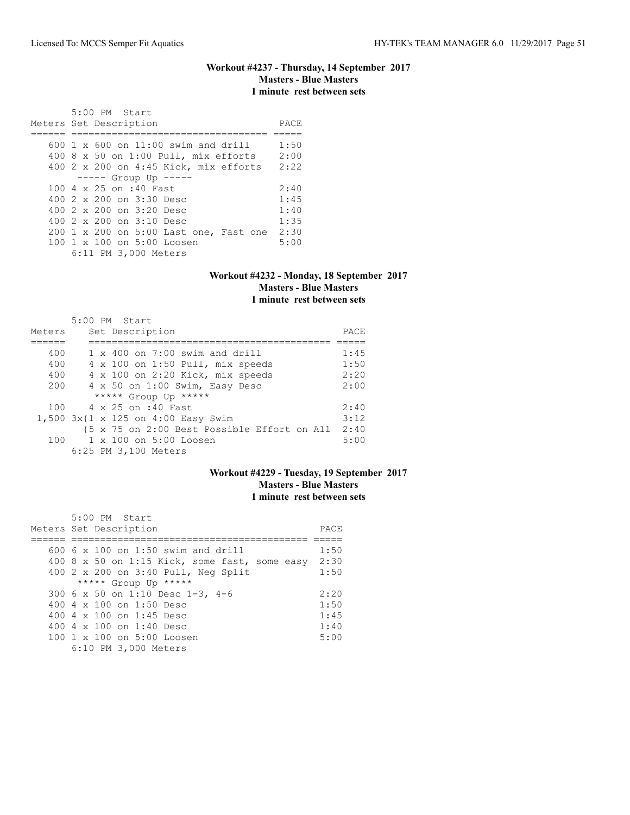# **Workout #4237 - Thursday, 14 September 2017 Masters - Blue Masters 1 minute rest between sets**

| 5:00 PM Start<br>Meters Set Description          | PACE |
|--------------------------------------------------|------|
| $600 \text{ 1 x } 600$ on $11:00$ swim and drill | 1:50 |
| $400$ 8 x 50 on 1:00 Pull, mix efforts           | 2:00 |
| 400 2 x 200 on 4:45 Kick, mix efforts            | 2:22 |
| $--- $ Group Up $---$                            |      |
| 100 4 x 25 on :40 Fast                           | 2:40 |
| 400 $2 \times 200$ on $3:30$ Desc                | 1:45 |
| 400 $2 \times 200$ on $3:20$ Desc                | 1:40 |
| 400 $2 \times 200$ on $3:10$ Desc                | 1:35 |
| 200 1 x 200 on 5:00 Last one, Fast one           | 2:30 |
| 100 1 x 100 on 5:00 Loosen                       | 5:00 |
| 6:11 PM 3,000 Meters                             |      |

#### **Workout #4232 - Monday, 18 September 2017 Masters - Blue Masters 1 minute rest between sets**

|        | 5:00 PM Start                               |      |
|--------|---------------------------------------------|------|
| Meters | Set Description                             | PACE |
|        |                                             |      |
| 400    | $1 \times 400$ on 7:00 swim and drill       | 1:45 |
| 400    | 4 x 100 on 1:50 Pull, mix speeds            | 1:50 |
| 400    | 4 x 100 on 2:20 Kick, mix speeds            | 2:20 |
| 200    | 4 x 50 on 1:00 Swim, Easy Desc              | 2:00 |
|        | ***** Group Up *****                        |      |
|        | 100 4 x 25 on :40 Fast                      | 2:40 |
|        | 1,500 3x{1 x 125 on 4:00 Easy Swim          | 3:12 |
|        | {5 x 75 on 2:00 Best Possible Effort on All | 2:40 |
| 100    | 1 x 100 on 5:00 Loosen                      | 5:00 |
|        | 6:25 PM 3,100 Meters                        |      |

# **Workout #4229 - Tuesday, 19 September 2017 Masters - Blue Masters 1 minute rest between sets**

| $5:00$ PM Start<br>Meters Set Description     |      |  |  |  |  |  |
|-----------------------------------------------|------|--|--|--|--|--|
|                                               |      |  |  |  |  |  |
| $600.6 \times 100$ on 1:50 swim and drill     | 1:50 |  |  |  |  |  |
| 400 8 x 50 on 1:15 Kick, some fast, some easy | 2:30 |  |  |  |  |  |
| 400 2 x 200 on 3:40 Pull, Neg Split           | 1:50 |  |  |  |  |  |
| ***** Group Up *****                          |      |  |  |  |  |  |
| 300 6 x 50 on 1:10 Desc 1-3, 4-6              | 2:20 |  |  |  |  |  |
| 400 $4 \times 100$ on 1:50 Desc               | 1:50 |  |  |  |  |  |
| 400 4 $\times$ 100 on 1:45 Desc               | 1:45 |  |  |  |  |  |
| 400 $4 \times 100$ on 1:40 Desc               | 1:40 |  |  |  |  |  |
| 100 1 x 100 on 5:00 Loosen                    | 5:00 |  |  |  |  |  |
| 6:10 PM 3,000 Meters                          |      |  |  |  |  |  |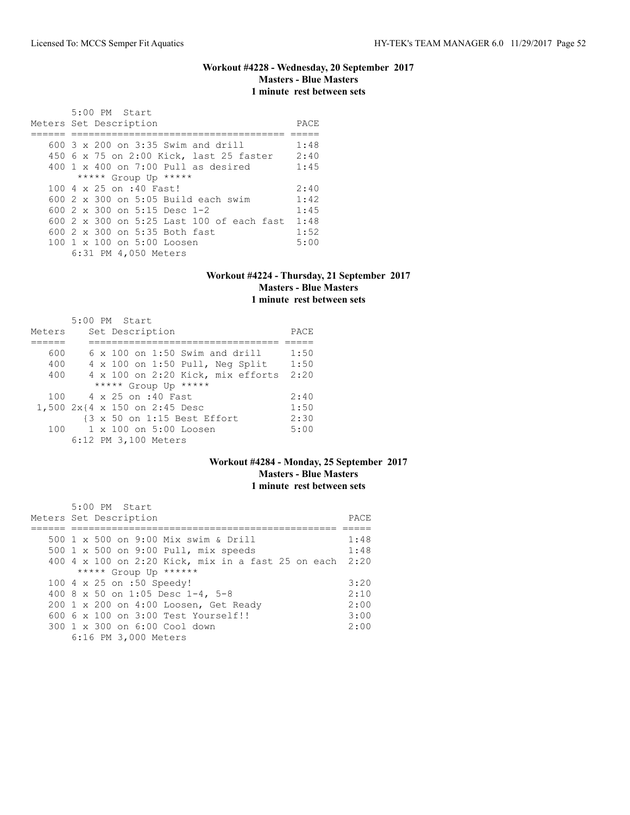### **Workout #4228 - Wednesday, 20 September 2017 Masters - Blue Masters 1 minute rest between sets**

| 5:00 PM Start<br>Meters Set Description        | PACE |
|------------------------------------------------|------|
|                                                |      |
| $600-3 \times 200$ on $3:35$ Swim and drill    | 1:48 |
| 450 6 x 75 on 2:00 Kick, last 25 faster        | 2:40 |
| $400 \t 1 \t x \t 400$ on 7:00 Pull as desired | 1:45 |
| ***** Group Up *****                           |      |
| 100 4 x 25 on :40 Fast!                        | 2:40 |
| $600$ 2 x 300 on 5:05 Build each swim          | 1:42 |
| 600 $2 \times 300$ on 5:15 Desc 1-2            | 1:45 |
| 600 2 x 300 on 5:25 Last 100 of each fast      | 1:48 |
| 600 2 x 300 on 5:35 Both fast                  | 1:52 |
| 100 1 x 100 on 5:00 Loosen                     | 5:00 |
| 6:31 PM 4,050 Meters                           |      |

### **Workout #4224 - Thursday, 21 September 2017 Masters - Blue Masters 1 minute rest between sets**

|        |  | $5:00$ PM Start                        |      |
|--------|--|----------------------------------------|------|
| Meters |  | Set Description                        | PACE |
|        |  |                                        |      |
| 600    |  | $6 \times 100$ on 1:50 Swim and drill  | 1:50 |
| 400    |  | $4 \times 100$ on 1:50 Pull, Neq Split | 1:50 |
| 400    |  | 4 x 100 on 2:20 Kick, mix efforts 2:20 |      |
|        |  | ***** Group Up *****                   |      |
| 100    |  | 4 x 25 on :40 Fast                     | 2:40 |
|        |  | 1,500 2x{4 x 150 on 2:45 Desc          | 1:50 |
|        |  | {3 x 50 on 1:15 Best Effort            | 2:30 |
| 100    |  | $1 \times 100$ on $5:00$ Loosen        | 5:00 |
|        |  | 6:12 PM 3,100 Meters                   |      |

# **Workout #4284 - Monday, 25 September 2017 Masters - Blue Masters 1 minute rest between sets**

| $5:00$ PM Start                                         |      |
|---------------------------------------------------------|------|
| Meters Set Description                                  | PACE |
|                                                         |      |
| 500 1 x 500 on 9:00 Mix swim & Drill                    | 1:48 |
| 500 1 x 500 on 9:00 Pull, mix speeds                    | 1:48 |
| 400 4 x 100 on 2:20 Kick, mix in a fast 25 on each 2:20 |      |
| ***** Group Up ******                                   |      |
| 100 4 x 25 on :50 Speedy!                               | 3:20 |
| 400 8 x 50 on 1:05 Desc 1-4, 5-8                        | 2:10 |
| 200 1 x 200 on 4:00 Loosen, Get Ready                   | 2:00 |
| $6006 \times 100$ on $3:00$ Test Yourself!!             | 3:00 |
| 300 1 x 300 on 6:00 Cool down                           | 2:00 |
| 6:16 PM 3,000 Meters                                    |      |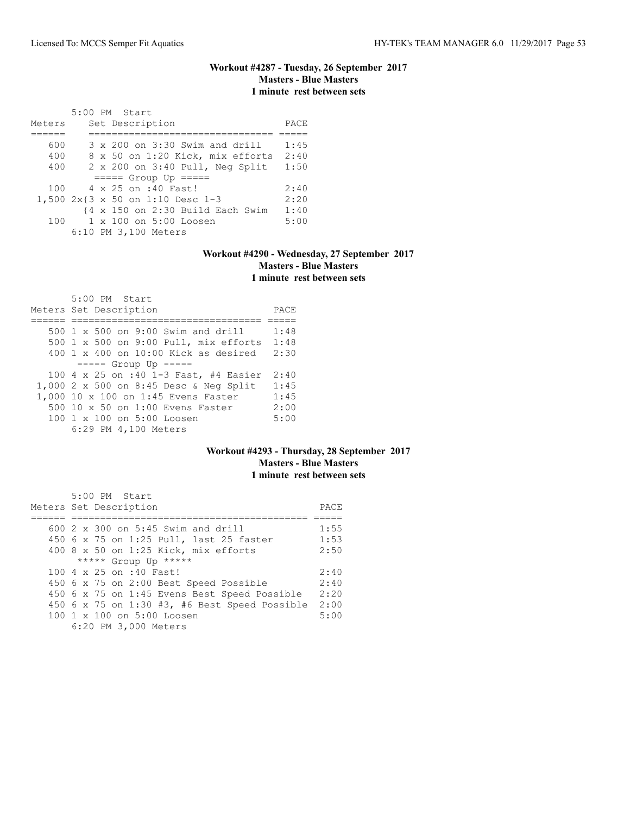# **Workout #4287 - Tuesday, 26 September 2017 Masters - Blue Masters 1 minute rest between sets**

|        | 5:00 PM Start                                               |      |
|--------|-------------------------------------------------------------|------|
| Meters | Set Description                                             | PACE |
|        |                                                             |      |
| 600    | 3 x 200 on 3:30 Swim and drill                              | 1:45 |
| 400    | 8 x 50 on 1:20 Kick, mix efforts                            | 2:40 |
| 400    | 2 x 200 on 3:40 Pull, Neg Split                             | 1:50 |
|        | $====$ Group Up $====$                                      |      |
| 100    | 4 x 25 on :40 Fast!                                         | 2:40 |
|        | 1,500 2x{3 x 50 on 1:10 Desc 1-3                            | 2:20 |
|        | $\{4 \times 150 \text{ on } 2:30 \text{ Build Each Swim}\}$ | 1:40 |
| 100    | 1 x 100 on 5:00 Loosen                                      | 5:00 |
|        | 6:10 PM 3,100 Meters                                        |      |

## **Workout #4290 - Wednesday, 27 September 2017 Masters - Blue Masters 1 minute rest between sets**

| 5:00 PM Start<br>Meters Set Description                | PACE |
|--------------------------------------------------------|------|
| 500 1 x 500 on 9:00 Swim and drill                     | 1:48 |
| 500 1 x 500 on 9:00 Pull, mix efforts                  | 1:48 |
| $400 \text{ 1 x } 400$ on $10:00$ Kick as desired      | 2:30 |
| $--- -$ Group Up $--- -$                               |      |
| 100 4 x 25 on :40 1-3 Fast, #4 Easier                  | 2:40 |
| 1,000 2 x 500 on 8:45 Desc & Neg Split                 | 1:45 |
| 1,000 10 x 100 on 1:45 Evens Faster                    | 1:45 |
| 500 10 x 50 on 1:00 Evens Faster                       | 2:00 |
| $100 \text{ 1 x } 100 \text{ on } 5:00 \text{ Loosen}$ | 5:00 |
| 6:29 PM 4,100 Meters                                   |      |

### **Workout #4293 - Thursday, 28 September 2017 Masters - Blue Masters 1 minute rest between sets**

| 5:00 PM Start                                        |      |
|------------------------------------------------------|------|
| Meters Set Description                               | PACE |
|                                                      |      |
| 600 $2 \times 300$ on 5:45 Swim and drill            | 1:55 |
| 450 6 x 75 on 1:25 Pull, last 25 faster              | 1:53 |
| 400 8 x 50 on 1:25 Kick, mix efforts                 | 2:50 |
| ***** Group Up *****                                 |      |
| 100 4 x 25 on :40 Fast!                              | 2:40 |
| 450 6 x 75 on 2:00 Best Speed Possible               | 2:40 |
| 450 6 x 75 on 1:45 Evens Best Speed Possible         | 2:20 |
| 450 $6 \times 75$ on 1:30 #3, #6 Best Speed Possible | 2:00 |
| 100 1 x 100 on 5:00 Loosen                           | 5:00 |
| 6:20 PM 3,000 Meters                                 |      |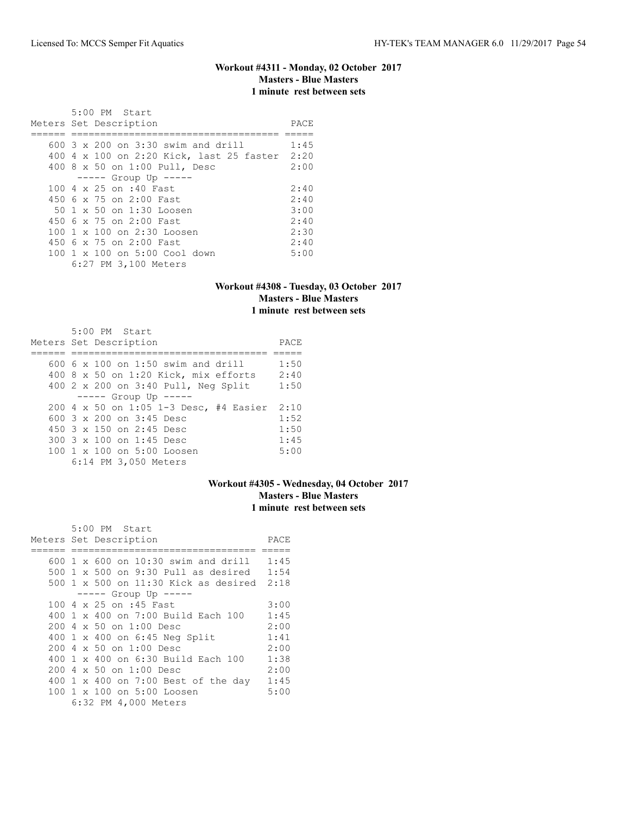## **Workout #4311 - Monday, 02 October 2017 Masters - Blue Masters 1 minute rest between sets**

| $5:00$ PM Start<br>Meters Set Description | PACE |
|-------------------------------------------|------|
|                                           |      |
| 600 3 x 200 on 3:30 swim and drill        | 1:45 |
| 400 4 x 100 on 2:20 Kick, last 25 faster  | 2:20 |
| 400 8 x 50 on 1:00 Pull, Desc             | 2:00 |
| $--- $ Group Up $---$                     |      |
| 100 4 x 25 on :40 Fast                    | 2:40 |
| 450 6 x 75 on 2:00 Fast.                  | 2:40 |
| 50 1 x 50 on 1:30 Loosen                  | 3:00 |
| 450 6 x 75 on 2:00 Fast                   | 2:40 |
| 100 1 x 100 on 2:30 Loosen                | 2:30 |
| 450 6 x 75 on 2:00 Fast                   | 2:40 |
| 100 1 x 100 on 5:00 Cool down             | 5:00 |
| 6:27 PM 3,100 Meters                      |      |

# **Workout #4308 - Tuesday, 03 October 2017 Masters - Blue Masters 1 minute rest between sets**

| 5:00 PM Start                               |      |
|---------------------------------------------|------|
| Meters Set Description                      | PACE |
|                                             |      |
| $600.6 \times 100$ on 1:50 swim and drill   | 1:50 |
| 400 $8 \times 50$ on 1:20 Kick, mix efforts | 2:40 |
| 400 2 x 200 on 3:40 Pull, Neg Split         | 1:50 |
| $--- $ Group Up $---$                       |      |
| 200 4 x 50 on 1:05 1-3 Desc, #4 Easier 2:10 |      |
| 600 $3 \times 200$ on $3:45$ Desc           | 1:52 |
| $450$ 3 x 150 on 2:45 Desc                  | 1:50 |
| $300.3 \times 100$ on 1:45 Desc             | 1:45 |
| 100 1 x 100 on 5:00 Loosen                  | 5:00 |
| 6:14 PM 3,050 Meters                        |      |

# **Workout #4305 - Wednesday, 04 October 2017 Masters - Blue Masters 1 minute rest between sets**

|  | 5:00 PM Start                             |      |
|--|-------------------------------------------|------|
|  | Meters Set Description                    | PACE |
|  |                                           |      |
|  | 600 1 x 600 on 10:30 swim and drill       | 1:45 |
|  | 500 1 x 500 on 9:30 Pull as desired 1:54  |      |
|  | 500 1 x 500 on 11:30 Kick as desired 2:18 |      |
|  | $--- $ Group Up $--- $                    |      |
|  | 100 4 x 25 on :45 Fast                    | 3:00 |
|  | 400 1 x 400 on 7:00 Build Each 100        | 1:45 |
|  | $200.4 \times 50$ on $1:00$ Desc          | 2:00 |
|  | 400 1 x 400 on 6:45 Neg Split             | 1:41 |
|  | 200 4 x 50 on 1:00 Desc                   | 2:00 |
|  | 400 1 x 400 on 6:30 Build Each 100        | 1:38 |
|  | 200 4 x 50 on 1:00 Desc                   | 2:00 |
|  | 400 1 x 400 on 7:00 Best of the day       | 1:45 |
|  | 100 1 x 100 on 5:00 Loosen                | 5:00 |
|  | 6:32 PM 4,000 Meters                      |      |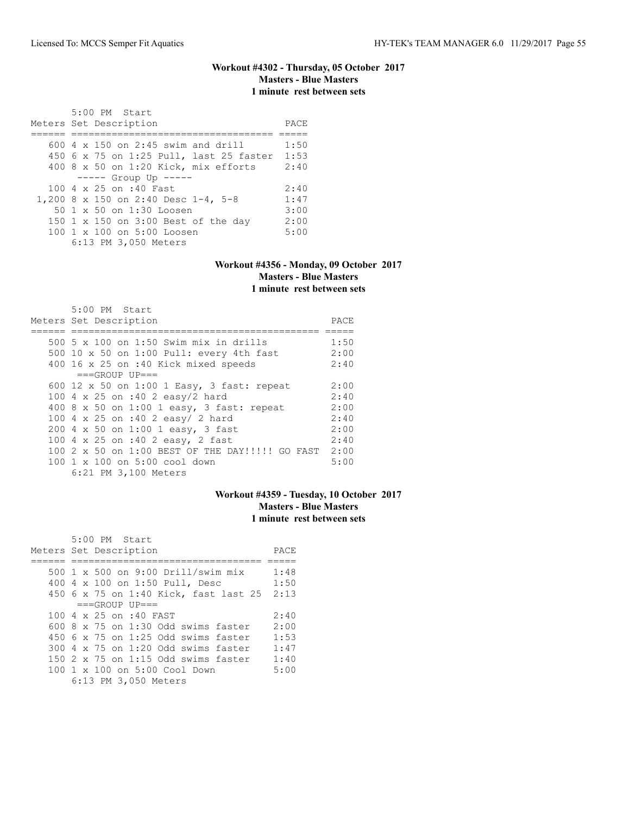## **Workout #4302 - Thursday, 05 October 2017 Masters - Blue Masters 1 minute rest between sets**

| 5:00 PM Start<br>Meters Set Description   | PACE |
|-------------------------------------------|------|
| 600 $4 \times 150$ on 2:45 swim and drill | 1:50 |
| 450 6 x 75 on 1:25 Pull, last 25 faster   | 1:53 |
| 400 8 x 50 on 1:20 Kick, mix efforts      | 2:40 |
| $--- -$ Group Up $---$                    |      |
| 100 4 x 25 on :40 Fast                    | 2:40 |
| 1,200 8 x 150 on 2:40 Desc 1-4, 5-8       | 1:47 |
| 50 1 x 50 on 1:30 Loosen                  | 3:00 |
| 150 1 x 150 on 3:00 Best of the day       | 2:00 |
| 100 1 x 100 on 5:00 Loosen                | 5:00 |
| 6:13 PM 3,050 Meters                      |      |

#### **Workout #4356 - Monday, 09 October 2017 Masters - Blue Masters 1 minute rest between sets**

| 5:00 PM Start                                        |      |
|------------------------------------------------------|------|
| Meters Set Description                               | PACE |
|                                                      |      |
| 500 5 x 100 on 1:50 Swim mix in drills               | 1:50 |
| 500 10 x 50 on 1:00 Pull: every 4th fast             | 2:00 |
| 400 16 x 25 on :40 Kick mixed speeds                 | 2:40 |
| $===GROUP UP = =$                                    |      |
| 600 12 x 50 on 1:00 1 Easy, 3 fast: repeat           | 2:00 |
| 100 4 x 25 on :40 2 easy/2 hard                      | 2:40 |
| 400 8 x 50 on 1:00 1 easy, 3 fast: repeat            | 2:00 |
| 100 4 x 25 on :40 2 easy/ 2 hard                     | 2:40 |
| 200 4 x 50 on 1:00 1 easy, 3 fast                    | 2:00 |
| 100 4 x 25 on :40 2 easy, 2 fast                     | 2:40 |
| 100 2 x 50 on 1:00 BEST OF THE DAY!!!!! GO FAST 2:00 |      |
| 100 1 x 100 on 5:00 cool down                        | 5:00 |
| 6:21 PM 3,100 Meters                                 |      |

# **Workout #4359 - Tuesday, 10 October 2017 Masters - Blue Masters 1 minute rest between sets**

| 5:00 PM Start                              |      |
|--------------------------------------------|------|
| Meters Set Description                     | PACE |
|                                            |      |
| 500 1 x 500 on 9:00 Drill/swim mix         | 1:48 |
| 400 4 x 100 on 1:50 Pull, Desc             | 1:50 |
| 450 6 x 75 on 1:40 Kick, fast last 25 2:13 |      |
| $===GROUP UP = =$                          |      |
| 100 4 x 25 on :40 FAST                     | 2:40 |
| $600.8 \times 75$ on 1:30 Odd swims faster | 2:00 |
| 450 6 x 75 on 1:25 Odd swims faster        | 1:53 |
| 300 4 x 75 on 1:20 Odd swims faster        | 1:47 |
| 150 $2 \times 75$ on 1:15 Odd swims faster | 1:40 |
| 100 1 x 100 on 5:00 Cool Down              | 5:00 |
| 6:13 PM 3,050 Meters                       |      |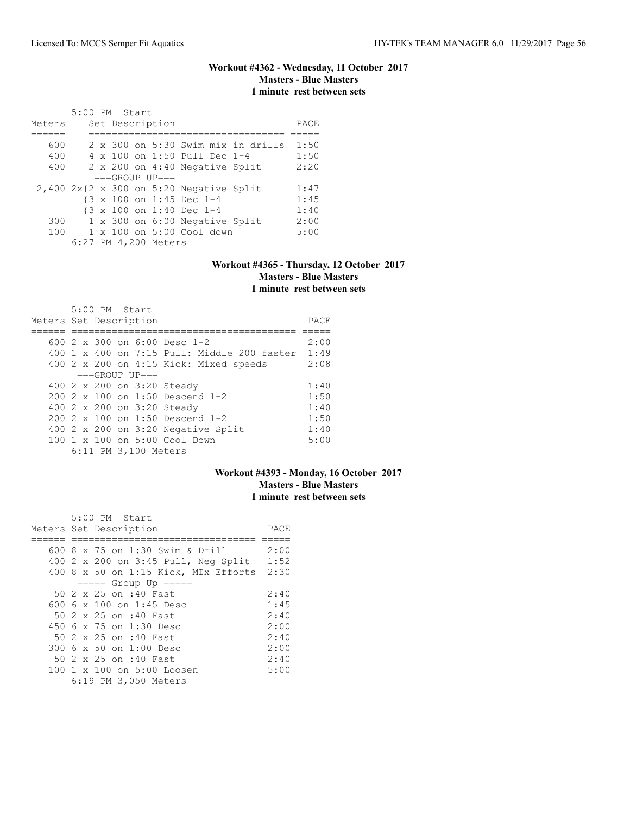## **Workout #4362 - Wednesday, 11 October 2017 Masters - Blue Masters 1 minute rest between sets**

|        | 5:00 PM Start |  |                      |                                                   |                                    |      |
|--------|---------------|--|----------------------|---------------------------------------------------|------------------------------------|------|
| Meters |               |  | Set Description      |                                                   |                                    | PACE |
|        |               |  |                      |                                                   |                                    |      |
| 600    |               |  |                      |                                                   | 2 x 300 on 5:30 Swim mix in drills | 1:50 |
| 400    |               |  |                      | 4 x 100 on 1:50 Pull Dec 1-4                      |                                    | 1:50 |
| 400    |               |  |                      | 2 x 200 on 4:40 Negative Split                    |                                    | 2:20 |
|        |               |  | $===GROUP UP = =$    |                                                   |                                    |      |
|        |               |  |                      | $2,400$ $2x(2 \times 300)$ on 5:20 Negative Split |                                    | 1:47 |
|        |               |  |                      | {3 x 100 on 1:45 Dec 1-4                          |                                    | 1:45 |
|        |               |  |                      | {3 x 100 on 1:40 Dec 1-4                          |                                    | 1:40 |
| 300    |               |  |                      | 1 x 300 on 6:00 Negative Split                    |                                    | 2:00 |
| 100    |               |  |                      | $1 \times 100$ on $5:00$ Cool down                |                                    | 5:00 |
|        |               |  | 6:27 PM 4,200 Meters |                                                   |                                    |      |

#### **Workout #4365 - Thursday, 12 October 2017 Masters - Blue Masters 1 minute rest between sets**

| $5:00$ PM Start                             |      |
|---------------------------------------------|------|
| Meters Set Description                      | PACE |
|                                             |      |
| 600 $2 \times 300$ on 6:00 Desc 1-2         | 2:00 |
| 400 1 x 400 on 7:15 Pull: Middle 200 faster | 1:49 |
| 400 2 x 200 on 4:15 Kick: Mixed speeds      | 2:08 |
| $===GROUP UP==$                             |      |
| 400 2 x 200 on 3:20 Steady                  | 1:40 |
| $200.2 \times 100$ on 1:50 Descend 1-2      | 1:50 |
| 400 2 x 200 on 3:20 Steady                  | 1:40 |
| 200 2 x 100 on 1:50 Descend 1-2             | 1:50 |
| 400 2 x 200 on 3:20 Negative Split          | 1:40 |
| 100 1 x 100 on 5:00 Cool Down               | 5:00 |
| 6:11 PM 3,100 Meters                        |      |

# **Workout #4393 - Monday, 16 October 2017 Masters - Blue Masters 1 minute rest between sets**

| $5:00$ PM Start                           |      |
|-------------------------------------------|------|
| Meters Set Description                    | PACE |
|                                           |      |
| 600 8 x 75 on 1:30 Swim & Drill           | 2:00 |
| 400 2 x 200 on 3:45 Pull, Neg Split       | 1:52 |
| 400 8 x 50 on 1:15 Kick, MIx Efforts 2:30 |      |
| $== == $ Group Up $== == $                |      |
| 50 2 x 25 on :40 Fast                     | 2:40 |
| 600 6 $\times$ 100 on 1:45 Desc           | 1:45 |
| 50 2 x 25 on :40 Fast                     | 2:40 |
| 450 6 x 75 on 1:30 Desc                   | 2:00 |
| 50 2 x 25 on :40 Fast                     | 2:40 |
| 300 6 x 50 on 1:00 Desc                   | 2:00 |
| 50 2 x 25 on :40 Fast                     | 2:40 |
| 100 1 x 100 on 5:00 Loosen                | 5:00 |
| 6:19 PM 3,050 Meters                      |      |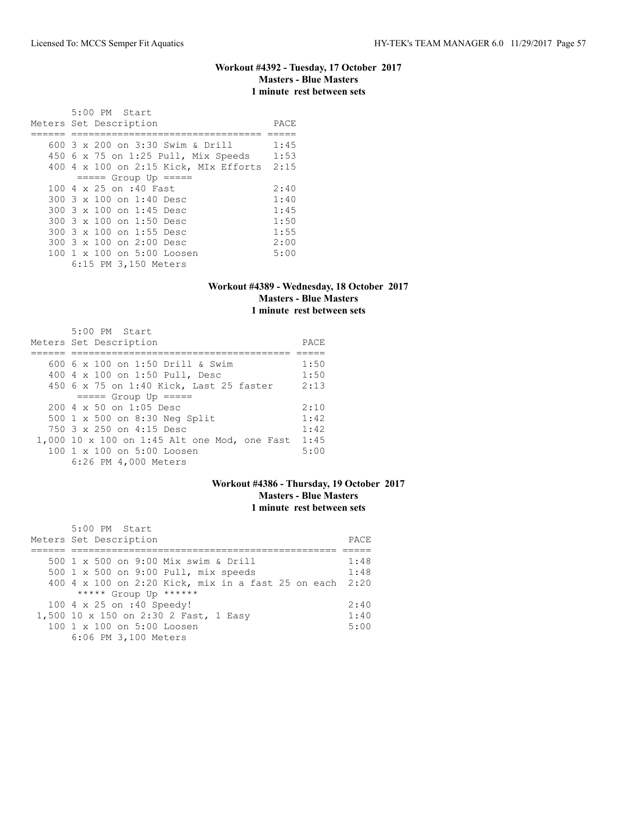### **Workout #4392 - Tuesday, 17 October 2017 Masters - Blue Masters 1 minute rest between sets**

| 5:00 PM Start<br>Meters Set Description | PACE |
|-----------------------------------------|------|
| 600 3 x 200 on 3:30 Swim & Drill        | 1:45 |
|                                         |      |
| 450 6 x 75 on 1:25 Pull, Mix Speeds     | 1:53 |
| $400$ 4 x 100 on 2:15 Kick, MIx Efforts | 2:15 |
| $== == $ Group Up $== == $              |      |
| 100 4 x 25 on :40 Fast                  | 2:40 |
| 300 3 x 100 on 1:40 Desc                | 1:40 |
| 300 3 x 100 on 1:45 Desc                | 1:45 |
| 300 3 x 100 on 1:50 Desc                | 1:50 |
| 300 3 x 100 on 1:55 Desc                | 1:55 |
| $300.3 \times 100$ on $2:00$ Desc       | 2:00 |
| 100 1 x 100 on 5:00 Loosen              | 5:00 |
| 6:15 PM 3,150 Meters                    |      |

# **Workout #4389 - Wednesday, 18 October 2017 Masters - Blue Masters 1 minute rest between sets**

| 5:00 PM Start<br>Meters Set Description      | PACE |
|----------------------------------------------|------|
|                                              |      |
| 600 6 x 100 on 1:50 Drill & Swim             | 1:50 |
| 400 4 x 100 on 1:50 Pull, Desc               | 1:50 |
| 450 6 x 75 on 1:40 Kick, Last 25 faster      | 2:13 |
| $== == $ Group Up $== == $                   |      |
| $200.4 \times 50$ on 1:05 Desc               | 2:10 |
| 500 1 x 500 on 8:30 Neg Split                | 1:42 |
| 750 3 x 250 on 4:15 Desc                     | 1:42 |
| 1,000 10 x 100 on 1:45 Alt one Mod, one Fast | 1:45 |
| 100 1 x 100 on 5:00 Loosen                   | 5:00 |
| 6:26 PM 4,000 Meters                         |      |

### **Workout #4386 - Thursday, 19 October 2017 Masters - Blue Masters 1 minute rest between sets**

| 5:00 PM Start                                           |       |
|---------------------------------------------------------|-------|
| Meters Set Description                                  | PACE. |
|                                                         |       |
| 500 1 x 500 on 9:00 Mix swim & Drill                    | 1:48  |
| 500 1 x 500 on 9:00 Pull, mix speeds                    | 1:48  |
| 400 4 x 100 on 2:20 Kick, mix in a fast 25 on each 2:20 |       |
| ***** Group Up ******                                   |       |
| 100 4 x 25 on :40 Speedy!                               | 2:40  |
| 1,500 10 x 150 on 2:30 2 Fast, 1 Easy                   | 1:40  |
| 100 1 x 100 on 5:00 Loosen                              | 5:00  |
| 6:06 PM 3,100 Meters                                    |       |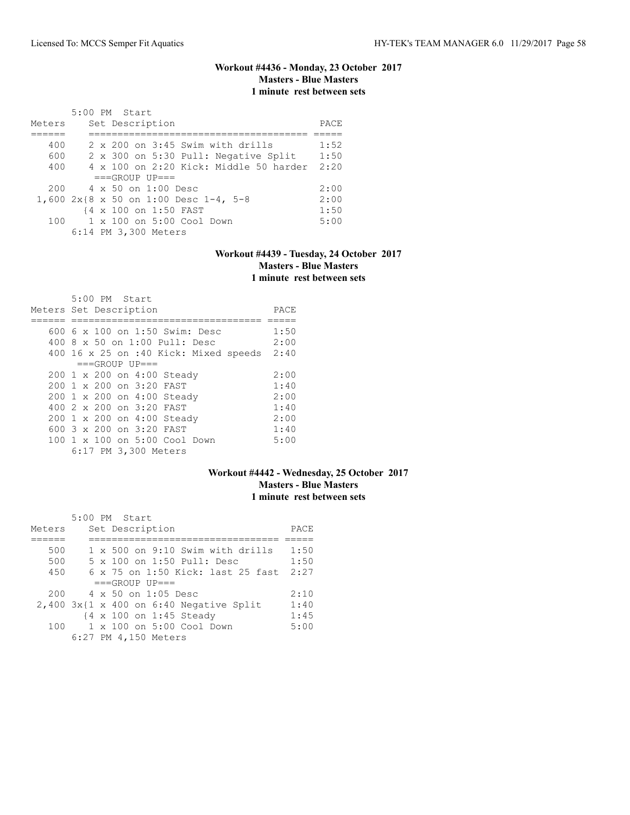# **Workout #4436 - Monday, 23 October 2017 Masters - Blue Masters 1 minute rest between sets**

|        | 5:00 PM Start                                 |      |
|--------|-----------------------------------------------|------|
| Meters | Set Description                               | PACE |
|        |                                               |      |
| 400    | $2 \times 200$ on $3:45$ Swim with drills     | 1:52 |
| 600    | 2 x 300 on 5:30 Pull: Negative Split          | 1:50 |
| 400    | $4 \times 100$ on 2:20 Kick: Middle 50 harder | 2:20 |
|        | $===GROUP UP=-$                               |      |
| 200    | 4 x 50 on 1:00 Desc                           | 2:00 |
|        | 1,600 2x{8 x 50 on 1:00 Desc 1-4, 5-8         | 2:00 |
|        | {4 x 100 on 1:50 FAST                         | 1:50 |
| 100    | $1 \times 100$ on $5:00$ Cool Down            | 5:00 |
|        | 6:14 PM 3,300 Meters                          |      |

# **Workout #4439 - Tuesday, 24 October 2017 Masters - Blue Masters 1 minute rest between sets**

| $5:00$ PM Start<br>Meters Set Description  | PACE |
|--------------------------------------------|------|
| 600 $6 \times 100$ on 1:50 Swim: Desc      | 1:50 |
| 400 8 x 50 on 1:00 Pull: Desc              | 2:00 |
| 400 16 x 25 on :40 Kick: Mixed speeds 2:40 |      |
| $===GROUP UP=-$                            |      |
| 200 1 x 200 on 4:00 Steady                 | 2:00 |
| 200 1 x 200 on 3:20 FAST                   | 1:40 |
| 200 1 x 200 on 4:00 Steady                 | 2:00 |
| 400 2 x 200 on 3:20 FAST                   | 1:40 |
| 200 1 x 200 on 4:00 Steady                 | 2:00 |
| 600 $3 \times 200$ on $3:20$ FAST          | 1:40 |
| 100 1 x 100 on 5:00 Cool Down              | 5:00 |
| 6:17 PM 3,300 Meters                       |      |

### **Workout #4442 - Wednesday, 25 October 2017 Masters - Blue Masters 1 minute rest between sets**

|        |  | 5:00 PM Start                                |      |
|--------|--|----------------------------------------------|------|
| Meters |  | Set Description                              | PACE |
|        |  |                                              |      |
| 500    |  | 1 x 500 on 9:10 Swim with drills             | 1:50 |
| 500    |  | 5 x 100 on 1:50 Pull: Desc                   | 1:50 |
| 450    |  | 6 x 75 on 1:50 Kick: last 25 fast            | 2:27 |
|        |  | $===GROUP UP=-$                              |      |
| 200    |  | 4 x 50 on 1:05 Desc                          | 2:10 |
|        |  | $2,400$ $3x$ {1 x 400 on 6:40 Negative Split | 1:40 |
|        |  | {4 x 100 on 1:45 Steady                      | 1:45 |
| 100    |  | $1 \times 100$ on $5:00$ Cool Down           | 5:00 |
|        |  | 6:27 PM 4,150 Meters                         |      |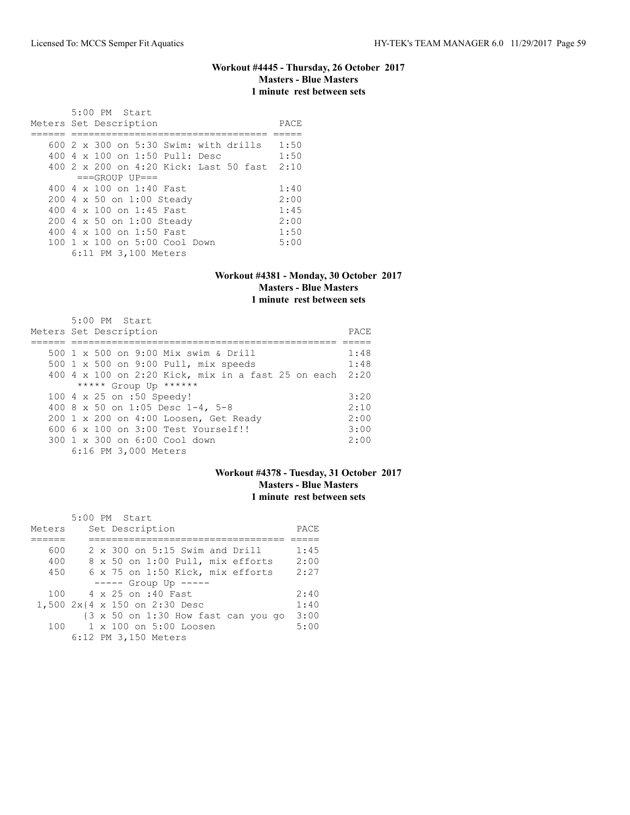#### **Workout #4445 - Thursday, 26 October 2017 Masters - Blue Masters 1 minute rest between sets**

 5:00 PM Start Meters Set Description **PACE** ====== ================================== ===== 600 2 x 300 on 5:30 Swim: with drills 1:50 400 4 x 100 on 1:50 Pull: Desc 1:50 400 2 x 200 on 4:20 Kick: Last 50 fast 2:10  $===GROUP$   $UP==$ 400 4 x 100 on 1:40 Fast 1:40<br>200 4 x 50 on 1:00 Steady 2:00 200 4 x 50 on 1:00 Steady 2:00<br>400 4 x 100 on 1:45 Fast 1:45 400 4 x 100 on 1:45 Fast 1:45<br>200 4 x 50 on 1:00 Steady 2:00 200 4 x 50 on 1:00 Steady 2:00<br>400 4 x 100 on 1:50 Fast 1:50 400 4 x 100 on 1:50 Fast 1:50<br>100 1 x 100 on 5:00 Cool Down 5:00 100 1 x 100 on 5:00 Cool Down 6:11 PM 3,100 Meters

#### **Workout #4381 - Monday, 30 October 2017 Masters - Blue Masters 1 minute rest between sets**

| $5:00$ PM Start                                    |      |
|----------------------------------------------------|------|
| Meters Set Description                             | PACE |
|                                                    |      |
| 500 1 x 500 on 9:00 Mix swim & Drill               | 1:48 |
| 500 1 x 500 on 9:00 Pull, mix speeds               | 1:48 |
| 400 4 x 100 on 2:20 Kick, mix in a fast 25 on each | 2:20 |
| ***** Group Up ******                              |      |
| 100 4 x 25 on :50 Speedy!                          | 3:20 |
| 400 8 x 50 on 1:05 Desc 1-4, 5-8                   | 2:10 |
| 200 1 x 200 on 4:00 Loosen, Get Ready              | 2:00 |
| $6006 \times 100$ on $3:00$ Test Yourself!!        | 3:00 |
| 300 1 x 300 on 6:00 Cool down                      | 2:00 |
| 6:16 PM 3,000 Meters                               |      |

# **Workout #4378 - Tuesday, 31 October 2017 Masters - Blue Masters 1 minute rest between sets**

|        |  | 5:00 PM Start                       |      |
|--------|--|-------------------------------------|------|
| Meters |  | Set Description                     | PACE |
|        |  |                                     |      |
| 600    |  | 2 x 300 on 5:15 Swim and Drill      | 1:45 |
| 400    |  | 8 x 50 on 1:00 Pull, mix efforts    | 2:00 |
| 450    |  | 6 x 75 on 1:50 Kick, mix efforts    | 2:27 |
|        |  | $--- $ Group Up $---$               |      |
|        |  | 100 4 x 25 on :40 Fast              | 2:40 |
|        |  | 1,500 2x{4 x 150 on 2:30 Desc       | 1:40 |
|        |  | {3 x 50 on 1:30 How fast can you go | 3:00 |
|        |  | 100 1 x 100 on 5:00 Loosen          | 5:00 |
|        |  | 6:12 PM 3,150 Meters                |      |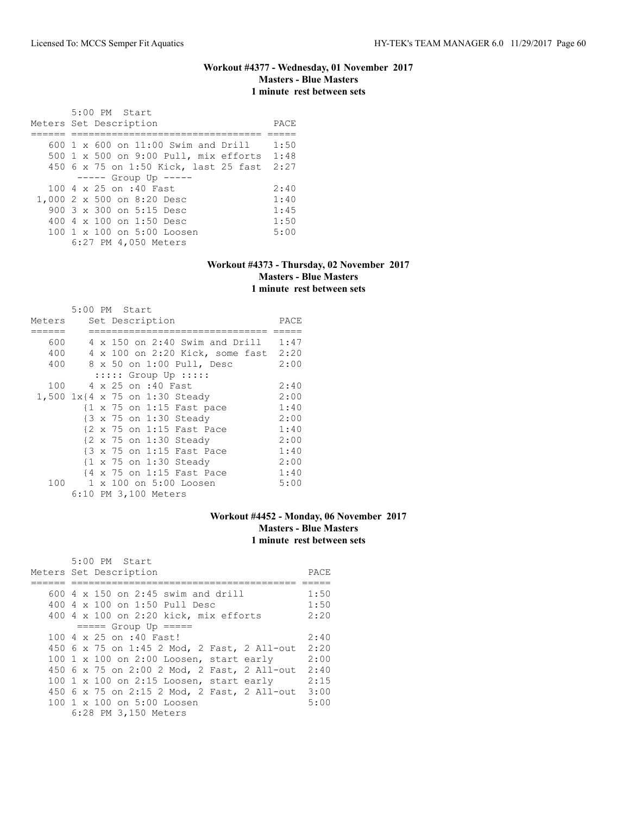### **Workout #4377 - Wednesday, 01 November 2017 Masters - Blue Masters 1 minute rest between sets**

| $5:00$ PM Start<br>Meters Set Description        | PACE |
|--------------------------------------------------|------|
| $600 \text{ 1 x } 600$ on $11:00$ Swim and Drill | 1:50 |
| 500 1 x 500 on 9:00 Pull, mix efforts 1:48       |      |
| 450 6 x 75 on 1:50 Kick, last 25 fast 2:27       |      |
| $--- -$ Group Up $---$                           |      |
| 100 4 x 25 on :40 Fast                           | 2:40 |
| 1,000 2 x 500 on 8:20 Desc                       | 1:40 |
| 900 3 x 300 on 5:15 Desc                         | 1:45 |
| 400 $4 \times 100$ on 1:50 Desc                  | 1:50 |
| $100 \t 1 \t x \t 100$ on $5:00$ Loosen          | 5:00 |
| 6:27 PM 4,050 Meters                             |      |

### **Workout #4373 - Thursday, 02 November 2017 Masters - Blue Masters 1 minute rest between sets**

|        | 5:00 PM Start |  |                      |                                                      |                                       |      |
|--------|---------------|--|----------------------|------------------------------------------------------|---------------------------------------|------|
| Meters |               |  | Set Description      |                                                      |                                       | PACE |
|        |               |  |                      |                                                      |                                       |      |
| 600    |               |  |                      |                                                      | $4 \times 150$ on 2:40 Swim and Drill | 1:47 |
| 400    |               |  |                      |                                                      | 4 x 100 on 2:20 Kick, some fast 2:20  |      |
| 400    |               |  |                      | 8 x 50 on 1:00 Pull, Desc                            |                                       | 2:00 |
|        |               |  |                      | $::::::$ Group Up $:::::$                            |                                       |      |
| 100    |               |  | 4 x 25 on :40 Fast   |                                                      |                                       | 2:40 |
|        |               |  |                      | 1,500 1x{4 x 75 on 1:30 Steady                       |                                       | 2:00 |
|        |               |  |                      | $\{1 \times 75 \text{ on } 1:15 \text{ Fast pace}\}$ |                                       | 1:40 |
|        |               |  |                      | {3 x 75 on 1:30 Steady                               |                                       | 2:00 |
|        |               |  |                      | {2 x 75 on 1:15 Fast Pace                            |                                       | 1:40 |
|        |               |  |                      | {2 x 75 on 1:30 Steady                               |                                       | 2:00 |
|        |               |  |                      | {3 x 75 on 1:15 Fast Pace                            |                                       | 1:40 |
|        |               |  |                      | {1 x 75 on 1:30 Steady                               |                                       | 2:00 |
|        |               |  |                      | {4 x 75 on 1:15 Fast Pace                            |                                       | 1:40 |
| 100    |               |  |                      | 1 x 100 on 5:00 Loosen                               |                                       | 5:00 |
|        |               |  | 6:10 PM 3,100 Meters |                                                      |                                       |      |

# **Workout #4452 - Monday, 06 November 2017 Masters - Blue Masters 1 minute rest between sets**

| 5:00 PM Start                               |      |
|---------------------------------------------|------|
| Meters Set Description                      | PACE |
|                                             |      |
| 600 $4 \times 150$ on 2:45 swim and drill   | 1:50 |
| 400 4 x 100 on 1:50 Pull Desc               | 1:50 |
| 400 4 x 100 on 2:20 kick, mix efforts       | 2:20 |
| $== == $ Group Up $== == $                  |      |
| 100 4 x 25 on :40 Fast!                     | 2:40 |
| 450 6 x 75 on 1:45 2 Mod, 2 Fast, 2 All-out | 2:20 |
| 100 1 x 100 on 2:00 Loosen, start early     | 2:00 |
| 450 6 x 75 on 2:00 2 Mod, 2 Fast, 2 All-out | 2:40 |
| 100 1 x 100 on 2:15 Loosen, start early     | 2:15 |
| 450 6 x 75 on 2:15 2 Mod, 2 Fast, 2 All-out | 3:00 |
| 100 1 x 100 on 5:00 Loosen                  | 5:00 |
| 6:28 PM 3,150 Meters                        |      |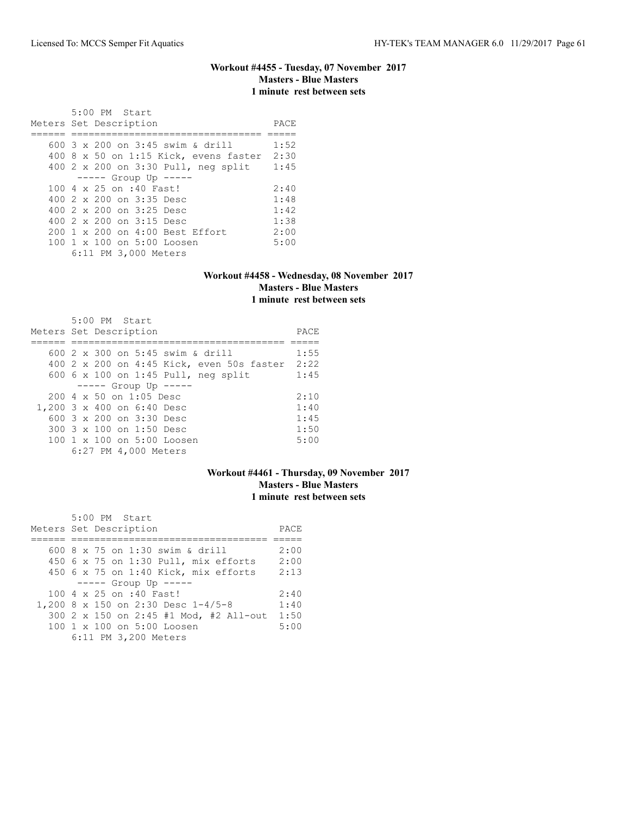### **Workout #4455 - Tuesday, 07 November 2017 Masters - Blue Masters 1 minute rest between sets**

| 5:00 PM Start<br>Meters Set Description | PACE |
|-----------------------------------------|------|
| 600 3 x 200 on 3:45 swim & drill        | 1:52 |
| 400 8 x 50 on 1:15 Kick, evens faster   | 2:30 |
| 400 2 x 200 on 3:30 Pull, neg split     | 1:45 |
| $--- $ Group Up $---$                   |      |
| 100 4 x 25 on :40 Fast!                 | 2:40 |
| 400 2 x 200 on 3:35 Desc                | 1:48 |
| 400 2 x 200 on 3:25 Desc                | 1:42 |
| 400 $2 \times 200$ on $3:15$ Desc       | 1:38 |
| 200 1 x 200 on 4:00 Best Effort         | 2:00 |
| 100 1 x 100 on 5:00 Loosen              | 5:00 |
| 6:11 PM 3,000 Meters                    |      |

### **Workout #4458 - Wednesday, 08 November 2017 Masters - Blue Masters 1 minute rest between sets**

| 5:00 PM Start<br>Meters Set Description                | PACE |
|--------------------------------------------------------|------|
|                                                        |      |
| 600 2 x 300 on 5:45 swim & drill                       | 1:55 |
| 400 2 x 200 on 4:45 Kick, even 50s faster 2:22         |      |
| 600 $6 \times 100$ on 1:45 Pull, neg split             | 1:45 |
| $--- -$ Group Up $--- -$                               |      |
| $200 \, 4 \times 50$ on $1:05$ Desc                    | 2:10 |
| 1,200 3 x 400 on 6:40 Desc                             | 1:40 |
| 600 3 x 200 on 3:30 Desc                               | 1:45 |
| 300 3 x 100 on 1:50 Desc                               | 1:50 |
| $100 \text{ 1 x } 100 \text{ on } 5:00 \text{ Loosen}$ | 5:00 |
| 6:27 PM 4,000 Meters                                   |      |

# **Workout #4461 - Thursday, 09 November 2017 Masters - Blue Masters 1 minute rest between sets**

| 5:00 PM Start                          |      |
|----------------------------------------|------|
| Meters Set Description                 | PACE |
|                                        |      |
| 600 8 x 75 on 1:30 swim & drill        | 2:00 |
| 450 6 x 75 on 1:30 Pull, mix efforts   | 2:00 |
| 450 6 x 75 on 1:40 Kick, mix efforts   | 2:13 |
| $--- $ Group Up $---$                  |      |
| 100 4 x 25 on :40 Fast!                | 2:40 |
| 1,200 8 x 150 on 2:30 Desc 1-4/5-8     | 1:40 |
| 300 2 x 150 on 2:45 #1 Mod, #2 All-out | 1:50 |
| 100 1 x 100 on 5:00 Loosen             | 5:00 |
| 6:11 PM 3,200 Meters                   |      |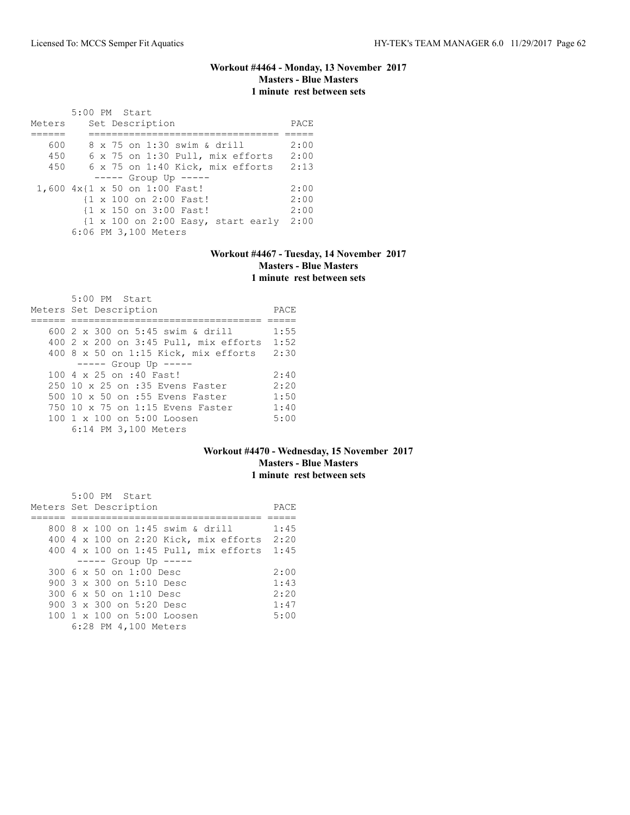### **Workout #4464 - Monday, 13 November 2017 Masters - Blue Masters 1 minute rest between sets**

|        | $5:00$ PM Start                                                       |      |
|--------|-----------------------------------------------------------------------|------|
| Meters | Set Description                                                       | PACE |
|        |                                                                       |      |
| 600    | 8 x 75 on 1:30 swim & drill                                           | 2:00 |
| 450    | 6 x 75 on 1:30 Pull, mix efforts                                      | 2:00 |
| 450    | 6 x 75 on 1:40 Kick, mix efforts                                      | 2:13 |
|        | $--- $ Group Up $---$                                                 |      |
|        | 1,600 4x{1 x 50 on 1:00 Fast!                                         | 2:00 |
|        | {1 x 100 on 2:00 Fast!                                                | 2:00 |
|        | {1 x 150 on 3:00 Fast!                                                | 2:00 |
|        | $\{1 \times 100 \text{ on } 2:00 \text{ Easy}, \text{ start early}\}$ | 2:00 |
|        | 6:06 PM 3,100 Meters                                                  |      |

# **Workout #4467 - Tuesday, 14 November 2017 Masters - Blue Masters 1 minute rest between sets**

| 5:00 PM Start<br>Meters Set Description | PACE |
|-----------------------------------------|------|
| 600 $2 \times 300$ on 5:45 swim & drill | 1:55 |
|                                         | 1:52 |
| 400 2 x 200 on 3:45 Pull, mix efforts   |      |
| $400$ 8 x 50 on 1:15 Kick, mix efforts  | 2:30 |
| $--- $ Group Up $---$                   |      |
| 100 4 x 25 on :40 Fast!                 | 2:40 |
| 250 10 x 25 on :35 Evens Faster         | 2:20 |
| 500 10 x 50 on :55 Evens Faster         | 1:50 |
| 750 10 x 75 on 1:15 Evens Faster        | 1:40 |
| 100 1 x 100 on 5:00 Loosen              | 5:00 |
| 6:14 PM 3,100 Meters                    |      |

### **Workout #4470 - Wednesday, 15 November 2017 Masters - Blue Masters 1 minute rest between sets**

| 5:00 PM Start                              |      |
|--------------------------------------------|------|
| Meters Set Description                     | PACE |
|                                            |      |
| 800 8 x 100 on 1:45 swim & drill           | 1:45 |
| 400 4 x 100 on 2:20 Kick, mix efforts 2:20 |      |
| 400 4 x 100 on 1:45 Pull, mix efforts 1:45 |      |
| $--- $ Group Up $---$                      |      |
| 300 6 x 50 on 1:00 Desc                    | 2:00 |
| 900 $3 \times 300$ on $5:10$ Desc          | 1:43 |
| 300 6 x 50 on 1:10 Desc                    | 2:20 |
| 900 3 x 300 on 5:20 Desc                   | 1:47 |
| 100 1 x 100 on 5:00 Loosen                 | 5:00 |
| 6:28 PM 4,100 Meters                       |      |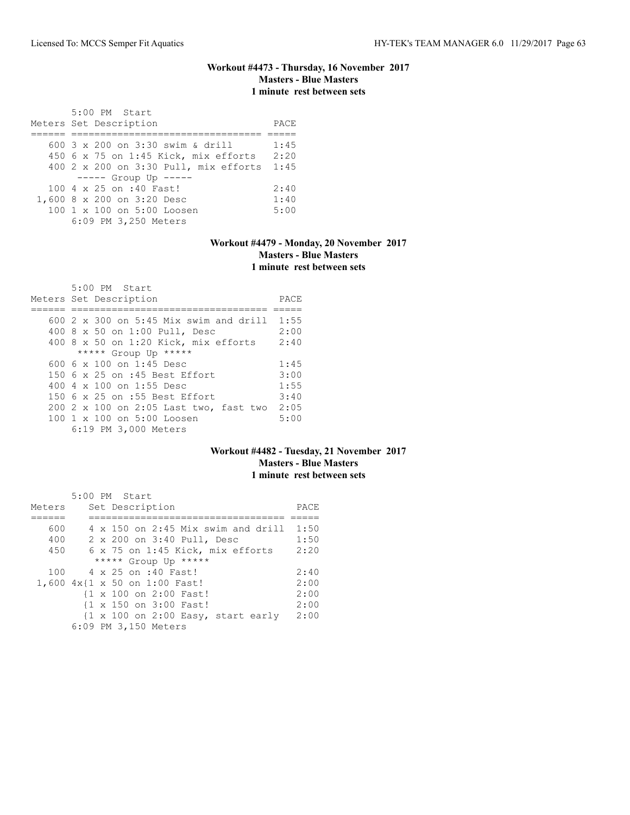### **Workout #4473 - Thursday, 16 November 2017 Masters - Blue Masters 1 minute rest between sets**

| 5:00 PM Start<br>Meters Set Description    | PACE |
|--------------------------------------------|------|
|                                            |      |
| 600 3 x 200 on 3:30 swim & drill           | 1:45 |
| 450 6 x 75 on 1:45 Kick, mix efforts 2:20  |      |
| 400 2 x 200 on 3:30 Pull, mix efforts 1:45 |      |
| $--- $ Group Up $---$                      |      |
| 100 4 x 25 on :40 Fast!                    | 2:40 |
| 1,600 8 x 200 on 3:20 Desc                 | 1:40 |
| 100 1 x 100 on 5:00 Loosen                 | 5:00 |
| 6:09 PM 3,250 Meters                       |      |

# **Workout #4479 - Monday, 20 November 2017 Masters - Blue Masters 1 minute rest between sets**

| 5:00 PM Start                                 |      |
|-----------------------------------------------|------|
| Meters Set Description                        | PACE |
|                                               |      |
| 600 $2 \times 300$ on 5:45 Mix swim and drill | 1:55 |
| 400 8 x 50 on 1:00 Pull, Desc                 | 2:00 |
| 400 $8 \times 50$ on 1:20 Kick, mix efforts   | 2:40 |
| ***** Group Up *****                          |      |
| 600 6 $\times$ 100 on 1:45 Desc               | 1:45 |
| 150 6 x 25 on :45 Best Effort                 | 3:00 |
| 400 4 x 100 on 1:55 Desc                      | 1:55 |
| 150 6 x 25 on :55 Best Effort                 | 3:40 |
| 200 2 x 100 on 2:05 Last two, fast two        | 2:05 |
| 100 1 x 100 on 5:00 Loosen                    | 5:00 |
| 6:19 PM 3,000 Meters                          |      |

# **Workout #4482 - Tuesday, 21 November 2017 Masters - Blue Masters 1 minute rest between sets**

|        | 5:00 PM Start                                                         |      |
|--------|-----------------------------------------------------------------------|------|
| Meters | Set Description                                                       | PACE |
|        |                                                                       |      |
| 600    | $4 \times 150$ on 2:45 Mix swim and drill                             | 1:50 |
| 400    | 2 x 200 on 3:40 Pull, Desc                                            | 1:50 |
| 450    | 6 x 75 on 1:45 Kick, mix efforts                                      | 2:20 |
|        | ***** Group Up *****                                                  |      |
| 100    | 4 x 25 on :40 Fast!                                                   | 2:40 |
|        | 1,600 4x{1 x 50 on 1:00 Fast!                                         | 2:00 |
|        | {1 x 100 on 2:00 Fast!                                                | 2:00 |
|        | {1 x 150 on 3:00 Fast!                                                | 2:00 |
|        | $\{1 \times 100 \text{ on } 2:00 \text{ Easy}, \text{ start early}\}$ | 2:00 |
|        | 6:09 PM 3,150 Meters                                                  |      |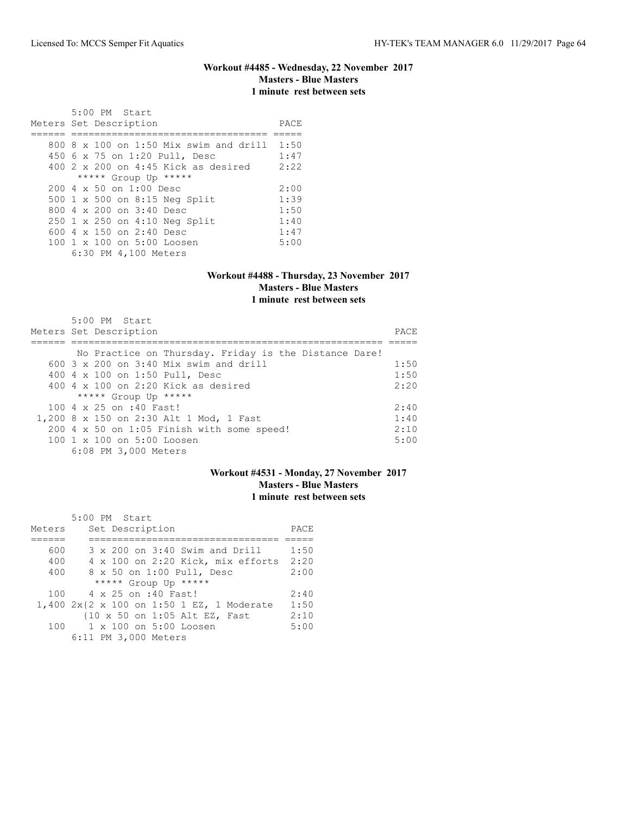### **Workout #4485 - Wednesday, 22 November 2017 Masters - Blue Masters 1 minute rest between sets**

| 5:00 PM Start<br>Meters Set Description       | PACE |
|-----------------------------------------------|------|
| $800.8 \times 100$ on 1:50 Mix swim and drill | 1:50 |
| 450 6 x 75 on 1:20 Pull, Desc                 | 1:47 |
| $400$ 2 x 200 on 4:45 Kick as desired         | 2:22 |
| ***** Group Up *****                          |      |
| $200 \, 4 \times 50$ on $1:00$ Desc           | 2:00 |
| 500 1 x 500 on 8:15 Neg Split                 | 1:39 |
| 800 $4 \times 200$ on $3:40$ Desc             | 1:50 |
| 250 1 x 250 on 4:10 Neg Split                 | 1:40 |
| 600 $4 \times 150$ on 2:40 Desc               | 1:47 |
| 100 1 x 100 on 5:00 Loosen                    | 5:00 |
| 6:30 PM 4,100 Meters                          |      |

#### **Workout #4488 - Thursday, 23 November 2017 Masters - Blue Masters 1 minute rest between sets**

| 5:00 PM Start<br>Meters Set Description                | <b>PACE</b> |
|--------------------------------------------------------|-------------|
| No Practice on Thursday. Friday is the Distance Dare!  |             |
|                                                        |             |
| $600.3 \times 200$ on $3:40$ Mix swim and drill        | 1:50        |
| 400 4 x 100 on 1:50 Pull, Desc                         | 1:50        |
| 400 $4 \times 100$ on 2:20 Kick as desired             | 2:20        |
| ***** Group Up *****                                   |             |
| 100 4 x 25 on :40 Fast!                                | 2:40        |
| 1,200 8 x 150 on 2:30 Alt 1 Mod, 1 Fast                | 1:40        |
| 200 4 x 50 on 1:05 Finish with some speed!             | 2:10        |
| $100 \text{ 1 x } 100 \text{ on } 5:00 \text{ Loosen}$ | 5:00        |
| 6:08 PM 3,000 Meters                                   |             |

# **Workout #4531 - Monday, 27 November 2017 Masters - Blue Masters 1 minute rest between sets**

|        | 5:00 PM Start                             |      |
|--------|-------------------------------------------|------|
| Meters | Set Description                           | PACE |
|        |                                           |      |
| 600    | 3 x 200 on 3:40 Swim and Drill            | 1:50 |
| 400    | 4 x 100 on 2:20 Kick, mix efforts         | 2:20 |
| 400    | 8 x 50 on 1:00 Pull, Desc                 | 2:00 |
|        | ***** Group Up *****                      |      |
|        | 100 4 x 25 on :40 Fast!                   | 2:40 |
|        | 1,400 2x{2 x 100 on 1:50 1 EZ, 1 Moderate | 1:50 |
|        | {10 x 50 on 1:05 Alt EZ, Fast             | 2:10 |
|        | 100 1 x 100 on 5:00 Loosen                | 5:00 |
|        | 6:11 PM 3,000 Meters                      |      |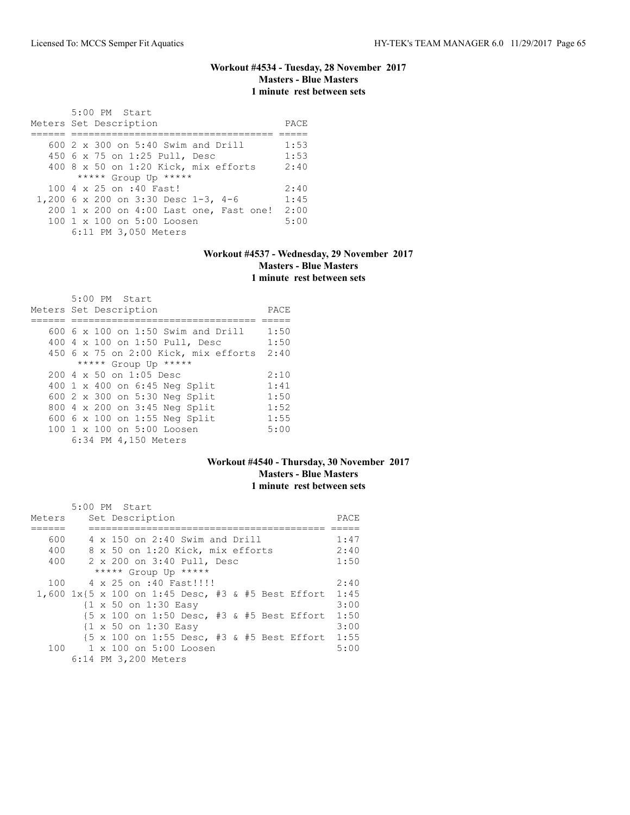# **Workout #4534 - Tuesday, 28 November 2017 Masters - Blue Masters 1 minute rest between sets**

| 5:00 PM Start<br>Meters Set Description | PACE |
|-----------------------------------------|------|
| $600$ 2 x 300 on 5:40 Swim and Drill    | 1:53 |
| 450 6 x 75 on 1:25 Pull, Desc           | 1:53 |
| 400 8 x 50 on 1:20 Kick, mix efforts    | 2:40 |
| ***** Group Up *****                    |      |
| 100 4 x 25 on :40 Fast!                 | 2:40 |
| 1,200 6 x 200 on 3:30 Desc 1-3, 4-6     | 1:45 |
| 200 1 x 200 on 4:00 Last one, Fast one! | 2:00 |
| 100 1 x 100 on 5:00 Loosen              | 5:00 |
| 6:11 PM 3,050 Meters                    |      |

# **Workout #4537 - Wednesday, 29 November 2017 Masters - Blue Masters 1 minute rest between sets**

| 5:00 PM Start                           |      |
|-----------------------------------------|------|
| Meters Set Description                  | PACE |
|                                         |      |
| $600\,$ 6 x 100 on 1:50 Swim and Drill  | 1:50 |
| 400 4 x 100 on 1:50 Pull, Desc          | 1:50 |
| 450 6 x 75 on 2:00 Kick, mix efforts    | 2:40 |
| ***** Group Up *****                    |      |
| $200.4 \times 50$ on 1:05 Desc          | 2:10 |
| 400 1 x 400 on 6:45 Neg Split           | 1:41 |
| 600 2 x 300 on 5:30 Neg Split           | 1:50 |
| 800 4 x 200 on 3:45 Neg Split           | 1:52 |
| 600 6 x 100 on 1:55 Neg Split           | 1:55 |
| $100 \t 1 \t x \t 100$ on $5:00$ Loosen | 5:00 |
| 6:34 PM 4,150 Meters                    |      |

### **Workout #4540 - Thursday, 30 November 2017 Masters - Blue Masters 1 minute rest between sets**

|        |  | 5:00 PM Start                                                                         |      |
|--------|--|---------------------------------------------------------------------------------------|------|
| Meters |  | Set Description                                                                       | PACE |
|        |  |                                                                                       |      |
| 600    |  | 4 x 150 on 2:40 Swim and Drill                                                        | 1:47 |
| 400    |  | 8 x 50 on 1:20 Kick, mix efforts                                                      | 2:40 |
| 400    |  | 2 x 200 on 3:40 Pull, Desc                                                            | 1:50 |
|        |  | ***** Group Up *****                                                                  |      |
| 100    |  | 4 x 25 on :40 Fast!!!!                                                                | 2:40 |
|        |  | 1,600 1x{5 x 100 on 1:45 Desc, #3 & #5 Best Effort 1:45                               |      |
|        |  | {1 x 50 on 1:30 Easy                                                                  | 3:00 |
|        |  | $\{5 \times 100 \text{ on } 1:50 \text{ Desc. } #3 \text{ & } #5 \text{ Best Effect}$ | 1:50 |
|        |  | {1 x 50 on 1:30 Easy                                                                  | 3:00 |
|        |  | $\{5 \times 100 \text{ on } 1:55 \text{ Desc. } #3 \text{ & } #5 \text{ Best Effect}$ | 1:55 |
|        |  | 100 1 x 100 on 5:00 Loosen                                                            | 5:00 |
|        |  | 6:14 PM 3,200 Meters                                                                  |      |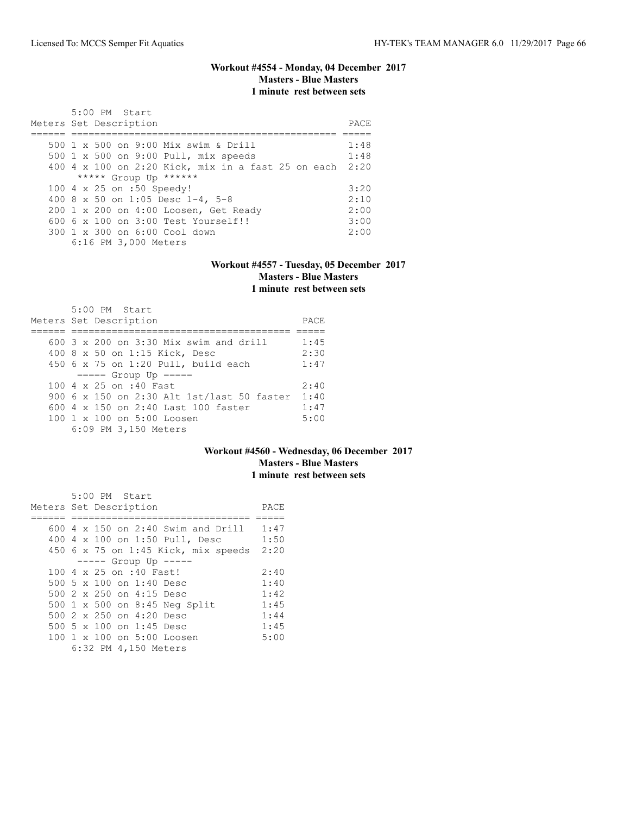### **Workout #4554 - Monday, 04 December 2017 Masters - Blue Masters 1 minute rest between sets**

| 5:00 PM Start<br>Meters Set Description                 | PACE. |
|---------------------------------------------------------|-------|
| 500 1 x 500 on 9:00 Mix swim & Drill                    | 1:48  |
| 500 1 x 500 on 9:00 Pull, mix speeds                    | 1:48  |
| 400 4 x 100 on 2:20 Kick, mix in a fast 25 on each 2:20 |       |
| ***** Group Up ******                                   |       |
| 100 4 x 25 on :50 Speedy!                               | 3:20  |
| 400 8 x 50 on 1:05 Desc 1-4, 5-8                        | 2:10  |
| 200 1 x 200 on 4:00 Loosen, Get Ready                   | 2:00  |
| $6006 \times 100$ on $3:00$ Test Yourself!!             | 3:00  |
| 300 1 x 300 on 6:00 Cool down                           | 2:00  |
| 6:16 PM 3,000 Meters                                    |       |

#### **Workout #4557 - Tuesday, 05 December 2017 Masters - Blue Masters 1 minute rest between sets**

| $5:00$ PM Start<br>Meters Set Description       | PACE. |
|-------------------------------------------------|-------|
| $600.3 \times 200$ on $3:30$ Mix swim and drill | 1:45  |
| 400 8 x 50 on 1:15 Kick, Desc                   | 2:30  |
| 450 6 x 75 on 1:20 Pull, build each             | 1:47  |
| $====$ Group Up $====$                          |       |
| 100 4 x 25 on :40 Fast                          | 2:40  |
| 900 6 x 150 on 2:30 Alt 1st/last 50 faster      | 1:40  |
| 600 $4 \times 150$ on 2:40 Last 100 faster      | 1:47  |
| $100 \t 1 \t x \t 100$ on $5:00$ Loosen         | 5:00  |
| 6:09 PM 3,150 Meters                            |       |

#### **Workout #4560 - Wednesday, 06 December 2017 Masters - Blue Masters 1 minute rest between sets**

|  | 5:00 PM Start                        |      |
|--|--------------------------------------|------|
|  | Meters Set Description               | PACE |
|  |                                      |      |
|  | $600$ 4 x 150 on 2:40 Swim and Drill | 1:47 |
|  | 400 4 x 100 on 1:50 Pull, Desc       | 1:50 |
|  | 450 6 x 75 on 1:45 Kick, mix speeds  | 2:20 |
|  | $--- -$ Group Up $--- -$             |      |
|  | 100 4 x 25 on :40 Fast!              | 2:40 |
|  | 500 5 x 100 on 1:40 Desc             | 1:40 |
|  | 500 2 x 250 on 4:15 Desc             | 1:42 |
|  | 500 1 x 500 on 8:45 Neg Split        | 1:45 |
|  | 500 2 x 250 on 4:20 Desc             | 1:44 |
|  | 500 5 x 100 on 1:45 Desc             | 1:45 |
|  | 100 1 x 100 on 5:00 Loosen           | 5:00 |
|  | 6:32 PM 4,150 Meters                 |      |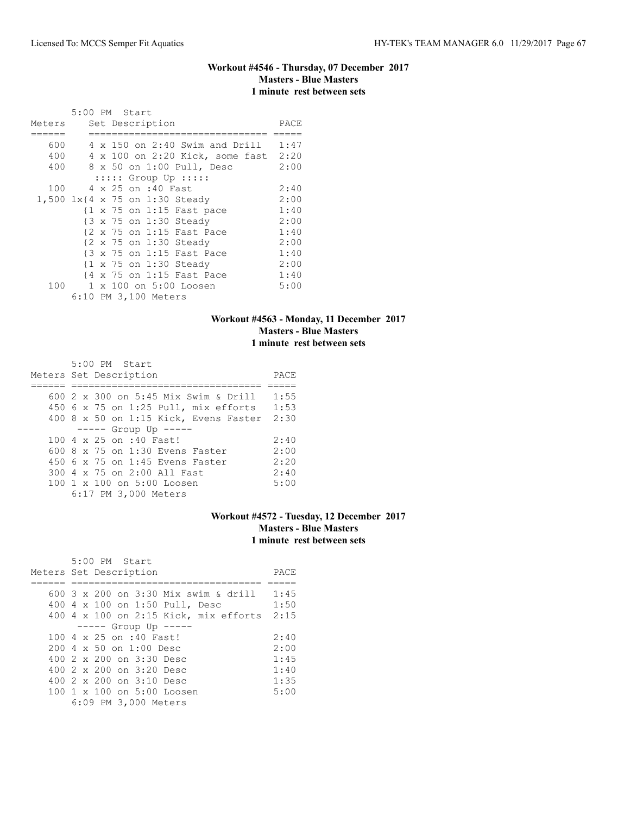### **Workout #4546 - Thursday, 07 December 2017 Masters - Blue Masters 1 minute rest between sets**

|        |  | 5:00 PM Start                     |                                                      |      |
|--------|--|-----------------------------------|------------------------------------------------------|------|
| Meters |  | Set Description                   |                                                      | PACE |
|        |  |                                   |                                                      |      |
| 600    |  |                                   | $4 \times 150$ on 2:40 Swim and Drill                | 1:47 |
| 400    |  |                                   | 4 x 100 on 2:20 Kick, some fast 2:20                 |      |
| 400    |  |                                   | 8 x 50 on 1:00 Pull, Desc                            | 2:00 |
|        |  | $:::::$ Group Up $:::::$          |                                                      |      |
| 100    |  | 4 x 25 on :40 Fast                |                                                      | 2:40 |
|        |  | 1,500 $1x$ {4 x 75 on 1:30 Steady |                                                      | 2:00 |
|        |  |                                   | $\{1 \times 75 \text{ on } 1:15 \text{ Fast pace}\}$ | 1:40 |
|        |  | {3 x 75 on 1:30 Steady            |                                                      | 2:00 |
|        |  |                                   | {2 x 75 on 1:15 Fast Pace                            | 1:40 |
|        |  | {2 x 75 on 1:30 Steady            |                                                      | 2:00 |
|        |  |                                   | {3 x 75 on 1:15 Fast Pace                            | 1:40 |
|        |  | {1 x 75 on 1:30 Steady            |                                                      | 2:00 |
|        |  |                                   | {4 x 75 on 1:15 Fast Pace                            | 1:40 |
| 100    |  |                                   | 1 x 100 on 5:00 Loosen                               | 5:00 |
|        |  | 6:10 PM 3,100 Meters              |                                                      |      |

# **Workout #4563 - Monday, 11 December 2017 Masters - Blue Masters 1 minute rest between sets**

| 5:00 PM Start                              |      |
|--------------------------------------------|------|
| Meters Set Description                     | PACE |
|                                            |      |
| 600 2 x 300 on 5:45 Mix Swim & Drill       | 1:55 |
| 450 6 x 75 on 1:25 Pull, mix efforts 1:53  |      |
| 400 8 x 50 on 1:15 Kick, Evens Faster 2:30 |      |
| $--- $ Group Up $---$                      |      |
| 100 4 x 25 on :40 Fast!                    | 2:40 |
| $600.8 \times 75$ on 1:30 Evens Faster     | 2:00 |
| 450 6 x 75 on 1:45 Evens Faster            | 2:20 |
| 300 4 x 75 on 2:00 All Fast                | 2:40 |
| 100 1 x 100 on 5:00 Loosen                 | 5:00 |
| 6:17 PM 3,000 Meters                       |      |

# **Workout #4572 - Tuesday, 12 December 2017 Masters - Blue Masters 1 minute rest between sets**

| 5:00 PM Start                                          |      |
|--------------------------------------------------------|------|
| Meters Set Description                                 | PACE |
|                                                        |      |
| 600 3 x 200 on 3:30 Mix swim & drill                   | 1:45 |
| 400 4 x 100 on 1:50 Pull, Desc                         | 1:50 |
| 400 4 x 100 on 2:15 Kick, mix efforts 2:15             |      |
| $--- $ Group Up $---$                                  |      |
| 100 4 x 25 on :40 Fast!                                | 2:40 |
| $200 \, 4 \times 50$ on $1:00$ Desc                    | 2:00 |
| 400 2 x 200 on 3:30 Desc                               | 1:45 |
| 400 $2 \times 200$ on $3:20$ Desc                      | 1:40 |
| 400 2 x 200 on 3:10 Desc                               | 1:35 |
| $100 \text{ 1 x } 100 \text{ on } 5:00 \text{ Loosen}$ | 5:00 |
| 6:09 PM 3,000 Meters                                   |      |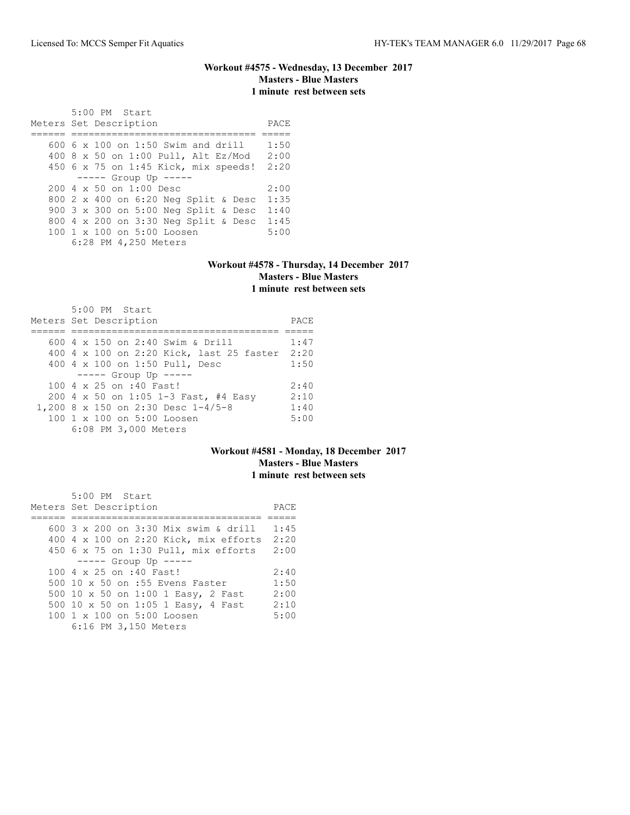#### **Workout #4575 - Wednesday, 13 December 2017 Masters - Blue Masters 1 minute rest between sets**

 5:00 PM Start Meters Set Description **PACE** ====== ================================ ===== 600 6 x 100 on 1:50 Swim and drill 1:50 400 8 x 50 on 1:00 Pull, Alt Ez/Mod 2:00 450 6 x 75 on 1:45 Kick, mix speeds! 2:20 ----- Group Up ----- 200 4 x 50 on 1:00 Desc 2:00 800 2 x 400 on 6:20 Neg Split & Desc 1:35 900 3 x 300 on 5:00 Neg Split & Desc 1:40 800 4 x 200 on 3:30 Neg Split & Desc 1:45 100 1 x 100 on 5:00 Loosen 6:28 PM 4,250 Meters

#### **Workout #4578 - Thursday, 14 December 2017 Masters - Blue Masters 1 minute rest between sets**

| 5:00 PM Start<br>Meters Set Description       | PACE |
|-----------------------------------------------|------|
| 600 4 x 150 on 2:40 Swim & Drill              | 1:47 |
|                                               |      |
| 400 4 x 100 on 2:20 Kick, last 25 faster 2:20 |      |
| 400 4 x 100 on 1:50 Pull, Desc                | 1:50 |
| $--- $ Group Up $---$                         |      |
| 100 4 x 25 on :40 Fast!                       | 2:40 |
| 200 4 x 50 on 1:05 1-3 Fast, #4 Easy          | 2:10 |
| 1,200 8 x 150 on 2:30 Desc 1-4/5-8            | 1:40 |
| 100 1 x 100 on 5:00 Loosen                    | 5:00 |
| 6:08 PM 3,000 Meters                          |      |

### **Workout #4581 - Monday, 18 December 2017 Masters - Blue Masters 1 minute rest between sets**

| 5:00 PM Start                              |      |
|--------------------------------------------|------|
| Meters Set Description                     | PACE |
|                                            |      |
| 600 3 x 200 on 3:30 Mix swim & drill       | 1:45 |
| 400 4 x 100 on 2:20 Kick, mix efforts 2:20 |      |
| 450 6 x 75 on 1:30 Pull, mix efforts       | 2:00 |
| $--- $ Group Up $---$                      |      |
| 100 4 x 25 on :40 Fast!                    | 2:40 |
| 500 10 x 50 on :55 Evens Faster            | 1:50 |
| 500 10 x 50 on 1:00 1 Easy, 2 Fast         | 2:00 |
| 500 10 x 50 on 1:05 1 Easy, 4 Fast         | 2:10 |
| $100 \t 1 \t x \t 100$ on $5:00$ Loosen    | 5:00 |
| 6:16 PM 3,150 Meters                       |      |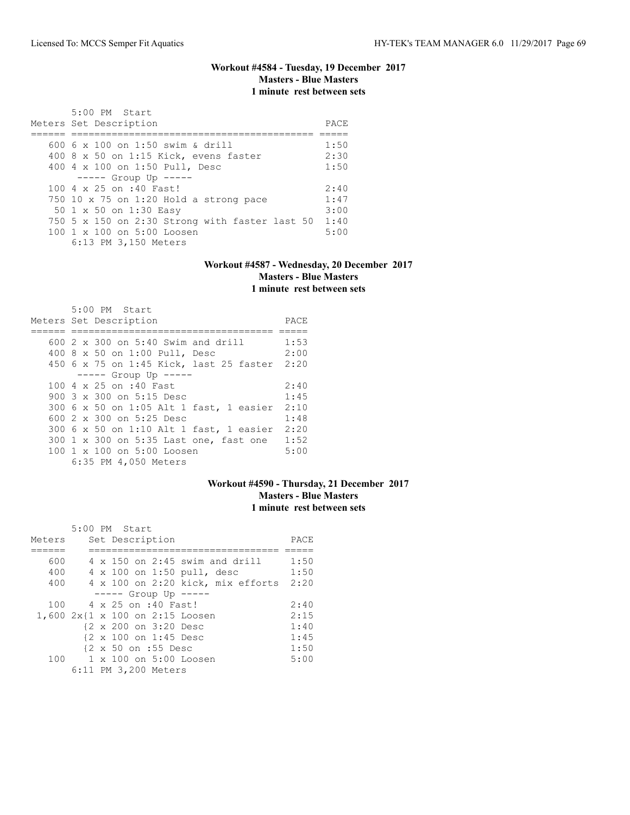# **Workout #4584 - Tuesday, 19 December 2017 Masters - Blue Masters 1 minute rest between sets**

| 5:00 PM Start<br>Meters Set Description                | PACE. |
|--------------------------------------------------------|-------|
|                                                        |       |
| 600 6 x 100 on 1:50 swim & drill                       | 1:50  |
| 400 8 x 50 on 1:15 Kick, evens faster                  | 2:30  |
| 400 4 x 100 on 1:50 Pull, Desc                         | 1:50  |
| $--- -$ Group Up $---$                                 |       |
| 100 4 x 25 on :40 Fast!                                | 2:40  |
| 750 10 x 75 on 1:20 Hold a strong pace                 | 1:47  |
| 50 1 x 50 on 1:30 Easy                                 | 3:00  |
| 750 5 $\times$ 150 on 2:30 Strong with faster last 50  | 1:40  |
| $100 \text{ 1 x } 100 \text{ on } 5:00 \text{ Loosen}$ | 5:00  |
| 6:13 PM 3,150 Meters                                   |       |

#### **Workout #4587 - Wednesday, 20 December 2017 Masters - Blue Masters 1 minute rest between sets**

| 5:00 PM Start                                |      |
|----------------------------------------------|------|
| Meters Set Description                       | PACE |
|                                              |      |
| $600$ 2 x 300 on 5:40 Swim and drill         | 1:53 |
| 400 8 x 50 on 1:00 Pull, Desc                | 2:00 |
| 450 6 x 75 on 1:45 Kick, last 25 faster 2:20 |      |
| $--- $ Group Up $---$                        |      |
| 100 4 x 25 on :40 Fast                       | 2:40 |
| 900 $3 \times 300$ on $5:15$ Desc            | 1:45 |
| 300 6 x 50 on 1:05 Alt 1 fast, 1 easier      | 2:10 |
| 600 2 x 300 on 5:25 Desc                     | 1:48 |
| 300 6 x 50 on 1:10 Alt 1 fast, 1 easier      | 2:20 |
| 300 1 x 300 on 5:35 Last one, fast one       | 1:52 |
| 100 1 x 100 on 5:00 Loosen                   | 5:00 |
| 6:35 PM 4,050 Meters                         |      |

### **Workout #4590 - Thursday, 21 December 2017 Masters - Blue Masters 1 minute rest between sets**

|        | $5:00$ PM Start                       |      |
|--------|---------------------------------------|------|
| Meters | Set Description                       | PACE |
|        |                                       |      |
| 600    | $4 \times 150$ on 2:45 swim and drill | 1:50 |
| 400    | 4 x 100 on 1:50 pull, desc            | 1:50 |
| 400    | 4 x 100 on 2:20 kick, mix efforts     | 2:20 |
|        | $--- $ Group Up $---$                 |      |
| 100    | 4 x 25 on :40 Fast!                   | 2:40 |
|        | 1,600 2x{1 x 100 on 2:15 Loosen       | 2:15 |
|        | {2 x 200 on 3:20 Desc                 | 1:40 |
|        | {2 x 100 on 1:45 Desc                 | 1:45 |
|        | {2 x 50 on :55 Desc                   | 1:50 |
| 100    | $1 \times 100$ on $5:00$ Loosen       | 5:00 |
|        | 6:11 PM 3,200 Meters                  |      |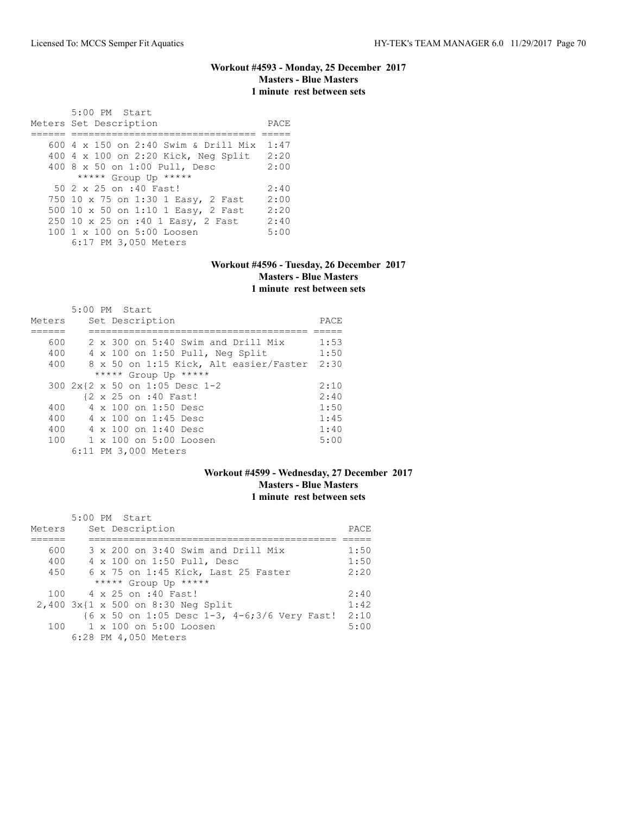#### **Workout #4593 - Monday, 25 December 2017 Masters - Blue Masters 1 minute rest between sets**

 5:00 PM Start Meters Set Description PACE ====== ================================ ===== 600 4 x 150 on 2:40 Swim & Drill Mix 1:47 400 4 x 100 on 2:20 Kick, Neg Split 2:20 400 8 x 50 on 1:00 Pull, Desc 2:00 \*\*\*\*\* Group Up \*\*\*\*\* 50 2 x 25 on :40 Fast! 2:40 750 10 x 75 on 1:30 1 Easy, 2 Fast 2:00 500 10 x 50 on 1:10 1 Easy, 2 Fast 2:20 250 10 x 25 on :40 1 Easy, 2 Fast 2:40 100 1 x 100 on 5:00 Loosen 5:00 6:17 PM 3,050 Meters

#### **Workout #4596 - Tuesday, 26 December 2017 Masters - Blue Masters 1 minute rest between sets**

|                      | $5:00$ PM Start                           |      |  |  |  |  |  |  |  |
|----------------------|-------------------------------------------|------|--|--|--|--|--|--|--|
| Meters               | Set Description                           | PACE |  |  |  |  |  |  |  |
|                      |                                           |      |  |  |  |  |  |  |  |
| 600                  | $2 \times 300$ on 5:40 Swim and Drill Mix | 1:53 |  |  |  |  |  |  |  |
| 400                  | $4 \times 100$ on 1:50 Pull, Neq Split    | 1:50 |  |  |  |  |  |  |  |
| 400                  | 8 x 50 on 1:15 Kick, Alt easier/Faster    | 2:30 |  |  |  |  |  |  |  |
| ***** Group Up ***** |                                           |      |  |  |  |  |  |  |  |
|                      | 300 2x{2 x 50 on 1:05 Desc 1-2            | 2:10 |  |  |  |  |  |  |  |
|                      | {2 x 25 on :40 Fast!                      | 2:40 |  |  |  |  |  |  |  |
| 400                  | 4 x 100 on 1:50 Desc                      | 1:50 |  |  |  |  |  |  |  |
| 400                  | 4 x 100 on 1:45 Desc                      | 1:45 |  |  |  |  |  |  |  |
| 400                  | 4 x 100 on 1:40 Desc                      | 1:40 |  |  |  |  |  |  |  |
| 100                  | $1 \times 100$ on $5:00$ Loosen           | 5:00 |  |  |  |  |  |  |  |
|                      | 6:11 PM 3,000 Meters                      |      |  |  |  |  |  |  |  |

# **Workout #4599 - Wednesday, 27 December 2017 Masters - Blue Masters 1 minute rest between sets**

|        | 5:00 PM Start                                                                  |      |  |  |  |  |
|--------|--------------------------------------------------------------------------------|------|--|--|--|--|
| Meters | Set Description                                                                |      |  |  |  |  |
|        |                                                                                |      |  |  |  |  |
| 600    | 3 x 200 on 3:40 Swim and Drill Mix                                             | 1:50 |  |  |  |  |
| 400    | 4 x 100 on 1:50 Pull, Desc                                                     | 1:50 |  |  |  |  |
| 450    | 6 x 75 on 1:45 Kick, Last 25 Faster                                            | 2:20 |  |  |  |  |
|        | ***** Group Up *****                                                           |      |  |  |  |  |
|        | 100 4 x 25 on :40 Fast!                                                        | 2:40 |  |  |  |  |
|        | 2,400 3x{1 x 500 on 8:30 Neg Split                                             | 1:42 |  |  |  |  |
|        | $(6 \times 50 \text{ on } 1:05 \text{ Desc } 1-3, 4-6;3/6 \text{ Very Fast!})$ | 2:10 |  |  |  |  |
|        | 100 1 x 100 on 5:00 Loosen                                                     | 5:00 |  |  |  |  |
|        | 6:28 PM 4,050 Meters                                                           |      |  |  |  |  |